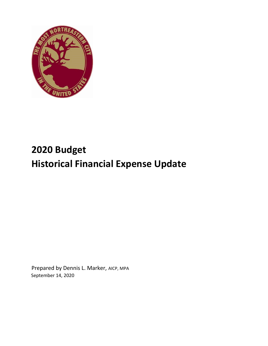

# **2020 Budget Historical Financial Expense Update**

Prepared by Dennis L. Marker, AICP, MPA September 14, 2020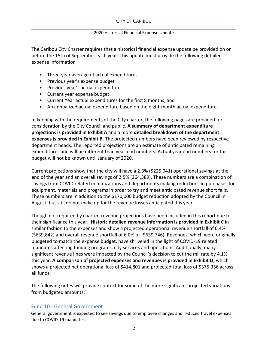## 2020 Historical Financial Expense Update

The Caribou City Charter requires that a historical financial expense update be provided on or before the 15th of September each year. This update must provide the following detailed expense information

- Three-year average of actual expenditures
- Previous year's expense budget
- Previous year's actual expenditure
- Current year expense budget
- Current Year actual expenditures for the first 8 months, and
- An annualized actual expenditure based on the eight-month actual expenditure.

In keeping with the requirements of the City charter, the following pages are provided for consideration by the City Council and public. **A summary of department expenditure projections is provided in Exhibit A** and a more **detailed breakdown of the department expenses is provided in Exhibit B.** The projected numbers have been reviewed by respective department heads. The reported projections are an estimate of anticipated remaining expenditures and will be different than year-end numbers. Actual year end numbers for this budget will not be known until January of 2020.

Current projections show that the city will have a 2.3% (\$225,041) operational savings at the end of the year and an overall savings of 2.5% (264,389). These numbers are a combination of savings from COVID related minimizations and departments making reductions in purchases for equipment, materials and programs in order to try and meet anticipated revenue short falls. These numbers are in addition to the \$170,000 budget reduction adopted by the Council in August, but still do not make up for the revenue losses anticipated this year.

Though not required by charter, revenue projections have been included in this report due to their significance this year. **Historic detailed revenue information is provided in Exhibit C** in similar fashion to the expenses and show a projected operational revenue shortfall of 6.4% (\$639,842) and overall revenue shortfall of 6.0% or (\$639,746). Revenues, which were originally budgeted to match the expense budget, have shriveled in the light of COVID-19 related mandates affecting funding programs, city services and operations. Additionally, many significant revenue lines were impacted by the Council's decision to cut the mil rate by 4.1% this year. **A comparison of projected expenses and revenues is provided in Exhibit D,** which shows a projected net operational loss of \$414,801 and projected total loss of \$375,356 across all funds.

The following notes will provide context for some of the more significant projected variations from budgeted amounts:

# Fund 10 - General Government

General government is expected to see savings due to employee changes and reduced travel expenses due to COVID-19 mandates.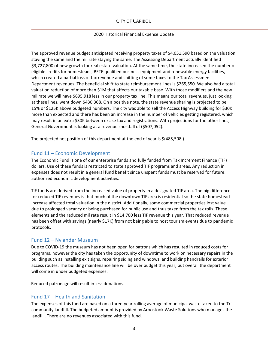# CITY OF CARIBOU

#### 2020 Historical Financial Expense Update

The approved revenue budget anticipated receiving property taxes of \$4,051,590 based on the valuation staying the same and the mil rate staying the same. The Assessing Department actually identified \$3,727,800 of new growth for real estate valuation. At the same time, the state increased the number of eligible credits for homesteads, BETE qualified business equipment and renewable energy facilities, which created a partial loss of tax revenue and shifting of some taxes to the Tax Assessment Department revenues. The beneficial shift to state reimbursement lines is \$265,550. We also had a total valuation reduction of more than \$1M that affects our taxable base. With those modifiers and the new mil rate we will have \$695,918 less in our property tax line. This means our total revenues, just looking at these lines, went down \$430,368. On a positive note, the state revenue sharing is projected to be 15% or \$125K above budgeted numbers. The city was able to sell the Access Highway building for \$30K more than expected and there has been an increase in the number of vehicles getting registered, which may result in an extra \$30K between excise tax and registrations. With projections for the other lines, General Government is looking at a revenue shortfall of (\$507,052).

The projected net position of this department at the end of year is \$(485,508.)

## Fund 11 – Economic Development

The Economic Fund is one of our enterprise funds and fully funded from Tax Increment Finance (TIF) dollars. Use of these funds is restricted to state approved TIF programs and areas. Any reduction in expenses does not result in a general fund benefit since unspent funds must be reserved for future, authorized economic development activities.

TIF funds are derived from the increased value of property in a designated TIF area. The big difference for reduced TIF revenues is that much of the downtown TIF area is residential so the state homestead increase affected total valuation in the district. Additionally, some commercial properties lost value due to prolonged vacancy or being purchased for public use and thus taken from the tax rolls. These elements and the reduced mil rate result in \$14,700 less TIF revenue this year. That reduced revenue has been offset with savings (nearly \$17K) from not being able to host tourism events due to pandemic protocols.

## Fund 12 – Nylander Museum

Due to COVID-19 the museum has not been open for patrons which has resulted in reduced costs for programs, however the city has taken the opportunity of downtime to work on necessary repairs in the building such as installing exit signs, repairing siding and windows, and building handrails for exterior access routes. The building maintenance line will be over budget this year, but overall the department will come in under budgeted expenses.

Reduced patronage will result in less donations.

# Fund 17 – Health and Sanitation

The expenses of this fund are based on a three-year rolling average of municipal waste taken to the Tricommunity landfill. The budgeted amount is provided by Aroostook Waste Solutions who manages the landfill. There are no revenues associated with this fund.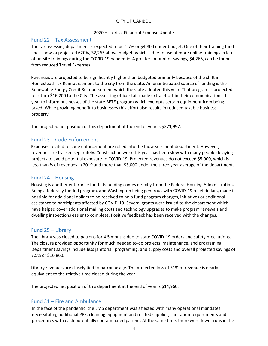### 2020 Historical Financial Expense Update

## Fund 22 – Tax Assessment

The tax assessing department is expected to be 1.7% or \$4,800 under budget. One of their training fund lines shows a projected 620%, \$2,265 above budget, which is due to use of more online trainings in leu of on-site trainings during the COVID-19 pandemic. A greater amount of savings, \$4,265, can be found from reduced Travel Expenses.

Revenues are projected to be significantly higher than budgeted primarily because of the shift in Homestead Tax Reimbursement to the city from the state. An unanticipated source of funding is the Renewable Energy Credit Reimbursement which the state adopted this year. That program is projected to return \$16,200 to the City. The assessing office staff made extra effort in their communications this year to inform businesses of the state BETE program which exempts certain equipment from being taxed. While providing benefit to businesses this effort also results in reduced taxable business property.

The projected net position of this department at the end of year is \$271,997.

# Fund 23 – Code Enforcement

Expenses related to code enforcement are rolled into the tax assessment department. However, revenues are tracked separately. Construction work this year has been slow with many people delaying projects to avoid potential exposure to COVID-19. Projected revenues do not exceed \$5,000, which is less than ½ of revenues in 2019 and more than \$3,000 under the three year average of the department.

# Fund 24 – Housing

Housing is another enterprise fund. Its funding comes directly from the Federal Housing Administration. Being a federally funded program, and Washington being generous with COVID-19 relief dollars, made it possible for additional dollars to be received to help fund program changes, initiatives or additional assistance to participants affected by COVID-19. Several grants were issued to the department which have helped cover additional mailing costs and technology upgrades to make program renewals and dwelling inspections easier to complete. Positive feedback has been received with the changes.

## Fund 25 – Library

The library was closed to patrons for 4.5 months due to state COVID-19 orders and safety precautions. The closure provided opportunity for much needed to-do projects, maintenance, and programing. Department savings include less janitorial, programing, and supply costs and overall projected savings of 7.5% or \$16,860.

Library revenues are closely tied to patron usage. The projected loss of 31% of revenue is nearly equivalent to the relative time closed during the year.

The projected net position of this department at the end of year is \$14,960.

# Fund 31 – Fire and Ambulance

In the face of the pandemic, the EMS department was affected with many operational mandates necessitating additional PPE, cleaning equipment and related supplies, sanitation requirements and procedures with each potentially contaminated patient. At the same time, there were fewer runs in the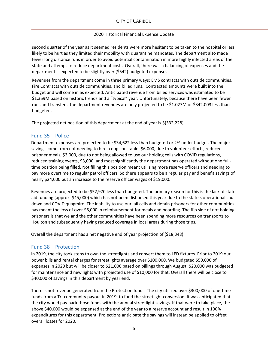# CITY OF CARIBOU

### 2020 Historical Financial Expense Update

second quarter of the year as it seemed residents were more hesitant to be taken to the hospital or less likely to be hurt as they limited their mobility with quarantine mandates. The department also made fewer long distance runs in order to avoid potential contamination in more highly infected areas of the state and attempt to reduce department costs. Overall, there was a balancing of expenses and the department is expected to be slightly over (\$542) budgeted expenses.

Revenues from the department come in three primary ways; EMS contracts with outside communities, Fire Contracts with outside communities, and billed runs. Contracted amounts were built into the budget and will come in as expected. Anticipated revenue from billed services was estimated to be \$1.369M based on historic trends and a "typical" year. Unfortunately, because there have been fewer runs and transfers, the department revenues are only projected to be \$1.027M or \$342,003 less than budgeted.

The projected net position of this department at the end of year is \$(332,228).

## Fund 35 – Police

Department expenses are projected to be \$34,622 less than budgeted or 2% under budget. The major savings come from not needing to hire a dog constable, \$6,000, due to volunteer efforts, reduced prisoner meals, \$3,000, due to not being allowed to use our holding cells with COVID regulations, reduced training events, \$3,000, and most significantly the department has operated without one fulltime position being filled. Not filling this position meant utilizing more reserve officers and needing to pay more overtime to regular patrol officers. So there appears to be a regular pay and benefit savings of nearly \$24,000 but an increase to the reserve officer wages of \$19,000.

Revenues are projected to be \$52,970 less than budgeted. The primary reason for this is the lack of state aid funding (approx. \$45,000) which has not been disbursed this year due to the state's operational shut down and COVID quagmire. The inability to use our jail cells and detain prisoners for other communities has meant the loss of over \$6,000 in reimbursement for meals and boarding. The flip side of not holding prisoners is that we and the other communities have been spending more resources on transports to Houlton and subsequently having reduced coverage in local areas during those trips.

Overall the department has a net negative end of year projection of (\$18,348)

# Fund 38 – Protection

In 2019, the city took steps to own the streetlights and convert them to LED fixtures. Prior to 2019 our power bills and rental charges for streetlights average over \$100,000. We budgeted \$50,000 of expenses in 2020 but will be closer to \$21,000 based on billings through August. \$20,000 was budgeted for maintenance and new lights with projected use of \$10,000 for that. Overall there will be close to \$40,000 of savings in this department by year end.

There is not revenue generated from the Protection funds. The city utilized over \$300,000 of one-time funds from a Tri-community payout in 2019, to fund the streetlight conversion. It was anticipated that the city would pay back those funds with the annual streetlight savings. If that were to take place, the above \$40,000 would be expensed at the end of the year to a reserve account and result in 100% expenditures for this department. Projections anticipate the savings will instead be applied to offset overall losses for 2020.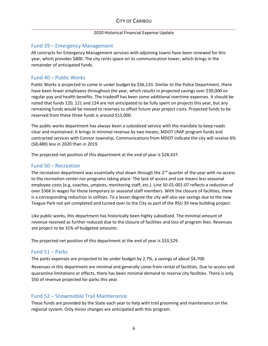### 2020 Historical Financial Expense Update

# Fund 39 – Emergency Management

All contracts for Emergency Management services with adjoining towns have been renewed for this year, which provides \$800. The city rents space on its communication tower, which brings in the remainder of anticipated funds.

# Fund 40 – Public Works

Public Works is projected to come in under budget by \$36,133. Similar to the Police Department, there have been fewer employees throughout the year, which results in projected savings over \$39,000 on regular pay and health benefits. The tradeoff has been some additional overtime expenses. It should be noted that funds 120, 121 and 124 are not anticipated to be fully spent on projects this year, but any remaining funds would be moved to reserves to offset future year project costs. Projected funds to be reserved from these three funds is around \$15,000.

The public works department has always been a subsidized service with the mandate to keep roads clear and maintained. It brings in minimal revenue by two means; MDOT LRAP program funds and contracted services with Connor township. Communications from MDOT indicate the city will receive 6% (\$8,489) less in 2020 than in 2019.

The projected net position of this department at the end of year is \$28,437.

# Fund 50 – Recreation

The recreation department was essentially shut down through the  $2<sup>nd</sup>$  quarter of the year with no access to the recreation center nor programs taking place. The lack of access and use means less seasonal employee costs (e.g. coaches, umpires, monitoring staff, etc.). Line 50-01-001-07 reflects a reduction of over \$36K in wages for those temporary or seasonal staff members. With the closure of facilities, there is a corresponding reduction in utilities. To a lesser degree the city will also see savings due to the new Teague Park not yet completed and turned over to the City as part of the RSU 39 new building project.

Like public works, this department has historically been highly subsidized. The minimal amount of revenue received as further reduced due to the closure of facilities and loss of program fees. Revenues are project to be 31% of budgeted amounts.

The projected net position of this department at the end of year is \$33,529.

# Fund 51 – Parks

The parks expenses are projected to be under budget by 2.7%, a savings of about \$4,700.

Revenues in this department are minimal and generally come from rental of facilities. Due to access and quarantine limitations or effects, there has been minimal demand to reserve city facilities. There is only \$50 of revenue projected for parks this year.

# Fund 52 – Snowmobile Trail Maintenance

These funds are provided by the State each year to help with trail grooming and maintenance on the regional system. Only minor changes are anticipated with this program.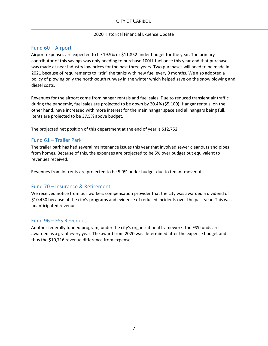### 2020 Historical Financial Expense Update

# Fund 60 – Airport

Airport expenses are expected to be 19.9% or \$11,852 under budget for the year. The primary contributor of this savings was only needing to purchase 100LL fuel once this year and that purchase was made at near industry low prices for the past three years. Two purchases will need to be made in 2021 because of requirements to "stir" the tanks with new fuel every 9 months. We also adopted a policy of plowing only the north-south runway in the winter which helped save on the snow plowing and diesel costs.

Revenues for the airport come from hangar rentals and fuel sales. Due to reduced transient air traffic during the pandemic, fuel sales are projected to be down by 20.4% (\$5,100). Hangar rentals, on the other hand, have increased with more interest for the main hangar space and all hangars being full. Rents are projected to be 37.5% above budget.

The projected net position of this department at the end of year is \$12,752.

# Fund 61 – Trailer Park

The trailer park has had several maintenance issues this year that involved sewer cleanouts and pipes from homes. Because of this, the expenses are projected to be 5% over budget but equivalent to revenues received.

Revenues from lot rents are projected to be 5.9% under budget due to tenant moveouts.

# Fund 70 – Insurance & Retirement

We received notice from our workers compensation provider that the city was awarded a dividend of \$10,430 because of the city's programs and evidence of reduced incidents over the past year. This was unanticipated revenues.

# Fund 96 – FSS Revenues

Another federally funded program, under the city's organizational framework, the FSS funds are awarded as a grant every year. The award from 2020 was determined after the expense budget and thus the \$10,716 revenue difference from expenses.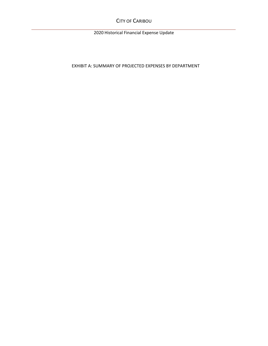CITY OF CARIBOU

2020 Historical Financial Expense Update

EXHIBIT A: SUMMARY OF PROJECTED EXPENSES BY DEPARTMENT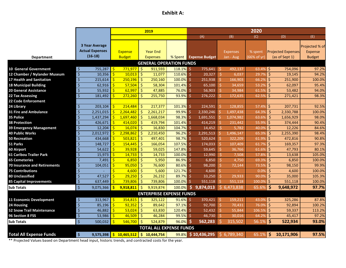# **Exhibit A:**

|                                     |                                       |                                 | 2019                               |              |                       |                              | 2020                   |                                             |                                 |
|-------------------------------------|---------------------------------------|---------------------------------|------------------------------------|--------------|-----------------------|------------------------------|------------------------|---------------------------------------------|---------------------------------|
|                                     |                                       |                                 |                                    |              | (A)                   | (B)                          | (C)                    | (D)                                         | (E)                             |
|                                     | <b>3 Year Average</b>                 |                                 |                                    |              |                       |                              |                        |                                             |                                 |
|                                     | <b>Actual Expenses</b>                |                                 |                                    |              |                       |                              |                        |                                             | Projected % of                  |
|                                     | $(16-18)$                             | <b>Expense</b><br><b>Budget</b> | <b>Year End</b><br><b>Expenses</b> | % Spent      | <b>Expense Budget</b> | <b>Expenses</b><br>Jan - Aug | % spent<br>(66% of yr) | <b>Projected Expenses</b><br>(as of Sept 1) | <b>Expense</b><br><b>Budget</b> |
| <b>Department</b>                   |                                       |                                 |                                    |              |                       |                              |                        |                                             |                                 |
|                                     |                                       |                                 | <b>GENERAL OPERATION FUNDS</b>     |              |                       |                              |                        |                                             |                                 |
| <b>10 General Government</b>        | \$<br>755,287                         | \$<br>771,977                   | $\ddot{\mathsf{S}}$<br>911,593     | $118.1\%$ \$ | 775,641               | \$<br>492,137                | 63.4%                  | $\zeta$<br>754,096                          | 97.2%                           |
| 12 Chamber / Nylander Museum        | $\overline{\xi}$<br>10,356            | $\mathsf{S}$<br>10,013          | $\ddot{\mathsf{S}}$<br>11,077      | 110.6%       | 20,327<br>-Ś          | $\ddot{\mathsf{S}}$<br>6,037 | 29.7%                  | $\zeta$<br>19,145                           | 94.2%                           |
| 17 Health and Sanitation            | $\overline{\mathcal{S}}$<br>215,614   | 250,196<br>Ś                    | $\zeta$<br>250,160                 | 100.0%       | 251,938<br>Ŝ          | Ś.<br>166,903                | 66.29                  | \$<br>251,900                               | 100.0%                          |
| <b>18 Municipal Building</b>        | $\overline{\xi}$<br>62,916            | Ś<br>57,504                     | $\ddot{\mathsf{S}}$<br>58,304      | 101.4%       | 65,100<br>Ŝ           | \$.<br>34,659                | 53.2%                  | \$<br>62,097                                | 95.4%                           |
| <b>20 General Assistance</b>        | \$<br>55,932                          | 62,997                          | \$<br>47,885                       | 76.0%        | 56,903                | 34,984<br>\$.                | 61.59                  | Ś<br>53,482                                 | 94.0%                           |
| 22 Tax Assessing                    | \$<br>181,492                         | 272,260                         | Ś<br>255,750                       | 93.9%        | 276,222               | 172,635                      | 62.59                  | Ś<br>271,421                                | 98.3%                           |
| <b>22 Code Enforcement</b>          |                                       |                                 |                                    |              |                       |                              |                        |                                             |                                 |
| 24 Library                          | $\zeta$<br>203,104                    | Ś<br>214,484                    | Ŝ.<br>217,377                      | 101.3%       | 224,591<br>Ŝ          | 128,855<br>Ŝ.                | 57.49                  | Ś.<br>207,731                               | 92.5%                           |
| 31 Fire and Ambulance               | $\overline{\xi}$<br>2,251,015         | 2,264,482                       | $\frac{1}{2}$<br>2,261,217         | 99.9%        | 2,330,246             | 1,497,438                    | 64.3%                  | \$<br>2,330,788                             | 100.0%                          |
| 35 Police                           | $\zeta$<br>1,437,294                  | 1,697,460                       | $\zeta$<br>1,668,034               | 98.3%        | 1,691,551             | 1,074,982                    | 63.69                  | Ś.<br>1,656,929                             | 98.0%                           |
| <b>38 Protection</b>                | $\overline{\xi}$<br>426,671           | 414,020<br>Š.                   | -Ś<br>419,794                      | 101.4%       | 414,219<br>-Ś         | Ś.<br>231.442                | 55.99                  | $\zeta$<br>374,444                          | 90.4%                           |
| 39 Emergency Management             | $\zeta$<br>12,204                     | 16,074                          | $\zeta$<br>16,830                  | 104.7%       | 14,452                | $\zeta$<br>5,782             | 40.09                  | \$<br>12,226                                | 84.6%                           |
| <b>40 Public Works</b>              | $\overline{\mathcal{S}}$<br>2,012,972 | 2,298,862                       | $\zeta$<br>2,210,450               | 96.2%        | 2,291,513             | 1,496,147                    | 65.39                  | Ś.<br>2,255,390                             | 98.4%                           |
| <b>50 Recreation</b>                | $\overline{\mathcal{S}}$<br>434,668   | 503,821                         | \$<br>497,401                      | 98.7%        | 520,624<br>Ŝ          | 322,209                      | 61.9%                  | \$<br>472,816                               | 90.8%                           |
| 51 Parks                            | \$<br>148,727                         | 154,445<br>Ś                    | $\zeta$<br>166,054                 | 107.5%       | \$.<br>174,033        | \$.<br>107,409               | 61.79                  | \$<br>169,357                               | 97.3%                           |
| 60 Airport                          | $\overline{\mathcal{S}}$<br>54,622    | 39,928<br>\$                    | $\ddot{\mathsf{S}}$<br>59,025      | 147.8%       | Ś.<br>59,645          | \$<br>36,766                 | 61.69                  | Ś<br>47,793                                 | 80.1%                           |
| <b>61 Caribou Trailer Park</b>      | $\overline{\mathcal{S}}$<br>15,973    | $\mathsf{\dot{S}}$<br>14,733    | $\zeta$<br>14,733                  | 100.0%       | Ś<br>12,990           | \$<br>7,508                  | 57.89                  | Ś<br>13,638                                 | 105.0%                          |
| <b>65 Cemeteries</b>                | $\overline{\xi}$<br>7,491             | 6,850<br>Ś                      | $\zeta$<br>5,950                   | 86.9%        | 6,850<br>Ŝ            | Ś.<br>4,750                  | 69.3%                  | Ś<br>6,850                                  | 100.0%                          |
| <b>70 Insurance and Retirements</b> | \$<br>104,051                         | 95,050                          | Ŝ.<br>76,600                       | 80.6%        | 98,200<br>S           | Ś.<br>72,144                 | 73.59                  | Ś<br>98,150                                 | 99.9%                           |
| <b>75 Contributions</b>             | $\overline{\xi}$                      | 4,600<br>Ś                      | $\zeta$<br>5,600                   | 121.7%       | 4,600<br>Ŝ            |                              | 0.09                   | $\zeta$<br>4,600                            | 100.0%                          |
| 80 Unclassified                     | $\zeta$<br>47,527                     | 29,250                          | $\zeta$<br>26,232                  | 89.7%        | 33,250                | Ś.<br>29,933                 | 90.09                  | $\zeta$<br>35,000                           | 105.3%                          |
| 85 Capital Improvements             | $\overline{\mathcal{S}}$<br>637,449   | Š.<br>739,806                   | -Ś<br>739,806                      | 100.0%       | 551,118               | 551,118                      | 100.09                 | Ŝ.<br>551,118                               | 100.0%                          |
| <b>Sub Totals</b>                   | $\ddot{\mathsf{S}}$<br>9,075,366      | 9,918,811<br><b>S</b>           | $\zeta$<br>9,919,874               | 100.0%       | $5$ 9,874,013         | \$6,473,838                  | 65.69                  | \$<br>9,648,972                             | 97.7%                           |
|                                     |                                       |                                 | <b>ENTERPRISE EXPENSE FUNDS</b>    |              |                       |                              |                        |                                             |                                 |
| 11 Economic Development             | \$<br>313,967                         | 354,815<br>-\$                  | \$ ا<br>325,122                    | $91.6\%$ \$  | 370,421               | \$.<br>159,211               | 43.0%                  | $\zeta$<br>325,286                          | 87.8%                           |
| 24 Housing                          | $\zeta$<br>85,196                     | 92,352                          | $\zeta$<br>89,642                  | 97.1%        | 92,700<br>Ŝ           | \$.<br>70,431                | 76.09                  | Ś<br>92,894                                 | 100.2%                          |
| <b>52 Snow Trail Maintenance</b>    | $\overline{\varsigma}$<br>46,882      | 53,024<br>Ŝ.                    | $\ddot{\mathsf{S}}$<br>63,830      | 120.4%       | 52,432                | \$<br>55,844                 | 106.59                 | $\zeta$<br>59,337                           | 113.2%                          |
| 96 Section 8 FSS                    | $\overline{\mathcal{S}}$<br>53,986    | $\mathsf{\dot{S}}$<br>46,509    | $\ddot{\mathsf{S}}$<br>46,284      | 99.5%        | 46,730<br>Ś           | \$<br>30,016                 | 64.29                  | $\zeta$<br>45,417                           | 97.2%                           |
| <b>Sub Totals</b>                   | $\zeta$<br>500,032                    | 546,700<br>Ŝ                    | l \$<br>524,879                    | 96.0%        | 562,283<br>\$         | \$<br>315,502                | 56.19                  | $\dot{\mathsf{s}}$<br>522,934               | 93.0%                           |
|                                     |                                       |                                 |                                    |              |                       |                              |                        |                                             |                                 |
|                                     |                                       |                                 | <b>TOTAL ALL EXPENSE FUNDS</b>     |              |                       |                              |                        |                                             |                                 |
| <b>Total All Expense Funds</b>      | \$<br>9,575,398                       | Ŝ.<br>10,465,512                | \$10,444,754                       | 99.8%        | \$10,436,295          | \$6,789,340                  | 65.1%                  | Ŝ<br>10,171,906                             | 97.5%                           |

\*\* Projected Values based on Department head input, historic trends, and contracted costs for the year.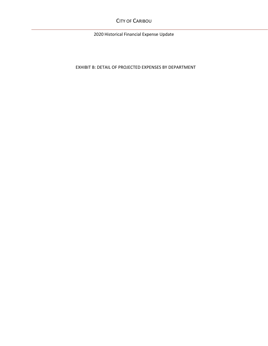CITY OF CARIBOU

2020 Historical Financial Expense Update

EXHIBIT B: DETAIL OF PROJECTED EXPENSES BY DEPARTMENT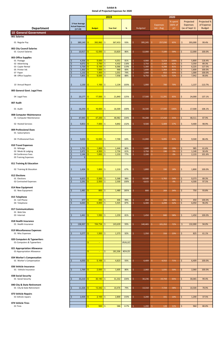|                                   |                    |                        |               |                                                                         |            | 2019            |         |                                   |                 | 2020    |    |                 |               |
|-----------------------------------|--------------------|------------------------|---------------|-------------------------------------------------------------------------|------------|-----------------|---------|-----------------------------------|-----------------|---------|----|-----------------|---------------|
|                                   |                    |                        |               |                                                                         |            |                 |         |                                   |                 | % spent |    | Projected       | Projected %   |
|                                   |                    | 3 Year Average         |               |                                                                         |            |                 |         |                                   | <b>Expenses</b> | (66% of |    | <b>Expenses</b> | of Expense    |
|                                   |                    | <b>Actual Expenses</b> |               | <b>Budget</b>                                                           |            | <b>Year End</b> | %       | Budgeted                          | Jan - Aug       |         |    | (as of Sept 1)  | <b>Budget</b> |
| <b>Department</b>                 |                    | $(17-19)$              |               |                                                                         |            |                 |         |                                   |                 | yr)     |    |                 |               |
| <b>10 General Government</b>      |                    |                        |               |                                                                         |            |                 |         |                                   |                 |         |    |                 |               |
| 001 Salaries                      |                    |                        |               |                                                                         |            |                 |         |                                   |                 |         |    |                 |               |
|                                   |                    |                        |               |                                                                         |            |                 |         |                                   |                 |         |    |                 |               |
| 01 Regular Pay                    | \$                 | 389,140                | -S            | 393,992                                                                 | \$         | 367,453         | 93%     | 395,245                           | 257,030         | 65%     | \$ | 393,000         | 99.4%         |
| 002 City Council Salaries         |                    |                        |               |                                                                         |            |                 |         |                                   |                 |         |    |                 |               |
| 01 Council Salaries               | \$                 | 10,917                 | $\mathbf{s}$  | 12,550                                                                  | $\vert$ \$ | 10,820          | 86%     | 12,000<br>Ś.                      | 7,100<br>Ŝ.     | 59%     | \$ | 12,000          | 100.0%        |
|                                   |                    |                        |               |                                                                         |            |                 |         |                                   |                 |         |    |                 |               |
| 003 Office Supplies               |                    |                        |               |                                                                         |            |                 |         |                                   |                 |         |    |                 |               |
| 01 Postage                        | Ś                  | 4,356                  | $\sqrt[3]{3}$ | $5,000$ \$                                                              |            | 4,051           | 81%     | \$.<br>4,900                      | 5,214<br>S.     | 106%    | \$ | 5,800           | 118.4%        |
| 02 Advertising                    | Ś                  | 4,072                  | $\sqrt[3]{3}$ | $3,750$ \$                                                              |            | 4,432           | 118%    | 3,750<br>Ś                        | Ś.<br>2,343     | 62%     | \$ | 3,350           | 89.3%         |
| 03 Copier Rental                  | Ś                  | 5,720                  | $\sqrt{3}$    | $5,100$ \$                                                              |            | 6,066           | 119%    | 5,300                             | Ŝ.<br>4,298     | 81%     | \$ | 6,225           | 117.5%        |
| 05 Printer Ink                    | \$                 | 1,302                  | $\sqrt[3]{3}$ | $1,600$ \$                                                              |            | 968             | 60%     | 1,600                             | 1,364<br>S.     | 85%     | \$ | 1,600           | 100.0%        |
| 07 Paper                          | \$                 | 1,132                  | $\sqrt[3]{3}$ | 1,400                                                                   | -\$        | 1,031           | 74%     | 1,000                             | Ŝ.<br>652       | 65%     | \$ | 1,000           | 100.0%        |
| 08 Office Supplies                | $\dot{\mathsf{S}}$ | 7,855                  | $\mathbf{s}$  | $9,000$ \$                                                              |            | 7,958           | 88%     | 8,750<br>Ś.                       | Ś.<br>6,331     | 72%     | \$ | 7,942           | 90.8%         |
|                                   |                    |                        |               |                                                                         |            |                 |         |                                   |                 |         |    |                 |               |
|                                   |                    |                        |               |                                                                         |            |                 |         |                                   |                 |         |    |                 |               |
| 10 Annual Report                  | \$                 | 1,130                  | $\mathbf{\$}$ | $1,100$ \$                                                              |            | 1,134           | 103%    | 1,000<br>Š.                       | Ŝ.<br>700       | 70%     | \$ | 1,137           | 113.7%        |
| 005 General Govt. Legal Fees      |                    |                        |               |                                                                         |            |                 |         |                                   |                 |         |    |                 |               |
|                                   |                    |                        |               |                                                                         |            |                 |         |                                   |                 |         |    |                 |               |
| 04 Legal Fees                     | \$                 | 20,177                 | $\sqrt{3}$    | 17,500                                                                  | \$         | 21,840          | 125%    | 17,500                            | 11,291          | 65%     | \$ | 24,000          | 137.1%        |
|                                   |                    |                        |               |                                                                         |            |                 |         |                                   |                 |         |    |                 |               |
| 007 Audit                         |                    |                        |               |                                                                         |            |                 |         |                                   |                 |         |    |                 |               |
|                                   |                    |                        |               |                                                                         |            |                 |         |                                   |                 |         |    |                 |               |
| 01 Audit                          | \$                 | 16,250                 | -\$           | 16,500                                                                  | \$         | 16,500          | 100%    | 16,500<br>Ś.                      | 17,500<br>S.    | 106%    | \$ | 17,500          | 106.1%        |
|                                   |                    |                        |               |                                                                         |            |                 |         |                                   |                 |         |    |                 |               |
| 008 Computer Maintenance          |                    |                        |               |                                                                         |            |                 |         |                                   |                 |         |    |                 |               |
| 01 Computer Maintenance           | \$                 | 47,945                 | $\sqrt[3]{3}$ | $47,200$ \$                                                             |            | 48,982          | 104%    | 55,200<br>Ś.                      | 17,210<br>Ŝ.    | 31%     | \$ | 48,511          | 87.9%         |
|                                   |                    |                        |               |                                                                         |            |                 |         |                                   |                 |         |    |                 |               |
| 02 Hosted Services                | \$                 | 9,853                  | $\frac{1}{2}$ | 7,500                                                                   | -\$        | 9,892           | 132%    | 9,500                             | 5,409<br>Ŝ      | 57%     | \$ | 9,400           | 98.9%         |
|                                   |                    |                        |               |                                                                         |            |                 |         |                                   |                 |         |    |                 |               |
| 009 Professional Dues             |                    |                        |               |                                                                         |            |                 |         |                                   |                 |         |    |                 |               |
| 01 Subscriptions                  |                    |                        |               |                                                                         |            |                 |         |                                   |                 |         |    |                 |               |
|                                   |                    |                        |               |                                                                         |            |                 |         |                                   |                 |         |    |                 |               |
| 04 Professional Dues              | \$                 | 9,650                  | $\mathbf{s}$  | 12,000                                                                  | -\$        | 7,700           | 64%     | 11,000                            | Ŝ.<br>9,095     | 83%     | \$ | 9,500           | 86.4%         |
|                                   |                    |                        |               |                                                                         |            |                 |         |                                   |                 |         |    |                 |               |
| 010 Travel Expenses<br>01 Mileage | Ś                  | 1,755                  | $\sqrt{3}$    | 1,800                                                                   | S.         | 1,444           | 80%     | 1,600<br>Ś.                       | Ŝ.<br>299       | 19%     | \$ | 985             | 61.6%         |
| 02 Meals & Lodging                | \$                 | $2,471$ \$             |               | 4,500                                                                   | -\$        | 2,734           | 61%     | 3,750                             | 190<br>\$.      | 5%      | \$ | 1,140           | 30.4%         |
| 04 Conference Fees                | \$                 | 1,146                  | $\sqrt{3}$    | $1,600$ \$                                                              |            | 1,233           | 77%     | 2,100<br>Ś                        | Ŝ.<br>$\sim$    | 0%      | \$ | 2,133           | 101.6%        |
| 05 Training Expenses              | Ś                  | $\mathsf{q}$           |               |                                                                         |            |                 |         |                                   |                 |         |    |                 |               |
|                                   |                    |                        |               |                                                                         |            |                 |         |                                   |                 |         |    |                 |               |
| 011 Training & Education          |                    |                        |               |                                                                         |            |                 |         |                                   |                 |         |    |                 |               |
|                                   |                    |                        |               |                                                                         |            |                 |         |                                   |                 |         |    |                 |               |
| 02 Training & Education           | \$.                | $1,434$ \$             |               | 1,800                                                                   | -\$        | 1,210           | 67%     | 1,800                             | Ŝ.<br>330       | 18%     | Ŝ  | 1,800           | 100.0%        |
|                                   |                    |                        |               |                                                                         |            |                 |         |                                   |                 |         |    |                 |               |
| 012 Elections                     |                    |                        |               |                                                                         |            |                 |         |                                   |                 |         |    |                 |               |
| 01 Elections                      | \$                 |                        |               | $5,500$ \$                                                              |            | 5,368           | 98%     | 10,500<br>S.                      | Ŝ.<br>5,702     | 54%     | S  | 9,373           | 89.3%         |
| 02 Contracted Expenses            | \$                 | 2,291                  | $\sqrt[3]{3}$ | $2,500$ \$                                                              |            | 2,500           | 100%    | 4,615                             | Ŝ.              | 0%      | \$ | 4,500           | 97.5%         |
|                                   |                    |                        |               |                                                                         |            |                 |         |                                   |                 |         |    |                 |               |
| 014 New Equipment                 |                    |                        |               |                                                                         |            |                 |         |                                   |                 |         |    |                 |               |
| 01 New Equipment                  | Ś                  | 1,481                  | $\mathbf{\$}$ | 800                                                                     | S.         | 1,480           | 185%    | Ś.<br>800                         | 269<br>S.       | 34%     | Ś  | 750             | 93.8%         |
|                                   |                    |                        |               |                                                                         |            |                 |         |                                   |                 |         |    |                 |               |
| 015 Telephone                     |                    |                        |               |                                                                         |            |                 |         |                                   |                 |         |    |                 |               |
| 01 Cell Phone                     | \$                 | 377                    | $\sqrt{3}$    | 450 5                                                                   |            | 446             | 99%     | 450                               | Ŝ.<br>216       | 48%     | Ŝ. | 450             | 100.0%        |
| 04 Telephone                      | Ś                  | 6,043                  | $\mathbf{\$}$ | $6,800$ \$                                                              |            | 5,925           | 87%     | Ś.<br>6,300                       | 3,299<br>Ŝ.     | 52%     | Ś. | 6,050           | 96.0%         |
|                                   |                    |                        |               |                                                                         |            |                 |         |                                   |                 |         |    |                 |               |
| 017 Communications                |                    |                        |               |                                                                         |            |                 |         |                                   |                 |         |    |                 |               |
| 01 Web Site                       | Ś                  |                        | $\sqrt{3}$    | 1,550                                                                   | S.         |                 |         | S.                                | 840<br>S.       |         | Ŝ. |                 |               |
| 03 Internet                       |                    | 1,441                  |               |                                                                         |            | 1,259           | 81%     | 1,450                             |                 | 58%     |    | 1,450           | 100.0%        |
| 018 Health Insurance              |                    |                        |               |                                                                         |            |                 |         |                                   |                 |         |    |                 |               |
| 01 Health Insurance               | \$                 | 138,307                | $\sqrt[3]{3}$ | $154,734$ \$                                                            |            | 143,639         | 93%     | 140,465<br>\$.                    | 101,352<br>S.   | 72%     | \$ | 132,000         | 94.0%         |
|                                   |                    |                        |               |                                                                         |            |                 |         |                                   |                 |         |    |                 |               |
| 019 Miscellaneous Expenses        |                    |                        |               |                                                                         |            |                 |         |                                   |                 |         |    |                 |               |
| 01 Misc Expenses                  | Ŝ.                 | 3,277                  | $\mathbf{\$}$ | $1,500$ \$                                                              |            | 1,373           | 92%     | 1,350<br>S                        | S.<br>316       | 23%     | Ŝ  | 825             | 61.1%         |
|                                   |                    |                        |               |                                                                         |            |                 |         |                                   |                 |         |    |                 |               |
| 020 Computers & Typewriters       |                    |                        |               |                                                                         |            |                 |         |                                   |                 |         |    |                 |               |
| 01-Computers & Typewriters        |                    |                        | S             | $\sim$                                                                  |            |                 | #VALUE! |                                   |                 |         |    |                 |               |
|                                   |                    |                        |               |                                                                         |            |                 |         |                                   |                 |         |    |                 |               |
| 021 Appropriation Allowance       |                    |                        |               |                                                                         |            |                 |         |                                   |                 |         |    |                 |               |
| 01-Appropriation Allowance        |                    |                        | $\mathbf{\$}$ | $\sim$                                                                  | \$         | 181,506         | #DIV/0! |                                   |                 |         |    |                 |               |
|                                   |                    |                        |               |                                                                         |            |                 |         |                                   |                 |         |    |                 |               |
| 034 Worker's Compensation         |                    |                        |               |                                                                         |            |                 |         |                                   |                 |         |    |                 |               |
| 01 Worker's Compensation          | Ŝ                  | 4,050                  | $\mathbf{s}$  | 5,169                                                                   | S.         | 4,823           | 93%     | 6,409<br>S                        | 4,552<br>S.     | 71%     | Ŝ  | 6,409           | 100.0%        |
| 036 Vehicle Insurance             |                    |                        |               |                                                                         |            |                 |         |                                   |                 |         |    |                 |               |
|                                   |                    |                        |               | $2,000$ \$                                                              |            |                 |         |                                   |                 |         |    |                 |               |
| 01 - Vehicle Insurance            | Ş                  | $1,769$   \$           |               |                                                                         |            | 1,605           | 80%     | 2,060                             | 1,035           | 50%     | Ş  | 2,060           | 100.0%        |
| 038 Social Security               |                    |                        |               |                                                                         |            |                 |         |                                   |                 |         |    |                 |               |
| 01 Social Security                | \$                 | 33,210 $\frac{1}{5}$   |               | $30,140$ \$                                                             |            | 31,332          | 104%    | 30,236<br>\$.                     | S.<br>19,744    | 65%     | \$ | 30,065          | 99.4%         |
|                                   |                    |                        |               |                                                                         |            |                 |         |                                   |                 |         |    |                 |               |
| 040 City & State Retirement       |                    |                        |               |                                                                         |            |                 |         |                                   |                 |         |    |                 |               |
| 01 City & State Retirement        | \$                 | 11,326                 | $\sqrt[3]{3}$ | $13,342$ \$                                                             |            | 10,476          | 79%     | Ś.<br>13,310                      | 7,724<br>\$.    | 58%     | \$ | 10,500          | 78.9%         |
|                                   |                    |                        |               |                                                                         |            |                 |         |                                   |                 |         |    |                 |               |
| 073 Vehicle Repairs               |                    |                        |               |                                                                         |            |                 |         |                                   |                 |         |    |                 |               |
| 01 Vehicle repairs                | \$                 | 2,434                  | $\mathbf{\$}$ | $2,100$ \$                                                              |            | 2,800           | 133%    | 3,200<br>Ś                        | 331<br>\$.      | 10%     | \$ | 1,200           | 37.5%         |
|                                   |                    |                        |               |                                                                         |            |                 |         |                                   |                 |         |    |                 |               |
| 074 Vehicle Tires                 |                    |                        |               |                                                                         |            |                 |         |                                   |                 |         |    |                 |               |
| 01 Tires                          |                    |                        | $\frac{1}{2}$ | $\begin{array}{ c c c c c } \hline 500 & \text{S} \ \hline \end{array}$ |            | 586             | 117%    | $\vert \mathsf{S} \vert$<br>1,200 | \$.<br>128      | 11%     | \$ | 960             | 80.0%         |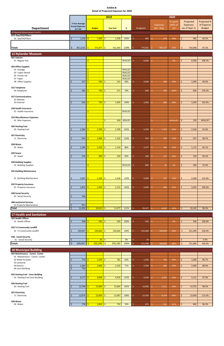**18 Municipal Building** 024 Maintenance - Comm. C

| % spent<br>Projected %<br>Projected<br>3 Year Average<br>of Expense<br>(66% of<br><b>Expenses</b><br><b>Expenses</b><br><b>Actual Expenses</b><br><b>Budget</b><br><b>Department</b><br>(as of Sept 1)<br><b>Budget</b><br><b>Year End</b><br>$\%$<br><b>Budgeted</b><br>Jan - Aug<br>yr)<br>$(17-19)$<br>10 General Government Cont'd<br>075 Gas/Oil/Filters<br>$\frac{1}{2}$<br>01 Gas/Oil/Filters<br>1,224<br>1,000<br>103%<br>\$<br>482<br>\$<br>1,028<br>800<br>34%<br>60.2%<br>\$<br>Ŝ.<br>275<br>S<br>$\zeta$<br>$811,515$   \$<br><b>Totals</b><br><mark>771,977</mark> \$<br>118%<br>-Ś<br>775,641<br>\$<br>492,137<br>63%<br>\$<br>97.2%<br>911,593<br>754,096<br><b>12 Nylander Museum</b><br>001 Salaries<br>01 Regular Pay<br>Š.<br>#VALUE!<br>6,000<br>6,500<br>108.3%<br>Ŝ.<br>0%<br>\$.<br>-Ŝ<br>$\equiv$<br>003 Office Supplies<br>$\overline{\mathsf{S}}$<br>01 Postage<br>#VALUE!<br>$\sim$<br>#VALUE!<br>03 Copier Rental<br>Š<br>$\rightarrow$<br>05 Printer Ink<br>#VALUE!<br>Š<br>$\sim$<br>#VALUE!<br>07 Paper<br>$\sim$<br>527<br>500<br>2,500<br>08 Office Supplies<br>\$<br>$\zeta$<br>341<br>68%<br>Ś.<br>389<br>16%<br>\$<br>1,000<br>40.0%<br>ς<br>S<br>015 Telephone<br>585<br>750<br>04 Telephone<br>Ś<br>  \$<br>571<br>76%<br>600<br>Ŝ.<br>598<br>100%<br>\$<br>836<br>139.3%<br>ς<br>017 Communications<br>01 Website<br>935<br>720<br>\$<br>Ŝ.<br>1,005<br>140%<br>Ŝ.<br>680<br>68%<br>\$<br>1,020<br>102.0%<br>03 Internet<br>1,000<br>Ŝ<br>018 Health Insurance<br>#VALUE!<br>Š<br>01 Health Insurance<br>$\sim$<br>019 Miscellaneous Expenses<br>01 Misc Expenses<br>Š.<br>\$<br>434<br>#DIV/0!<br>Ŝ.<br>\$<br>150<br>#VALUE!<br>#VALUE!<br>$\sim$<br>026 Heating Fuel<br>2,700<br>03 Heating Fuel<br>2,380<br>$\zeta$<br>2,769<br>103%<br>2,750<br>\$<br>2,530<br>92.0%<br>\$.<br>1,702<br>62%<br>Ŝ<br>S<br>027 Electricity<br>943<br>1,000<br>$\frac{1}{2}$<br>-\$<br>1,102<br>110%<br>950<br>Ŝ.<br>506<br>53%<br>\$<br>937<br>98.7%<br>11 Electricity<br>ς<br>Ŝ<br>028 Water<br>05 Water<br>1,189<br>1,350<br>-\$<br>1,154<br>86%<br>57%<br>\$<br>1,172<br>85.1%<br>\$<br>1,377<br>\$.<br>782<br>ς<br>S<br>029 Sewer<br>$\frac{1}{2}$<br>216<br>300<br>56%<br>\$<br>01 Sewer<br>Š.<br>-\$<br>250<br>83%<br>300<br>Ś.<br>167<br>250<br>83.3%<br>030 Building Supplies<br>01 Building Supplies<br>\$<br>#VALUE!<br>800<br>5%<br>\$<br>200<br>25.0%<br>-Ś<br>Ŝ.<br>40<br>$\sim$<br>031 Building Maintenance<br>01 Building Maintenance<br>1,921<br>1,200<br>  \$<br>1,318<br>110%<br>2,000<br>16%<br>125.0%<br>\$<br>\$<br>327<br>\$.<br>2,500<br>S<br>S<br>032 Property Insurance<br>1,855<br>01 Property Insurance<br>1,493<br>-\$<br>2,131<br>143%<br>2,050<br>Ŝ.<br>848<br>41%<br>\$<br>2,050<br>100.0%<br>Ś<br>Ś<br>038 Social Security<br>146<br>01 Social Security<br>\$<br>068 Janitotrial Services<br>951<br>$\frac{1}{2}$<br>01 Property Maintenance<br><b>Total</b><br>$\frac{1}{2}$<br>11,391<br>10,013<br>11,077<br>111%<br>20,327<br>Ś.<br>94.2%<br>-\$<br>Ŝ.<br>6,037<br>30%<br>19,145<br>Ŝ.<br>S<br><b>17 Health and Sanitation</b><br>022 Health Officer<br>500<br>500<br>Ŝ.<br>\$<br>01 Health Officer<br>\$<br>\$<br>500<br>100%<br>Ś<br>500<br>0%<br>500<br>100.0%<br>ς<br>$\sim$<br>023 Tri-Community Landfill<br>249,660<br>$\frac{1}{2}$<br>\$<br>\$<br>01 Tri-Community Landfill<br>249,067<br>¢<br>249,660<br>100%<br>251,400<br>166,903<br>66%<br>251,400<br>Ś<br>\$<br>100.0%<br>038 - Social Security<br>01 - Social Security<br>\$<br>$\overline{36}$ \$<br>0%<br>38<br>\$<br>0.0%<br>\$<br>S.<br>$\overline{\phantom{a}}$<br>$\overline{\phantom{a}}$<br>$\overline{\phantom{a}}$<br>$\zeta$<br>250,196<br>$\frac{1}{2}$<br><b>Totals</b><br>249,567<br>Ŝ<br>$\mathsf{S}$<br>$\dot{\mathsf{S}}$<br>250,160<br>100%<br>251,938<br>Ś.<br>166,903<br>66%<br>251,900<br>100.0% |  |  |  | 2019 |  |  | 2020 |  |  |
|-------------------------------------------------------------------------------------------------------------------------------------------------------------------------------------------------------------------------------------------------------------------------------------------------------------------------------------------------------------------------------------------------------------------------------------------------------------------------------------------------------------------------------------------------------------------------------------------------------------------------------------------------------------------------------------------------------------------------------------------------------------------------------------------------------------------------------------------------------------------------------------------------------------------------------------------------------------------------------------------------------------------------------------------------------------------------------------------------------------------------------------------------------------------------------------------------------------------------------------------------------------------------------------------------------------------------------------------------------------------------------------------------------------------------------------------------------------------------------------------------------------------------------------------------------------------------------------------------------------------------------------------------------------------------------------------------------------------------------------------------------------------------------------------------------------------------------------------------------------------------------------------------------------------------------------------------------------------------------------------------------------------------------------------------------------------------------------------------------------------------------------------------------------------------------------------------------------------------------------------------------------------------------------------------------------------------------------------------------------------------------------------------------------------------------------------------------------------------------------------------------------------------------------------------------------------------------------------------------------------------------------------------------------------------------------------------------------------------------------------------------------------------------------------------------------------------------------------------------------------------------------------------------------------------------------------------------------------------------------------------------------------------------------------------------------------------------------------------------------------------------------------------------------------------------------------------------------------------------------------------------------------------------------------------------------------------------------------------------------------------------------------------------------------------------------------------------------------------------------------------------------------------------------------------------------------------------------------------------------------------------------------------------------------------------------------------------------------------------------------------------------------------------------------------------------------------------------------------|--|--|--|------|--|--|------|--|--|
|                                                                                                                                                                                                                                                                                                                                                                                                                                                                                                                                                                                                                                                                                                                                                                                                                                                                                                                                                                                                                                                                                                                                                                                                                                                                                                                                                                                                                                                                                                                                                                                                                                                                                                                                                                                                                                                                                                                                                                                                                                                                                                                                                                                                                                                                                                                                                                                                                                                                                                                                                                                                                                                                                                                                                                                                                                                                                                                                                                                                                                                                                                                                                                                                                                                                                                                                                                                                                                                                                                                                                                                                                                                                                                                                                                                                                                                 |  |  |  |      |  |  |      |  |  |
|                                                                                                                                                                                                                                                                                                                                                                                                                                                                                                                                                                                                                                                                                                                                                                                                                                                                                                                                                                                                                                                                                                                                                                                                                                                                                                                                                                                                                                                                                                                                                                                                                                                                                                                                                                                                                                                                                                                                                                                                                                                                                                                                                                                                                                                                                                                                                                                                                                                                                                                                                                                                                                                                                                                                                                                                                                                                                                                                                                                                                                                                                                                                                                                                                                                                                                                                                                                                                                                                                                                                                                                                                                                                                                                                                                                                                                                 |  |  |  |      |  |  |      |  |  |
|                                                                                                                                                                                                                                                                                                                                                                                                                                                                                                                                                                                                                                                                                                                                                                                                                                                                                                                                                                                                                                                                                                                                                                                                                                                                                                                                                                                                                                                                                                                                                                                                                                                                                                                                                                                                                                                                                                                                                                                                                                                                                                                                                                                                                                                                                                                                                                                                                                                                                                                                                                                                                                                                                                                                                                                                                                                                                                                                                                                                                                                                                                                                                                                                                                                                                                                                                                                                                                                                                                                                                                                                                                                                                                                                                                                                                                                 |  |  |  |      |  |  |      |  |  |
|                                                                                                                                                                                                                                                                                                                                                                                                                                                                                                                                                                                                                                                                                                                                                                                                                                                                                                                                                                                                                                                                                                                                                                                                                                                                                                                                                                                                                                                                                                                                                                                                                                                                                                                                                                                                                                                                                                                                                                                                                                                                                                                                                                                                                                                                                                                                                                                                                                                                                                                                                                                                                                                                                                                                                                                                                                                                                                                                                                                                                                                                                                                                                                                                                                                                                                                                                                                                                                                                                                                                                                                                                                                                                                                                                                                                                                                 |  |  |  |      |  |  |      |  |  |
|                                                                                                                                                                                                                                                                                                                                                                                                                                                                                                                                                                                                                                                                                                                                                                                                                                                                                                                                                                                                                                                                                                                                                                                                                                                                                                                                                                                                                                                                                                                                                                                                                                                                                                                                                                                                                                                                                                                                                                                                                                                                                                                                                                                                                                                                                                                                                                                                                                                                                                                                                                                                                                                                                                                                                                                                                                                                                                                                                                                                                                                                                                                                                                                                                                                                                                                                                                                                                                                                                                                                                                                                                                                                                                                                                                                                                                                 |  |  |  |      |  |  |      |  |  |
|                                                                                                                                                                                                                                                                                                                                                                                                                                                                                                                                                                                                                                                                                                                                                                                                                                                                                                                                                                                                                                                                                                                                                                                                                                                                                                                                                                                                                                                                                                                                                                                                                                                                                                                                                                                                                                                                                                                                                                                                                                                                                                                                                                                                                                                                                                                                                                                                                                                                                                                                                                                                                                                                                                                                                                                                                                                                                                                                                                                                                                                                                                                                                                                                                                                                                                                                                                                                                                                                                                                                                                                                                                                                                                                                                                                                                                                 |  |  |  |      |  |  |      |  |  |
|                                                                                                                                                                                                                                                                                                                                                                                                                                                                                                                                                                                                                                                                                                                                                                                                                                                                                                                                                                                                                                                                                                                                                                                                                                                                                                                                                                                                                                                                                                                                                                                                                                                                                                                                                                                                                                                                                                                                                                                                                                                                                                                                                                                                                                                                                                                                                                                                                                                                                                                                                                                                                                                                                                                                                                                                                                                                                                                                                                                                                                                                                                                                                                                                                                                                                                                                                                                                                                                                                                                                                                                                                                                                                                                                                                                                                                                 |  |  |  |      |  |  |      |  |  |
|                                                                                                                                                                                                                                                                                                                                                                                                                                                                                                                                                                                                                                                                                                                                                                                                                                                                                                                                                                                                                                                                                                                                                                                                                                                                                                                                                                                                                                                                                                                                                                                                                                                                                                                                                                                                                                                                                                                                                                                                                                                                                                                                                                                                                                                                                                                                                                                                                                                                                                                                                                                                                                                                                                                                                                                                                                                                                                                                                                                                                                                                                                                                                                                                                                                                                                                                                                                                                                                                                                                                                                                                                                                                                                                                                                                                                                                 |  |  |  |      |  |  |      |  |  |
|                                                                                                                                                                                                                                                                                                                                                                                                                                                                                                                                                                                                                                                                                                                                                                                                                                                                                                                                                                                                                                                                                                                                                                                                                                                                                                                                                                                                                                                                                                                                                                                                                                                                                                                                                                                                                                                                                                                                                                                                                                                                                                                                                                                                                                                                                                                                                                                                                                                                                                                                                                                                                                                                                                                                                                                                                                                                                                                                                                                                                                                                                                                                                                                                                                                                                                                                                                                                                                                                                                                                                                                                                                                                                                                                                                                                                                                 |  |  |  |      |  |  |      |  |  |
|                                                                                                                                                                                                                                                                                                                                                                                                                                                                                                                                                                                                                                                                                                                                                                                                                                                                                                                                                                                                                                                                                                                                                                                                                                                                                                                                                                                                                                                                                                                                                                                                                                                                                                                                                                                                                                                                                                                                                                                                                                                                                                                                                                                                                                                                                                                                                                                                                                                                                                                                                                                                                                                                                                                                                                                                                                                                                                                                                                                                                                                                                                                                                                                                                                                                                                                                                                                                                                                                                                                                                                                                                                                                                                                                                                                                                                                 |  |  |  |      |  |  |      |  |  |
|                                                                                                                                                                                                                                                                                                                                                                                                                                                                                                                                                                                                                                                                                                                                                                                                                                                                                                                                                                                                                                                                                                                                                                                                                                                                                                                                                                                                                                                                                                                                                                                                                                                                                                                                                                                                                                                                                                                                                                                                                                                                                                                                                                                                                                                                                                                                                                                                                                                                                                                                                                                                                                                                                                                                                                                                                                                                                                                                                                                                                                                                                                                                                                                                                                                                                                                                                                                                                                                                                                                                                                                                                                                                                                                                                                                                                                                 |  |  |  |      |  |  |      |  |  |
|                                                                                                                                                                                                                                                                                                                                                                                                                                                                                                                                                                                                                                                                                                                                                                                                                                                                                                                                                                                                                                                                                                                                                                                                                                                                                                                                                                                                                                                                                                                                                                                                                                                                                                                                                                                                                                                                                                                                                                                                                                                                                                                                                                                                                                                                                                                                                                                                                                                                                                                                                                                                                                                                                                                                                                                                                                                                                                                                                                                                                                                                                                                                                                                                                                                                                                                                                                                                                                                                                                                                                                                                                                                                                                                                                                                                                                                 |  |  |  |      |  |  |      |  |  |
|                                                                                                                                                                                                                                                                                                                                                                                                                                                                                                                                                                                                                                                                                                                                                                                                                                                                                                                                                                                                                                                                                                                                                                                                                                                                                                                                                                                                                                                                                                                                                                                                                                                                                                                                                                                                                                                                                                                                                                                                                                                                                                                                                                                                                                                                                                                                                                                                                                                                                                                                                                                                                                                                                                                                                                                                                                                                                                                                                                                                                                                                                                                                                                                                                                                                                                                                                                                                                                                                                                                                                                                                                                                                                                                                                                                                                                                 |  |  |  |      |  |  |      |  |  |
|                                                                                                                                                                                                                                                                                                                                                                                                                                                                                                                                                                                                                                                                                                                                                                                                                                                                                                                                                                                                                                                                                                                                                                                                                                                                                                                                                                                                                                                                                                                                                                                                                                                                                                                                                                                                                                                                                                                                                                                                                                                                                                                                                                                                                                                                                                                                                                                                                                                                                                                                                                                                                                                                                                                                                                                                                                                                                                                                                                                                                                                                                                                                                                                                                                                                                                                                                                                                                                                                                                                                                                                                                                                                                                                                                                                                                                                 |  |  |  |      |  |  |      |  |  |
|                                                                                                                                                                                                                                                                                                                                                                                                                                                                                                                                                                                                                                                                                                                                                                                                                                                                                                                                                                                                                                                                                                                                                                                                                                                                                                                                                                                                                                                                                                                                                                                                                                                                                                                                                                                                                                                                                                                                                                                                                                                                                                                                                                                                                                                                                                                                                                                                                                                                                                                                                                                                                                                                                                                                                                                                                                                                                                                                                                                                                                                                                                                                                                                                                                                                                                                                                                                                                                                                                                                                                                                                                                                                                                                                                                                                                                                 |  |  |  |      |  |  |      |  |  |
|                                                                                                                                                                                                                                                                                                                                                                                                                                                                                                                                                                                                                                                                                                                                                                                                                                                                                                                                                                                                                                                                                                                                                                                                                                                                                                                                                                                                                                                                                                                                                                                                                                                                                                                                                                                                                                                                                                                                                                                                                                                                                                                                                                                                                                                                                                                                                                                                                                                                                                                                                                                                                                                                                                                                                                                                                                                                                                                                                                                                                                                                                                                                                                                                                                                                                                                                                                                                                                                                                                                                                                                                                                                                                                                                                                                                                                                 |  |  |  |      |  |  |      |  |  |
|                                                                                                                                                                                                                                                                                                                                                                                                                                                                                                                                                                                                                                                                                                                                                                                                                                                                                                                                                                                                                                                                                                                                                                                                                                                                                                                                                                                                                                                                                                                                                                                                                                                                                                                                                                                                                                                                                                                                                                                                                                                                                                                                                                                                                                                                                                                                                                                                                                                                                                                                                                                                                                                                                                                                                                                                                                                                                                                                                                                                                                                                                                                                                                                                                                                                                                                                                                                                                                                                                                                                                                                                                                                                                                                                                                                                                                                 |  |  |  |      |  |  |      |  |  |
|                                                                                                                                                                                                                                                                                                                                                                                                                                                                                                                                                                                                                                                                                                                                                                                                                                                                                                                                                                                                                                                                                                                                                                                                                                                                                                                                                                                                                                                                                                                                                                                                                                                                                                                                                                                                                                                                                                                                                                                                                                                                                                                                                                                                                                                                                                                                                                                                                                                                                                                                                                                                                                                                                                                                                                                                                                                                                                                                                                                                                                                                                                                                                                                                                                                                                                                                                                                                                                                                                                                                                                                                                                                                                                                                                                                                                                                 |  |  |  |      |  |  |      |  |  |
|                                                                                                                                                                                                                                                                                                                                                                                                                                                                                                                                                                                                                                                                                                                                                                                                                                                                                                                                                                                                                                                                                                                                                                                                                                                                                                                                                                                                                                                                                                                                                                                                                                                                                                                                                                                                                                                                                                                                                                                                                                                                                                                                                                                                                                                                                                                                                                                                                                                                                                                                                                                                                                                                                                                                                                                                                                                                                                                                                                                                                                                                                                                                                                                                                                                                                                                                                                                                                                                                                                                                                                                                                                                                                                                                                                                                                                                 |  |  |  |      |  |  |      |  |  |
|                                                                                                                                                                                                                                                                                                                                                                                                                                                                                                                                                                                                                                                                                                                                                                                                                                                                                                                                                                                                                                                                                                                                                                                                                                                                                                                                                                                                                                                                                                                                                                                                                                                                                                                                                                                                                                                                                                                                                                                                                                                                                                                                                                                                                                                                                                                                                                                                                                                                                                                                                                                                                                                                                                                                                                                                                                                                                                                                                                                                                                                                                                                                                                                                                                                                                                                                                                                                                                                                                                                                                                                                                                                                                                                                                                                                                                                 |  |  |  |      |  |  |      |  |  |
|                                                                                                                                                                                                                                                                                                                                                                                                                                                                                                                                                                                                                                                                                                                                                                                                                                                                                                                                                                                                                                                                                                                                                                                                                                                                                                                                                                                                                                                                                                                                                                                                                                                                                                                                                                                                                                                                                                                                                                                                                                                                                                                                                                                                                                                                                                                                                                                                                                                                                                                                                                                                                                                                                                                                                                                                                                                                                                                                                                                                                                                                                                                                                                                                                                                                                                                                                                                                                                                                                                                                                                                                                                                                                                                                                                                                                                                 |  |  |  |      |  |  |      |  |  |
|                                                                                                                                                                                                                                                                                                                                                                                                                                                                                                                                                                                                                                                                                                                                                                                                                                                                                                                                                                                                                                                                                                                                                                                                                                                                                                                                                                                                                                                                                                                                                                                                                                                                                                                                                                                                                                                                                                                                                                                                                                                                                                                                                                                                                                                                                                                                                                                                                                                                                                                                                                                                                                                                                                                                                                                                                                                                                                                                                                                                                                                                                                                                                                                                                                                                                                                                                                                                                                                                                                                                                                                                                                                                                                                                                                                                                                                 |  |  |  |      |  |  |      |  |  |
|                                                                                                                                                                                                                                                                                                                                                                                                                                                                                                                                                                                                                                                                                                                                                                                                                                                                                                                                                                                                                                                                                                                                                                                                                                                                                                                                                                                                                                                                                                                                                                                                                                                                                                                                                                                                                                                                                                                                                                                                                                                                                                                                                                                                                                                                                                                                                                                                                                                                                                                                                                                                                                                                                                                                                                                                                                                                                                                                                                                                                                                                                                                                                                                                                                                                                                                                                                                                                                                                                                                                                                                                                                                                                                                                                                                                                                                 |  |  |  |      |  |  |      |  |  |
|                                                                                                                                                                                                                                                                                                                                                                                                                                                                                                                                                                                                                                                                                                                                                                                                                                                                                                                                                                                                                                                                                                                                                                                                                                                                                                                                                                                                                                                                                                                                                                                                                                                                                                                                                                                                                                                                                                                                                                                                                                                                                                                                                                                                                                                                                                                                                                                                                                                                                                                                                                                                                                                                                                                                                                                                                                                                                                                                                                                                                                                                                                                                                                                                                                                                                                                                                                                                                                                                                                                                                                                                                                                                                                                                                                                                                                                 |  |  |  |      |  |  |      |  |  |
|                                                                                                                                                                                                                                                                                                                                                                                                                                                                                                                                                                                                                                                                                                                                                                                                                                                                                                                                                                                                                                                                                                                                                                                                                                                                                                                                                                                                                                                                                                                                                                                                                                                                                                                                                                                                                                                                                                                                                                                                                                                                                                                                                                                                                                                                                                                                                                                                                                                                                                                                                                                                                                                                                                                                                                                                                                                                                                                                                                                                                                                                                                                                                                                                                                                                                                                                                                                                                                                                                                                                                                                                                                                                                                                                                                                                                                                 |  |  |  |      |  |  |      |  |  |
|                                                                                                                                                                                                                                                                                                                                                                                                                                                                                                                                                                                                                                                                                                                                                                                                                                                                                                                                                                                                                                                                                                                                                                                                                                                                                                                                                                                                                                                                                                                                                                                                                                                                                                                                                                                                                                                                                                                                                                                                                                                                                                                                                                                                                                                                                                                                                                                                                                                                                                                                                                                                                                                                                                                                                                                                                                                                                                                                                                                                                                                                                                                                                                                                                                                                                                                                                                                                                                                                                                                                                                                                                                                                                                                                                                                                                                                 |  |  |  |      |  |  |      |  |  |
|                                                                                                                                                                                                                                                                                                                                                                                                                                                                                                                                                                                                                                                                                                                                                                                                                                                                                                                                                                                                                                                                                                                                                                                                                                                                                                                                                                                                                                                                                                                                                                                                                                                                                                                                                                                                                                                                                                                                                                                                                                                                                                                                                                                                                                                                                                                                                                                                                                                                                                                                                                                                                                                                                                                                                                                                                                                                                                                                                                                                                                                                                                                                                                                                                                                                                                                                                                                                                                                                                                                                                                                                                                                                                                                                                                                                                                                 |  |  |  |      |  |  |      |  |  |
|                                                                                                                                                                                                                                                                                                                                                                                                                                                                                                                                                                                                                                                                                                                                                                                                                                                                                                                                                                                                                                                                                                                                                                                                                                                                                                                                                                                                                                                                                                                                                                                                                                                                                                                                                                                                                                                                                                                                                                                                                                                                                                                                                                                                                                                                                                                                                                                                                                                                                                                                                                                                                                                                                                                                                                                                                                                                                                                                                                                                                                                                                                                                                                                                                                                                                                                                                                                                                                                                                                                                                                                                                                                                                                                                                                                                                                                 |  |  |  |      |  |  |      |  |  |
|                                                                                                                                                                                                                                                                                                                                                                                                                                                                                                                                                                                                                                                                                                                                                                                                                                                                                                                                                                                                                                                                                                                                                                                                                                                                                                                                                                                                                                                                                                                                                                                                                                                                                                                                                                                                                                                                                                                                                                                                                                                                                                                                                                                                                                                                                                                                                                                                                                                                                                                                                                                                                                                                                                                                                                                                                                                                                                                                                                                                                                                                                                                                                                                                                                                                                                                                                                                                                                                                                                                                                                                                                                                                                                                                                                                                                                                 |  |  |  |      |  |  |      |  |  |
|                                                                                                                                                                                                                                                                                                                                                                                                                                                                                                                                                                                                                                                                                                                                                                                                                                                                                                                                                                                                                                                                                                                                                                                                                                                                                                                                                                                                                                                                                                                                                                                                                                                                                                                                                                                                                                                                                                                                                                                                                                                                                                                                                                                                                                                                                                                                                                                                                                                                                                                                                                                                                                                                                                                                                                                                                                                                                                                                                                                                                                                                                                                                                                                                                                                                                                                                                                                                                                                                                                                                                                                                                                                                                                                                                                                                                                                 |  |  |  |      |  |  |      |  |  |
|                                                                                                                                                                                                                                                                                                                                                                                                                                                                                                                                                                                                                                                                                                                                                                                                                                                                                                                                                                                                                                                                                                                                                                                                                                                                                                                                                                                                                                                                                                                                                                                                                                                                                                                                                                                                                                                                                                                                                                                                                                                                                                                                                                                                                                                                                                                                                                                                                                                                                                                                                                                                                                                                                                                                                                                                                                                                                                                                                                                                                                                                                                                                                                                                                                                                                                                                                                                                                                                                                                                                                                                                                                                                                                                                                                                                                                                 |  |  |  |      |  |  |      |  |  |
|                                                                                                                                                                                                                                                                                                                                                                                                                                                                                                                                                                                                                                                                                                                                                                                                                                                                                                                                                                                                                                                                                                                                                                                                                                                                                                                                                                                                                                                                                                                                                                                                                                                                                                                                                                                                                                                                                                                                                                                                                                                                                                                                                                                                                                                                                                                                                                                                                                                                                                                                                                                                                                                                                                                                                                                                                                                                                                                                                                                                                                                                                                                                                                                                                                                                                                                                                                                                                                                                                                                                                                                                                                                                                                                                                                                                                                                 |  |  |  |      |  |  |      |  |  |
|                                                                                                                                                                                                                                                                                                                                                                                                                                                                                                                                                                                                                                                                                                                                                                                                                                                                                                                                                                                                                                                                                                                                                                                                                                                                                                                                                                                                                                                                                                                                                                                                                                                                                                                                                                                                                                                                                                                                                                                                                                                                                                                                                                                                                                                                                                                                                                                                                                                                                                                                                                                                                                                                                                                                                                                                                                                                                                                                                                                                                                                                                                                                                                                                                                                                                                                                                                                                                                                                                                                                                                                                                                                                                                                                                                                                                                                 |  |  |  |      |  |  |      |  |  |
|                                                                                                                                                                                                                                                                                                                                                                                                                                                                                                                                                                                                                                                                                                                                                                                                                                                                                                                                                                                                                                                                                                                                                                                                                                                                                                                                                                                                                                                                                                                                                                                                                                                                                                                                                                                                                                                                                                                                                                                                                                                                                                                                                                                                                                                                                                                                                                                                                                                                                                                                                                                                                                                                                                                                                                                                                                                                                                                                                                                                                                                                                                                                                                                                                                                                                                                                                                                                                                                                                                                                                                                                                                                                                                                                                                                                                                                 |  |  |  |      |  |  |      |  |  |
|                                                                                                                                                                                                                                                                                                                                                                                                                                                                                                                                                                                                                                                                                                                                                                                                                                                                                                                                                                                                                                                                                                                                                                                                                                                                                                                                                                                                                                                                                                                                                                                                                                                                                                                                                                                                                                                                                                                                                                                                                                                                                                                                                                                                                                                                                                                                                                                                                                                                                                                                                                                                                                                                                                                                                                                                                                                                                                                                                                                                                                                                                                                                                                                                                                                                                                                                                                                                                                                                                                                                                                                                                                                                                                                                                                                                                                                 |  |  |  |      |  |  |      |  |  |
|                                                                                                                                                                                                                                                                                                                                                                                                                                                                                                                                                                                                                                                                                                                                                                                                                                                                                                                                                                                                                                                                                                                                                                                                                                                                                                                                                                                                                                                                                                                                                                                                                                                                                                                                                                                                                                                                                                                                                                                                                                                                                                                                                                                                                                                                                                                                                                                                                                                                                                                                                                                                                                                                                                                                                                                                                                                                                                                                                                                                                                                                                                                                                                                                                                                                                                                                                                                                                                                                                                                                                                                                                                                                                                                                                                                                                                                 |  |  |  |      |  |  |      |  |  |
|                                                                                                                                                                                                                                                                                                                                                                                                                                                                                                                                                                                                                                                                                                                                                                                                                                                                                                                                                                                                                                                                                                                                                                                                                                                                                                                                                                                                                                                                                                                                                                                                                                                                                                                                                                                                                                                                                                                                                                                                                                                                                                                                                                                                                                                                                                                                                                                                                                                                                                                                                                                                                                                                                                                                                                                                                                                                                                                                                                                                                                                                                                                                                                                                                                                                                                                                                                                                                                                                                                                                                                                                                                                                                                                                                                                                                                                 |  |  |  |      |  |  |      |  |  |
|                                                                                                                                                                                                                                                                                                                                                                                                                                                                                                                                                                                                                                                                                                                                                                                                                                                                                                                                                                                                                                                                                                                                                                                                                                                                                                                                                                                                                                                                                                                                                                                                                                                                                                                                                                                                                                                                                                                                                                                                                                                                                                                                                                                                                                                                                                                                                                                                                                                                                                                                                                                                                                                                                                                                                                                                                                                                                                                                                                                                                                                                                                                                                                                                                                                                                                                                                                                                                                                                                                                                                                                                                                                                                                                                                                                                                                                 |  |  |  |      |  |  |      |  |  |
|                                                                                                                                                                                                                                                                                                                                                                                                                                                                                                                                                                                                                                                                                                                                                                                                                                                                                                                                                                                                                                                                                                                                                                                                                                                                                                                                                                                                                                                                                                                                                                                                                                                                                                                                                                                                                                                                                                                                                                                                                                                                                                                                                                                                                                                                                                                                                                                                                                                                                                                                                                                                                                                                                                                                                                                                                                                                                                                                                                                                                                                                                                                                                                                                                                                                                                                                                                                                                                                                                                                                                                                                                                                                                                                                                                                                                                                 |  |  |  |      |  |  |      |  |  |
|                                                                                                                                                                                                                                                                                                                                                                                                                                                                                                                                                                                                                                                                                                                                                                                                                                                                                                                                                                                                                                                                                                                                                                                                                                                                                                                                                                                                                                                                                                                                                                                                                                                                                                                                                                                                                                                                                                                                                                                                                                                                                                                                                                                                                                                                                                                                                                                                                                                                                                                                                                                                                                                                                                                                                                                                                                                                                                                                                                                                                                                                                                                                                                                                                                                                                                                                                                                                                                                                                                                                                                                                                                                                                                                                                                                                                                                 |  |  |  |      |  |  |      |  |  |
|                                                                                                                                                                                                                                                                                                                                                                                                                                                                                                                                                                                                                                                                                                                                                                                                                                                                                                                                                                                                                                                                                                                                                                                                                                                                                                                                                                                                                                                                                                                                                                                                                                                                                                                                                                                                                                                                                                                                                                                                                                                                                                                                                                                                                                                                                                                                                                                                                                                                                                                                                                                                                                                                                                                                                                                                                                                                                                                                                                                                                                                                                                                                                                                                                                                                                                                                                                                                                                                                                                                                                                                                                                                                                                                                                                                                                                                 |  |  |  |      |  |  |      |  |  |
|                                                                                                                                                                                                                                                                                                                                                                                                                                                                                                                                                                                                                                                                                                                                                                                                                                                                                                                                                                                                                                                                                                                                                                                                                                                                                                                                                                                                                                                                                                                                                                                                                                                                                                                                                                                                                                                                                                                                                                                                                                                                                                                                                                                                                                                                                                                                                                                                                                                                                                                                                                                                                                                                                                                                                                                                                                                                                                                                                                                                                                                                                                                                                                                                                                                                                                                                                                                                                                                                                                                                                                                                                                                                                                                                                                                                                                                 |  |  |  |      |  |  |      |  |  |
|                                                                                                                                                                                                                                                                                                                                                                                                                                                                                                                                                                                                                                                                                                                                                                                                                                                                                                                                                                                                                                                                                                                                                                                                                                                                                                                                                                                                                                                                                                                                                                                                                                                                                                                                                                                                                                                                                                                                                                                                                                                                                                                                                                                                                                                                                                                                                                                                                                                                                                                                                                                                                                                                                                                                                                                                                                                                                                                                                                                                                                                                                                                                                                                                                                                                                                                                                                                                                                                                                                                                                                                                                                                                                                                                                                                                                                                 |  |  |  |      |  |  |      |  |  |
|                                                                                                                                                                                                                                                                                                                                                                                                                                                                                                                                                                                                                                                                                                                                                                                                                                                                                                                                                                                                                                                                                                                                                                                                                                                                                                                                                                                                                                                                                                                                                                                                                                                                                                                                                                                                                                                                                                                                                                                                                                                                                                                                                                                                                                                                                                                                                                                                                                                                                                                                                                                                                                                                                                                                                                                                                                                                                                                                                                                                                                                                                                                                                                                                                                                                                                                                                                                                                                                                                                                                                                                                                                                                                                                                                                                                                                                 |  |  |  |      |  |  |      |  |  |
|                                                                                                                                                                                                                                                                                                                                                                                                                                                                                                                                                                                                                                                                                                                                                                                                                                                                                                                                                                                                                                                                                                                                                                                                                                                                                                                                                                                                                                                                                                                                                                                                                                                                                                                                                                                                                                                                                                                                                                                                                                                                                                                                                                                                                                                                                                                                                                                                                                                                                                                                                                                                                                                                                                                                                                                                                                                                                                                                                                                                                                                                                                                                                                                                                                                                                                                                                                                                                                                                                                                                                                                                                                                                                                                                                                                                                                                 |  |  |  |      |  |  |      |  |  |
|                                                                                                                                                                                                                                                                                                                                                                                                                                                                                                                                                                                                                                                                                                                                                                                                                                                                                                                                                                                                                                                                                                                                                                                                                                                                                                                                                                                                                                                                                                                                                                                                                                                                                                                                                                                                                                                                                                                                                                                                                                                                                                                                                                                                                                                                                                                                                                                                                                                                                                                                                                                                                                                                                                                                                                                                                                                                                                                                                                                                                                                                                                                                                                                                                                                                                                                                                                                                                                                                                                                                                                                                                                                                                                                                                                                                                                                 |  |  |  |      |  |  |      |  |  |
|                                                                                                                                                                                                                                                                                                                                                                                                                                                                                                                                                                                                                                                                                                                                                                                                                                                                                                                                                                                                                                                                                                                                                                                                                                                                                                                                                                                                                                                                                                                                                                                                                                                                                                                                                                                                                                                                                                                                                                                                                                                                                                                                                                                                                                                                                                                                                                                                                                                                                                                                                                                                                                                                                                                                                                                                                                                                                                                                                                                                                                                                                                                                                                                                                                                                                                                                                                                                                                                                                                                                                                                                                                                                                                                                                                                                                                                 |  |  |  |      |  |  |      |  |  |
|                                                                                                                                                                                                                                                                                                                                                                                                                                                                                                                                                                                                                                                                                                                                                                                                                                                                                                                                                                                                                                                                                                                                                                                                                                                                                                                                                                                                                                                                                                                                                                                                                                                                                                                                                                                                                                                                                                                                                                                                                                                                                                                                                                                                                                                                                                                                                                                                                                                                                                                                                                                                                                                                                                                                                                                                                                                                                                                                                                                                                                                                                                                                                                                                                                                                                                                                                                                                                                                                                                                                                                                                                                                                                                                                                                                                                                                 |  |  |  |      |  |  |      |  |  |
|                                                                                                                                                                                                                                                                                                                                                                                                                                                                                                                                                                                                                                                                                                                                                                                                                                                                                                                                                                                                                                                                                                                                                                                                                                                                                                                                                                                                                                                                                                                                                                                                                                                                                                                                                                                                                                                                                                                                                                                                                                                                                                                                                                                                                                                                                                                                                                                                                                                                                                                                                                                                                                                                                                                                                                                                                                                                                                                                                                                                                                                                                                                                                                                                                                                                                                                                                                                                                                                                                                                                                                                                                                                                                                                                                                                                                                                 |  |  |  |      |  |  |      |  |  |
|                                                                                                                                                                                                                                                                                                                                                                                                                                                                                                                                                                                                                                                                                                                                                                                                                                                                                                                                                                                                                                                                                                                                                                                                                                                                                                                                                                                                                                                                                                                                                                                                                                                                                                                                                                                                                                                                                                                                                                                                                                                                                                                                                                                                                                                                                                                                                                                                                                                                                                                                                                                                                                                                                                                                                                                                                                                                                                                                                                                                                                                                                                                                                                                                                                                                                                                                                                                                                                                                                                                                                                                                                                                                                                                                                                                                                                                 |  |  |  |      |  |  |      |  |  |
|                                                                                                                                                                                                                                                                                                                                                                                                                                                                                                                                                                                                                                                                                                                                                                                                                                                                                                                                                                                                                                                                                                                                                                                                                                                                                                                                                                                                                                                                                                                                                                                                                                                                                                                                                                                                                                                                                                                                                                                                                                                                                                                                                                                                                                                                                                                                                                                                                                                                                                                                                                                                                                                                                                                                                                                                                                                                                                                                                                                                                                                                                                                                                                                                                                                                                                                                                                                                                                                                                                                                                                                                                                                                                                                                                                                                                                                 |  |  |  |      |  |  |      |  |  |
|                                                                                                                                                                                                                                                                                                                                                                                                                                                                                                                                                                                                                                                                                                                                                                                                                                                                                                                                                                                                                                                                                                                                                                                                                                                                                                                                                                                                                                                                                                                                                                                                                                                                                                                                                                                                                                                                                                                                                                                                                                                                                                                                                                                                                                                                                                                                                                                                                                                                                                                                                                                                                                                                                                                                                                                                                                                                                                                                                                                                                                                                                                                                                                                                                                                                                                                                                                                                                                                                                                                                                                                                                                                                                                                                                                                                                                                 |  |  |  |      |  |  |      |  |  |
|                                                                                                                                                                                                                                                                                                                                                                                                                                                                                                                                                                                                                                                                                                                                                                                                                                                                                                                                                                                                                                                                                                                                                                                                                                                                                                                                                                                                                                                                                                                                                                                                                                                                                                                                                                                                                                                                                                                                                                                                                                                                                                                                                                                                                                                                                                                                                                                                                                                                                                                                                                                                                                                                                                                                                                                                                                                                                                                                                                                                                                                                                                                                                                                                                                                                                                                                                                                                                                                                                                                                                                                                                                                                                                                                                                                                                                                 |  |  |  |      |  |  |      |  |  |
|                                                                                                                                                                                                                                                                                                                                                                                                                                                                                                                                                                                                                                                                                                                                                                                                                                                                                                                                                                                                                                                                                                                                                                                                                                                                                                                                                                                                                                                                                                                                                                                                                                                                                                                                                                                                                                                                                                                                                                                                                                                                                                                                                                                                                                                                                                                                                                                                                                                                                                                                                                                                                                                                                                                                                                                                                                                                                                                                                                                                                                                                                                                                                                                                                                                                                                                                                                                                                                                                                                                                                                                                                                                                                                                                                                                                                                                 |  |  |  |      |  |  |      |  |  |

# 01 Maintenance - Comm. Center<br>02 Water & Sewer 03 Janitorial

#### **025 Heating Fuel - Lions Building**

| 024 Maintenance - Comm. Center    |        |     |             |              |      |        |       |     |        |        |
|-----------------------------------|--------|-----|-------------|--------------|------|--------|-------|-----|--------|--------|
| 01 Maintenance - Comm. Center     |        |     |             |              |      |        |       |     |        |        |
| 02 Water & Sewer                  | 770    |     | 1,250       | Ŝ.<br>781    | 63%  | 1,200  | 766   | 64% | 1,040  | 86.7%  |
| 03 Janitorial                     |        |     |             |              |      |        |       |     |        |        |
| 04 Electric                       | 2,384  |     | 2,900       | 2,245<br>Ŝ.  | 77%  | 2,700  | 800   | 30% | 2,400  | 88.9%  |
| 06 Lions Building                 | 750    |     |             |              |      |        |       |     |        |        |
|                                   |        |     |             |              |      |        |       |     |        |        |
| 025 Heating Fuel - Lions Building |        |     |             |              |      |        |       |     |        |        |
| 01 Heating Fuel Lions Building    | 4,177  |     | $4,000$ \$  | 4,916        | 123% | 4,250  | 2,387 | 56% | 4,121  | 97.0%  |
|                                   |        |     |             |              |      |        |       |     |        |        |
| 026 Heating Fuel                  |        |     |             |              |      |        |       |     |        |        |
| 03 Heating Fuel                   | 13,748 |     | 11,000      | 15,664<br>S. | 142% | 14,000 | 7,511 | 54% | 13,752 | 98.2%  |
|                                   |        |     |             |              |      |        |       |     |        |        |
| 027 Electricity                   |        |     |             |              |      |        |       |     |        |        |
| 11 Electricity                    | 12,674 |     | $13,000$ \$ | 13,997       | 108% | 12,350 | 8,104 | 66% | 13,958 | 113.0% |
|                                   |        |     |             |              |      |        |       |     |        |        |
| 028 Water                         |        |     |             |              |      |        |       |     |        |        |
| 05 Water                          |        | 778 | 1,004       | 759<br>-\$   | 76%  | 875    | 531   | 61% | 842    | 96.2%  |

#### **026 Heating Fuel**

# **027 Electricity**

# **028 Water**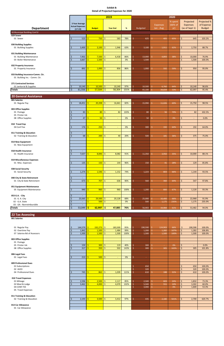|                                                                    |                                                                               |                              | 2019                                    |           |                 |                              | 2020                      |                                                |                                            |
|--------------------------------------------------------------------|-------------------------------------------------------------------------------|------------------------------|-----------------------------------------|-----------|-----------------|------------------------------|---------------------------|------------------------------------------------|--------------------------------------------|
| <b>Department</b>                                                  | 3 Year Average<br><b>Actual Expenses</b><br>$(17-19)$                         | <b>Budget</b>                | <b>Year End</b>                         | %         | <b>Budgeted</b> | <b>Expenses</b><br>Jan - Aug | % spent<br>(66% of<br>yr) | Projected<br><b>Expenses</b><br>(as of Sept 1) | Projected %<br>of Expense<br><b>Budget</b> |
| 18 Municipal Building Cont'd                                       |                                                                               |                              |                                         |           |                 |                              |                           |                                                |                                            |
| 029 Sewer<br>01 Sewer                                              | 523<br>Ś                                                                      | 750                          | Ŝ.<br>583                               | 78%       | 625<br>Ś.       | 405<br>Ŝ.                    | 65%                       | $\dot{\mathsf{S}}$<br>645                      | 103.2%                                     |
| 030 Building Supplies<br>01 Building Supplies                      | 3,400<br>Ŝ                                                                    | 3,100<br>\$.                 | Ŝ.<br>1,946                             | 63%       | Ŝ.<br>3,100     | S.<br>1,911                  | 62%                       | \$<br>2,750                                    | 88.7%                                      |
| 031 Building Maintenance<br>01 Building Maintenance                | 7,902<br>\$                                                                   | 7,500<br>\$                  | $\sqrt{5}$<br>6,418                     | 86%       | 13,000<br>\$    | Ŝ.<br>4,893                  | 38%                       | \$<br>10,000                                   | 76.9%                                      |
| 03 Boiler Maintenance                                              | Ś<br>3,667                                                                    | $1,500$ \$<br>Ŝ.             | $\blacksquare$                          | 0%        | Ś<br>1,500      |                              |                           | $\zeta$<br>1,500                               | 100.0%                                     |
| 032 Property Insurance<br>01 Property Insurance                    | 892<br>Ŝ                                                                      | 1,000<br>Ś                   | 856<br>Ŝ.                               | 86%       | Ś.<br>1,000     | 592<br>Ŝ.                    | 59%                       | 950<br>\$                                      | 95.0%                                      |
| 033 Building Insurance-Comm. Ctr.<br>01 Building Ins. - Comm. Ctr. |                                                                               |                              |                                         |           |                 |                              |                           |                                                |                                            |
| <b>271 Contracted Services</b><br>01 Janitorial & Supplies         | \$<br>10,140                                                                  | $10,500$ \$<br>\$.           | 10,140                                  | 97%       | Ŝ.<br>10,500    | -\$<br>6,760                 | 64%                       | \$<br>10,140                                   | 96.6%                                      |
| Totals                                                             | $\zeta$<br>61,556                                                             | $57,504$ \$<br>S             | 58,304                                  | 101%      | Ŝ.<br>65,100    | Ŝ.<br>34,659                 | 53%                       | \$<br>62,097                                   | 95.4%                                      |
| <b>20 General Assistance</b><br>001 Salaries                       |                                                                               |                              |                                         |           |                 |                              |                           |                                                |                                            |
| 01 Regular Pay                                                     | \$<br>18,451                                                                  | 20,208<br>\$.                | Ŝ.<br>16,661                            | 82%       | 15,990<br>Ś     | 11,026<br>S.                 | 69%                       | $\dot{\mathsf{S}}$<br>15,750                   | 98.5%                                      |
| 003 Office Supplies<br>01 Postage<br>05 Printer Ink                | 83<br>\$<br>$\zeta$                                                           | $\mathsf{S}$<br>80           | Ŝ.<br>82                                | 103%      | $\zeta$<br>80   | 56<br>Ŝ.                     | 70%                       | $\zeta$<br>82                                  | 102.5%                                     |
| 08 Office Supplies                                                 | Ś<br>47                                                                       | Ś                            | $50 \mid \frac{1}{2}$<br>$\blacksquare$ | 0%        | Ś<br>50         | $\mathsf{S}$                 | 0%                        | \$<br>$\overline{\phantom{a}}$                 | 0.0%                                       |
| 010 Travel Exp<br>04 Conf Fee                                      | 176<br>\$                                                                     | 250 5<br>Ś                   |                                         | 0%        | Ś.<br>300       | 192<br>Ŝ.                    | 64%                       | 192<br>\$                                      | 64.0%                                      |
| 011 Training & Education<br>02 Training & Education                | \$<br>$\overline{\phantom{a}}$<br>$\zeta$<br>68                               | 200<br>S.                    | $\mathsf{S}$<br>40                      | 20%       | \$<br>500       | 181<br>Ŝ.                    | 36%                       | \$<br>375                                      | 75.0%                                      |
| 014 New Equipment<br>01 New Equipment                              |                                                                               |                              |                                         |           |                 |                              |                           |                                                |                                            |
| 018 Health Insurance                                               | \$                                                                            |                              |                                         |           |                 |                              |                           |                                                |                                            |
| 01 Health Insurance<br>019 Miscellaneous Expenses                  | $\zeta$<br>7,637                                                              | $8,846$ \$<br>\$             | 8,082                                   | 91%       | 11,350<br>\$    | -\$<br>3,950                 | 35%                       | 10,000<br>\$                                   | 88.1%                                      |
| 01 Misc. Expenses<br>038 Social Security                           | 135<br>\$                                                                     | $150 \mid \zeta$<br>Ŝ.       | 144                                     | 96%       | Ś.<br>150       | Ŝ<br>41                      | 28%                       | $\zeta$<br>129                                 | 85.8%                                      |
| 01 Social Security                                                 | \$<br>1,274                                                                   | $1,546$ \$<br>\$             | 1,152                                   | 74%       | \$.<br>1,223    | -\$<br>803                   | 66%                       | \$<br>1,144                                    | 93.5%                                      |
| 040 City & State Retirement<br>01 City & State Retirement          | \$<br>$\zeta$<br>673                                                          | $707$ \$<br>Ŝ.               | 636                                     | 90%       | \$<br>560       | Ŝ.<br>360                    | 64%                       | $\mathsf{S}$<br>547                            | 97.8%                                      |
| 051 Equipment Maintenance<br>05 Equipment Maintenance              | 940<br>\$                                                                     | $960$ \$<br>Ś                | 960                                     | 100%      | \$.<br>1,200    | \$.<br>800                   | 67%                       | \$<br>1,120                                    | 93.3%                                      |
| 053 G.A. - City<br>01 G. A. City                                   | \$<br>$\overline{\phantom{a}}$<br>$\boldsymbol{\dot{\varsigma}}$<br>23,565    | $29,500$ \$<br>\$            | 20,128                                  | 68%       | \$<br>25,000    | -\$<br>16,400                | 66%                       | \$<br>22,968                                   | 91.9%                                      |
| 02 - G.A. State<br>03 - GA - Nonreimbursible                       | $\boldsymbol{\zeta}$<br>$\sqrt{2}$<br>$\overline{\mathcal{S}}$<br>$53,049$ \$ | $500$ \$<br>Ś<br>$62,997$ \$ |                                         | 0%<br>76% | \$<br>500       | -\$<br>1,175                 | 235%                      | \$<br>1,175                                    | 235.0%                                     |
| <b>Totals</b>                                                      |                                                                               |                              | 47,885                                  |           | 56,903<br>Ŝ.    | -\$<br>34,984                | 61%                       | $\zeta$<br>53,482                              | 94.0%                                      |
| <b>22 Tax Assessing</b>                                            |                                                                               |                              |                                         |           |                 |                              |                           |                                                |                                            |

| מיייסטטטי לאטר              |                  |              |    |         |      |    |         |    |                          |      |                    |                          |        |
|-----------------------------|------------------|--------------|----|---------|------|----|---------|----|--------------------------|------|--------------------|--------------------------|--------|
| 001 Salaries                |                  |              |    |         |      |    |         |    |                          |      |                    |                          |        |
|                             |                  |              |    |         |      |    |         |    |                          |      |                    |                          |        |
|                             |                  |              |    |         |      |    |         |    |                          |      |                    |                          |        |
| 01 Regular Pay              | $144,579$ \$     | $192,273$ \$ |    | 183,500 | 95%  | \$ | 190,590 | Ŝ. | 124,903                  | 66%  | \$                 | 190,590                  | 100.0% |
| 02 Overtime Pay             | 1,842            | $1,500$ \$   |    | 1,484   | 99%  |    | 1,200   | Ŝ. | 1,282                    | 107% | Ś                  | 1,282                    | 106.8% |
| 07 Salaries-Bd of Assessors | 1,500            | 1,500        | Ŝ. | 1,500   | 100% |    | 1,500   | Š. | 1,500                    | 100% |                    | 1,500                    | 100.0% |
| 003 Office Supplies         |                  |              |    |         |      |    |         |    |                          |      |                    |                          |        |
| 01 Postage                  |                  |              |    |         |      |    |         |    |                          |      |                    |                          |        |
| 05 Printer Ink              | 159              | 300          | Ŝ  | 119     | 40%  | Ś  | 300     | Ŝ. | $\overline{\phantom{a}}$ | 0%   | $\zeta$            | $\overline{\phantom{a}}$ | 0.0%   |
| 08 Office Supplies          | $\overline{317}$ | 350          | Ŝ  | 502     | 143% |    | 300     | Š. | 305                      | 102% | \$.                | 305                      | 101.8% |
|                             |                  |              |    |         |      |    |         |    |                          |      |                    |                          |        |
| 006 Legal Fees              |                  |              |    |         |      |    |         |    |                          |      |                    |                          |        |
| 01 Legal Fees               | 213              | $500$ \$     |    | $\sim$  | 0%   | Š. |         |    |                          |      |                    |                          |        |
| 009 Professional Dues       |                  |              |    |         |      |    |         |    |                          |      |                    |                          |        |
| 01 Subscriptions            |                  |              |    |         |      | Ś  | 650     |    |                          |      | \$                 | 650                      | 100.0% |
| 02 IAOO                     |                  |              |    |         |      |    | 320     |    |                          |      | $\mathsf{\dot{S}}$ | 320                      | 100.0% |
| 04 Professional Dues        | 745              | 862          | Ŝ. | 1,039   | 121% |    | 610     | Ŝ. | 188                      | 31%  | $\zeta$            | 610                      | 100.0% |
| 010 Travel Expenses         |                  |              |    |         |      |    |         |    |                          |      |                    |                          |        |
| 01 Mileage                  | 2,596            | $2,500$ \$   |    | 2,117   | 85%  | Ś  | 2,500   | Ŝ. | 603                      | 24%  | Ŝ.                 | 1,832                    | 73.3%  |
| 02 Meal & Lodge             | 3,462            | $4,000$ \$   |    | 4,070   | 102% |    | 5,500   | Ś. | 551                      | 10%  | $\zeta$            | 3,302                    | 60.0%  |
| 04 CONF FEE                 |                  |              |    |         |      |    | 3,000   | Ŝ. | $\overline{\phantom{a}}$ | 0%   |                    | 1,600                    | 53.3%  |
| 05 Travel Expenses          |                  |              |    |         |      |    |         |    |                          |      |                    |                          |        |
| 011 Training & Education    |                  |              |    |         |      |    |         |    |                          |      |                    |                          |        |
| 02 Training & Education     | 2,193            | $3,500$ \$   |    | 3,412   | 97%  | \$ | 435     | Ŝ. |                          | 501% | Ś.                 | 2,700                    | 620.7% |
|                             |                  |              |    |         |      |    |         |    | 2,180                    |      |                    |                          |        |
| 013 Car Allowance           |                  |              |    |         |      |    |         |    |                          |      |                    |                          |        |
| 01 Car Allowance            |                  |              |    |         |      |    |         |    |                          |      |                    |                          |        |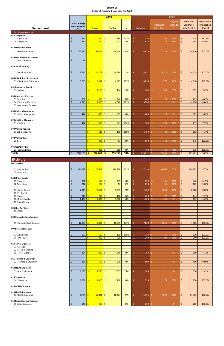|                                                           |                                                  |                                             | 2019                |            |                                  |                             | 2020         |                            |                 |
|-----------------------------------------------------------|--------------------------------------------------|---------------------------------------------|---------------------|------------|----------------------------------|-----------------------------|--------------|----------------------------|-----------------|
|                                                           |                                                  |                                             |                     |            |                                  |                             | % spent      | Projected                  | Projected %     |
|                                                           | 3 Year Average<br><b>Actual Expenses</b>         |                                             |                     |            |                                  | <b>Expenses</b>             | (66% of      | <b>Expenses</b>            | of Expense      |
| <b>Department</b>                                         | $(17-19)$                                        | <b>Budget</b>                               | <b>Year End</b>     | %          | <b>Budgeted</b>                  | Jan - Aug                   | yr)          | (as of Sept 1)             | <b>Budget</b>   |
| 22 Tax Assessing Cont'd<br>015 Telephone                  |                                                  |                                             |                     |            |                                  |                             |              |                            |                 |
| 01 Cell Phone                                             | 361<br>\$                                        | 350                                         | \$<br>388           | 111%       | Ś<br>380                         | 299<br>Ŝ.                   | 79%          | \$<br>424                  | 111.7%          |
| 04 Telephone                                              | $\mathsf{S}$<br>417                              | $510$ \$                                    | 403                 | 79%        | Ś.<br>475                        | Ŝ.<br>279                   | 59%          | \$<br>445                  | 93.6%           |
| 018 Health Insurance                                      |                                                  |                                             |                     |            |                                  |                             |              |                            |                 |
| 01 Health Insurance                                       | 33,224<br>\$                                     | 37,495                                      | \$<br>36,466        | 97%        | Ś<br>38,810                      | Ŝ<br>27,223                 | 70%          | \$<br>38,810               | 100.0%          |
| 019 Miscellaneous Expenses                                |                                                  |                                             |                     |            |                                  |                             |              |                            |                 |
| 01 Misc. Expense                                          | 98<br>Š.                                         |                                             |                     |            |                                  |                             |              |                            |                 |
| 038 Social Security                                       |                                                  |                                             |                     |            |                                  |                             |              |                            |                 |
| 01 Social Security                                        | 9,531                                            | $14,709$ \$                                 | 10,386              | 71%        | Ŝ.<br>14,672                     | Ŝ.<br>9,322                 | 64%          | \$<br>14,678               | 100.0%          |
|                                                           | \$                                               |                                             |                     |            |                                  |                             |              |                            |                 |
| 040 City & State Retirement<br>01 City & State Retirement | 3,009<br>\$                                      | $3,591$ \$<br>Ś                             | 4,075               | 113%       | Ŝ.<br>4,030                      | Ŝ.<br>1,777                 | 44%          | \$<br>4,030                | 100.0%          |
|                                                           |                                                  |                                             |                     |            |                                  |                             |              |                            |                 |
| 051 Equipment Maint<br>01 Software                        |                                                  | Š.<br>$1,200$ \$                            | 114                 | 10%        | Ś<br>1,700                       | 560<br>Ŝ.                   | 33%          | \$<br>675                  | 39.7%           |
|                                                           |                                                  |                                             |                     |            |                                  |                             |              |                            |                 |
| <b>056 Contracted Services</b><br>01 Registry             | 301<br>Ŝ.                                        | 500                                         | $\sqrt{5}$<br>242   | 48%        | \$<br>400                        | 93<br>Š.                    | 23%          | 273<br>\$                  | 68.3%           |
| 04 Contracted Services                                    | Ŝ.<br>4,318                                      | 4,500                                       | $\sqrt{5}$<br>4,527 | 101%       | Š.<br>5,500                      | S.<br>÷                     | 0%           | Ś.<br>4,750                | 86.4%           |
| 01 Assessment Reserve                                     |                                                  |                                             |                     |            |                                  |                             |              |                            |                 |
| 058 Codes Maintenance                                     |                                                  |                                             |                     |            |                                  |                             |              |                            |                 |
| 01 Codes Maintenance                                      | \$<br>442                                        | $\frac{600}{5}$                             | 569                 | 95%        | Ś<br>600                         | 20<br>S.                    | 3%           | \$<br>589                  | 98.2%           |
| 070 Clothing Allowance                                    |                                                  |                                             |                     |            |                                  |                             |              |                            |                 |
| 03 Clothing                                               | 417<br>Ś                                         | 300                                         | Ŝ.<br>341           | 114%       | Ś.<br>300                        | 233<br>Ŝ.                   | 78%          | \$<br>233                  | 77.5%           |
| 073 Vehicle Repairs                                       |                                                  |                                             |                     |            |                                  |                             |              |                            |                 |
| 01 Vehicle repairs                                        |                                                  | Ś.<br>$120 \mid \zeta$                      | 139                 | 116%       | 1,450<br>Ŝ.                      | 462<br>Ŝ.                   | 32%          | Ś.<br>662                  | 45.7%           |
| 074 Vehicle Tires                                         |                                                  |                                             |                     |            |                                  |                             |              |                            |                 |
| 01 Tires                                                  |                                                  | $300$ \$                                    | 87                  | 29%        | 600<br>⇒                         | 444                         | 74%          | Ş<br>645                   | 107.5%          |
| 075 Gas/Oil/Filters                                       |                                                  |                                             |                     |            |                                  |                             |              |                            |                 |
| 01 Gas/Oil/Filters<br><b>Totals</b>                       | 210,370<br>\$                                    | $800 \mid \xi$<br>\$.<br>$272,260$ \$<br>S. | 269<br>255,750      | 34%<br>94% | 400<br>Ŝ.<br>276,222<br>Ŝ.       | 410<br>-\$<br>Ŝ.<br>172,635 | 102%<br>62%  | 515<br>\$<br>\$<br>271,421 | 128.7%<br>98.3% |
|                                                           |                                                  |                                             |                     |            |                                  |                             |              |                            |                 |
| 25 Library                                                |                                                  |                                             |                     |            |                                  |                             |              |                            |                 |
| 001 Salaries                                              |                                                  |                                             |                     |            |                                  |                             |              |                            |                 |
| 01 Regular Pay<br>02 Overtime                             | 116,992<br>\$                                    | $123,621$ \$                                | 124,488             | 101%       | Ŝ.<br>127,190                    | Ŝ.<br>83,065                | 65%          | \$<br>124,285              | 97.7%           |
|                                                           |                                                  |                                             |                     |            |                                  |                             |              |                            |                 |
| 003 Office Supplies<br>01 Postage                         | 391<br>\$.                                       | $550$ $\sqrt{ }$                            | 299                 | 54%        | Ŝ.<br>550                        | -\$<br>161                  | 29%          | 340<br>\$                  | 61.9%           |
| 02 Advertising                                            | 247<br>-Ś                                        | $250$ \$                                    | 17                  | 7%         | \$<br>250                        | 26<br>Ŝ.                    | 10%          | \$<br>125                  | 50.0%           |
| 03 Copier Rental                                          | 2,043<br>.S                                      | $2,450$ \$                                  | 1,933               | 79%        | 2,480<br>Ś                       | -\$<br>1,030                | 42%          | \$<br>2,000                | 80.6%           |
| 05 Printer Ink                                            |                                                  |                                             |                     |            |                                  |                             |              |                            |                 |
| 07 Paper<br>08 Office Supplies                            | 214<br>.S<br>1,499                               | $200 \mid \zeta$<br>$2,000$ \$              | 190<br>1,086        | 95%<br>54% | Ŝ.<br>200<br>Ŝ.<br>1,600         | Ŝ.<br>77<br>138<br>-Ŝ       | 38%<br>$9\%$ | \$<br>144<br>693<br>\$     | 72.1%<br>43.3%  |
| 11 Equip Rental                                           |                                                  |                                             |                     |            |                                  |                             |              |                            |                 |
| 005 Gen Gov't Leg                                         |                                                  |                                             |                     |            |                                  |                             |              |                            |                 |
| 01 CCC&I                                                  |                                                  |                                             |                     |            |                                  |                             |              |                            |                 |
| 008 Computer Maintenance                                  |                                                  |                                             |                     |            |                                  |                             |              |                            |                 |
|                                                           |                                                  |                                             |                     |            |                                  |                             |              |                            |                 |
| 01 Computer Maintenance                                   | 12,064<br>-\$                                    | $7,800$ \$<br>S.                            | 10,981              | 141%       | Ŝ.<br>7,800                      | 2,816<br>S.                 | 36%          | 7,800<br>\$                | 100.0%          |
| 009 Professional Dues                                     |                                                  |                                             |                     |            |                                  |                             |              |                            |                 |
| 01 Subscriptions                                          | 103<br>S                                         | $100 \mid \zeta$<br>-S                      | 119                 | 119%       | 120<br>\$                        | 119<br>-Ŝ                   | 99%          | 120<br>\$                  | 100.0%          |
| 04 PROF DUES                                              |                                                  | $200$ \$                                    | 200                 |            | \$<br>200                        | -Ŝ<br>100                   | 50%          | $\mathsf{\dot{S}}$<br>200  | 100.0%          |
| 010 Travel Expenses                                       |                                                  |                                             |                     |            |                                  |                             |              |                            |                 |
| 01 Mileage                                                |                                                  |                                             |                     |            |                                  |                             |              |                            |                 |
| 02 Meals & Lodging<br>05 Travel Expenses                  | 454<br>Ŝ.                                        | $800 \mid \xi$<br>Š.                        | 346                 | 43%        | Ś<br>750                         | -\$<br>$\sim$               | 0%           | 350<br>\$                  | 46.7%           |
|                                                           |                                                  |                                             |                     |            |                                  |                             |              |                            |                 |
| 011 Training & Education<br>02 Training & Education       | 388<br>\$                                        | $500$ \$                                    | 390                 | 78%        | Ŝ.<br>500                        | -\$<br>÷                    | $0\%$        | \$<br>400                  | 80.0%           |
|                                                           |                                                  |                                             |                     |            |                                  |                             |              |                            |                 |
| 014 New Equipment<br>01 New Equipment                     | $\boldsymbol{\dot{\varsigma}}$<br>1,089          | $1,750$ \$                                  | 1,303               | 74%        | $\mathsf{S}$<br>1,500            | $\frac{1}{2}$               | 0%           | \$<br>350                  | 23.3%           |
|                                                           |                                                  |                                             |                     |            |                                  |                             |              |                            |                 |
| 015 Telephone<br>04 Telephone                             | 1,731<br>Ŝ.                                      | $1,800$ \$<br>Š.                            | 1,786               | 99%        | \$.<br>1,750                     | -\$<br>1,179                | 67%          | \$<br>1,750                | 100.0%          |
|                                                           |                                                  |                                             |                     |            |                                  |                             |              |                            |                 |
| 016-02 Misc Income                                        |                                                  |                                             |                     |            |                                  |                             |              |                            |                 |
| 018 Health Insurance                                      |                                                  |                                             |                     |            |                                  |                             |              |                            |                 |
| 01 Health Insurance                                       | 8,784<br>Š.                                      | $\mathsf{S}$<br>$10,834$ \$                 | 10,474              | 97%        | \$.<br>11,395                    | Ŝ.<br>7,878                 | 69%          | \$<br>11,395               | 100.0%          |
| 019 Miscellaneous Expenses<br>01 Misc. Expenses           | $\boldsymbol{\mathsf{S}}$<br>$140 \frac{\xi}{2}$ | $\sqrt{250}$ \$                             | $\blacksquare$      | 0%         | $\boldsymbol{\mathsf{S}}$<br>200 | $\frac{1}{2}$               | $0\%$        | $\frac{1}{2}$<br>200       | 100.0%          |
|                                                           |                                                  |                                             |                     |            |                                  |                             |              |                            |                 |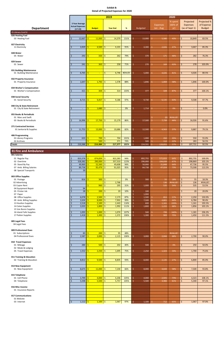|                                                     |                          |                              | 2019                     |         |                 |                          | 2020           |                                   |                  |
|-----------------------------------------------------|--------------------------|------------------------------|--------------------------|---------|-----------------|--------------------------|----------------|-----------------------------------|------------------|
|                                                     |                          |                              |                          |         |                 |                          |                |                                   |                  |
|                                                     | 3 Year Average           |                              |                          |         |                 |                          | % spent        | Projected                         | Projected %      |
|                                                     | <b>Actual Expenses</b>   |                              |                          |         |                 | <b>Expenses</b>          | (66% of        | <b>Expenses</b>                   | of Expense       |
| <b>Department</b>                                   | $(17-19)$                | <b>Budget</b>                | <b>Year End</b>          | $\%$    | <b>Budgeted</b> | Jan - Aug                | yr)            | (as of Sept 1)                    | <b>Budget</b>    |
| 25 Library Cont'd                                   |                          |                              |                          |         |                 |                          |                |                                   |                  |
| 026 Heating Fuel                                    |                          |                              |                          |         |                 |                          |                |                                   |                  |
| 03 Heating Fuel                                     | 12,667<br>\$             | \$<br>11,000                 | \$.<br>14,379            | 131%    | Š.<br>13,000    | 5,580<br>Ŝ.              | 43%            | \$<br>10,849                      | 83.5%            |
|                                                     |                          |                              |                          |         |                 |                          |                |                                   |                  |
| 027 Electricity<br>11 Electricity                   | 3,929                    | 4,500<br>S.                  | 4,101<br>-\$             | 91%     | Š.<br>4,300     | 2,026<br>-S              | 47%            | 3,667<br>S                        | 85.3%            |
|                                                     |                          |                              |                          |         |                 |                          |                |                                   |                  |
| 028 Water                                           |                          |                              |                          |         |                 |                          |                |                                   |                  |
| 05 Water                                            | 292                      | 333                          | 262<br>-S                | 79%     | 370<br>Ś        | 171<br>S.                | 46%            | 282<br>S.                         | 76.3%            |
|                                                     |                          |                              |                          |         |                 |                          |                |                                   |                  |
| 029 Sewer                                           |                          |                              |                          |         |                 |                          |                |                                   |                  |
| 01 Sewer                                            | 241                      | $363 \frac{1}{2}$            | 258                      | 71%     | 270<br>Ś        | 169<br>S                 | 63%            | 278<br>\$                         | 103.0%           |
|                                                     |                          |                              |                          |         |                 |                          |                |                                   |                  |
| 031 Building Maintenance<br>01 Building Maintenance | 6,765                    | $\sim$                       | \$.<br>6,746             | #DIV/0! | 5,000<br>S      | 4,026<br>S.              | 81%            | 4,026<br>S                        | 80.5%            |
|                                                     |                          |                              |                          |         |                 |                          |                |                                   |                  |
| 032 Property Insurance                              |                          |                              |                          |         |                 |                          |                |                                   |                  |
| 01 Property Insurance                               | Ś<br>1,647               | S.<br>1,792                  | Ŝ.<br>1,578              | 88%     | Š.<br>1,846     | Ŝ.<br>1,069              | 58%            | \$<br>1,846                       | 100.0%           |
|                                                     |                          |                              |                          |         |                 |                          |                |                                   |                  |
| 034 Worker's Compensation                           |                          |                              |                          |         |                 |                          |                |                                   |                  |
| 01 Worker's Compensation                            | \$<br>421                | 304                          | Ŝ.<br>314                | 103%    | Ś<br>377        | Ŝ.<br>328                | 87%            | \$<br>377                         | 100.1%           |
|                                                     |                          |                              |                          |         |                 |                          |                |                                   |                  |
| 038 Social Security                                 |                          |                              |                          |         |                 |                          |                |                                   |                  |
| 01 Social Security                                  | 8,715<br>Ś               | 9,457<br>Ŝ.                  | Ŝ.<br>9,186              | 97%     | Ś.<br>9,730     | Ŝ.<br>6,135              | 63%            | $\zeta$<br>9,508                  | 97.7%            |
|                                                     |                          |                              |                          |         |                 |                          |                |                                   |                  |
| 040 City & State Retirement                         |                          |                              |                          |         |                 |                          |                |                                   |                  |
| 01 City & State Retirement                          | $\overline{\phantom{a}}$ | $1,680$   \$<br>S            | $\sim$                   | 0%      | 1,714<br>Ŝ      | -S                       | 0%             | \$<br>$\blacksquare$              | 0.0%             |
|                                                     |                          |                              |                          |         |                 |                          |                |                                   |                  |
| 055 Books & Periodicals                             |                          |                              |                          |         |                 |                          |                |                                   |                  |
| 01 Mars and Swift<br>03 Books & Periodicals         | 16,996<br>Ś              | $17,750$ \$<br>Ŝ.            | 15,179                   | 86%     | Ś<br>17,500     | Ŝ.<br>(0)<br>Ŝ.<br>7,739 | #VALUE!<br>44% | \$<br>16,026                      | 91.6%            |
|                                                     |                          |                              |                          |         |                 |                          |                |                                   |                  |
| <b>271 Contracted Services</b>                      |                          |                              |                          |         |                 |                          |                |                                   |                  |
| 01 Janitorial & Supplies                            | 11,753<br>Ś              | Ŝ.<br>13,000                 | Ŝ.<br>10,686             | 82%     | Š.<br>12,500    | Ŝ.<br>4,563              | 37%            | \$<br>9,887                       | 79.1%            |
|                                                     |                          |                              |                          |         |                 |                          |                |                                   |                  |
| 406 Programming                                     |                          |                              |                          |         |                 |                          |                |                                   |                  |
| 01 Library Programs                                 | \$<br>633                | $\frac{700}{5}$              | 704                      | 101%    | Ś<br>1,000      | -Ś<br>350                | 35%            | \$<br>550                         | 55.0%            |
| 02 Archives                                         |                          | $500$ \$                     | 371                      | 74%     | $500$           | 112                      | 229            | $\zeta$<br>283                    | 56.5%            |
| <b>Totals</b>                                       | $\mathsf{S}$<br>210,388  | $214,484$ \$<br>-\$          | 217,377                  | 101%    | Ś.<br>224,591   | Ŝ.<br>128,855            | 57%            | \$<br>207,731                     | 92.5%            |
|                                                     |                          |                              |                          |         |                 |                          |                |                                   |                  |
| <b>31 Fire and Ambulance</b>                        |                          |                              |                          |         |                 |                          |                |                                   |                  |
| 001 Salaries                                        |                          |                              |                          |         |                 |                          |                |                                   |                  |
| 01 Regular Pay                                      | $\zeta$<br>810,378       | $874,839$ \$<br>$\mathsf{S}$ | 822,283                  | 94%     | 892,755<br>Ś    | $\mathsf{S}$<br>572,833  | 64%            | \$<br>892,755                     | 100.0%           |
| 02 Overtime                                         | $\zeta$<br>328,382       | 290,000<br>Ŝ.                | $\frac{1}{2}$<br>357,310 | 123%    | Ŝ.<br>290,000   | Ŝ.<br>194,039            | 67%            | $\frac{1}{2}$<br>298,869          | 103.1%           |
| 05 Stand By Pay                                     | 49,969<br>Ŝ.             | $52,560$ \$<br>Ŝ.            | 49,608                   | 94%     | 50,000<br>Ŝ     | Ŝ.<br>31,848             | 64%            | \$<br>47,736                      | 95.5%            |
| 07 Amb. Billing Salaries                            | 89,738<br>Ś              | $95,479$ \$<br>Ŝ.            | 91,025                   | 95%     | 64,738<br>Š.    | Ŝ.<br>47,024             | 73%            | \$<br>73,508                      | 113.5%           |
| 08 Special Transports                               | 39<br>Ŝ.                 |                              |                          |         |                 |                          |                |                                   |                  |
|                                                     |                          |                              |                          |         |                 |                          |                |                                   |                  |
| 003 Office Supplies                                 |                          |                              |                          |         |                 |                          |                |                                   |                  |
| 01 Postage                                          | 816<br>Ś                 | $300 \mid \xi$<br>S.         | $\equiv$<br>Ŝ.           | 0%      | Ŝ.<br>300       | 55<br>Ŝ                  | 18%            | \$<br>55                          | 18.3%            |
| 02 Advertising<br>03 Copier Rent                    |                          | Š.<br>960                    | 2,768<br>Ŝ.<br>295       | 31%     | Š.<br>1,000     | 136<br>Ŝ.<br>Ŝ.<br>535   | #VALUE!<br>54% | $\frac{1}{2}$<br>136<br>535<br>\$ | #VALUE!<br>53.5% |
| 04 Equipment Repair                                 | 94<br>Ŝ                  |                              |                          |         |                 |                          |                |                                   |                  |
| 05 Printer Ink                                      | Ś<br>28                  | $200 \mid \zeta$<br>-Ś       | 20                       | 10%     | 100<br>Ŝ        |                          |                | \$<br>20                          | 20.0%            |
| 07 Paper                                            |                          |                              |                          |         | 1,000<br>Ŝ      |                          |                |                                   |                  |
| 08 Office Supplies                                  | 6,078<br>Ś               | 2,500<br>-Ś                  | $\mathsf{S}$<br>2,173    | 87%     | Ś<br>1,500      | Ŝ.<br>853                | 57%            | \$<br>2,250                       | 150.0%           |
| 09 Amb. Billing Supplies                            | 2,634<br>Ś               | 8,000                        | $\mathsf{S}$<br>7,902    | 99%     | 7,500<br>Ŝ      | -\$<br>4,801             | 64%            | $\zeta$<br>6,784                  | 90.4%            |
| 13 Houlton Supplies                                 | Ś<br>2,518               | 2,100                        | $\mathsf{S}$<br>2,443    | 116%    | Ś<br>600        | Ŝ.<br>1,161              | 193%           | $\zeta$<br>1,161                  | 193.5%           |
| 14 Calais Supplies                                  | Ś<br>2,033               | 1,800                        | $\frac{1}{2}$<br>1,992   | 111%    | Ŝ.<br>1,800     | 1,222<br>-Ŝ              | 68%            | \$<br>1,856                       | 103.1%           |
| 15 Van Buren Supplies                               |                          |                              |                          |         |                 |                          |                |                                   |                  |
| 16 Island Falls Supplies                            | 1,093<br>\$              | 1,000                        | $\frac{1}{2}$<br>1,074   | 107%    | Ŝ.<br>500       | 799<br>\$.               | 160%           | \$<br>1,181                       | 236.2%           |
| 17 Patten Supplies                                  | $\zeta$<br>1,418         | $1,300$ \$<br>Ŝ.             | 1,372                    | 106%    | Ŝ.<br>1,300     | 969<br>Ŝ.                | 75%            | Ś.<br>1,450                       | 111.5%           |
|                                                     |                          |                              |                          |         |                 |                          |                |                                   |                  |
| 005 Legal Fees                                      |                          |                              |                          |         |                 |                          |                |                                   |                  |
| 04 Legal Fees                                       |                          |                              |                          |         |                 |                          |                |                                   |                  |
|                                                     |                          |                              |                          |         |                 |                          |                |                                   |                  |
| 009 Professional Dues<br>01 Subscriptions           | 83<br>\$                 | $200 \mid \zeta$<br>l\$      | 95                       | 48%     |                 | Ŝ.                       | #VALUE!        |                                   |                  |
| 04 Professional Dues                                | 2,587<br>$\zeta$         | 2,000<br>Ŝ.                  | $\mathsf{S}$<br>2,115    | 106%    | Š.<br>3,000     | Ŝ.<br>2,044              | 68%            | \$<br>2,700                       | 90.0%            |
|                                                     |                          |                              |                          |         |                 |                          |                |                                   |                  |
| 010 Travel Expenses                                 |                          |                              |                          |         |                 |                          |                |                                   |                  |
| 01 Mileage                                          | 284<br>\$                | $500$ \$<br>Ŝ.               | 202                      | 40%     | Ś<br>500        | Ŝ.                       | 0%             | \$<br>250                         | 50.0%            |
| 02 Meals & Lodging                                  |                          |                              |                          |         |                 |                          |                |                                   |                  |
| 05 Travel Expenses                                  | $\zeta$<br>1,552         | $2,250$ \$<br>Ŝ.             | 1,695                    | 75%     | Ŝ.<br>2,250     | 1,323<br>Ŝ.              | 59%            | $\mathsf{S}$<br>1,700             | 75.6%            |

| 011 Training & Education |                     |              |                    |      |    |       |       |     |              |       |        |
|--------------------------|---------------------|--------------|--------------------|------|----|-------|-------|-----|--------------|-------|--------|
| 02 Training & Education  | 8,812               | 9,500        | 8,835              | 93%  |    | 8,000 | 2,135 | 27% |              | 6,800 | 85.0%  |
|                          |                     |              |                    |      |    |       |       |     |              |       |        |
| 014 New Equipment        |                     |              |                    |      |    |       |       |     |              |       |        |
| 01 New Equipment         | 8,675               | 11,000       | 7,230<br>-Ś        | 66%  |    | 8,000 | 4,644 | 58% | <sup>5</sup> | 7,500 | 93.8%  |
|                          |                     |              |                    |      |    |       |       |     |              |       |        |
| 015 Telephone            |                     |              |                    |      |    |       |       |     |              |       |        |
| 01 Cell Phone            | 3,799               | $ 4,000 $ \$ | 4,206              | 105% |    | 4,000 | 2,925 | 73% |              | 4,323 | 108.1% |
| 04 Telephone             | 5,598               | 5,500        | l \$<br>5,757      | 105% |    | 5,500 | 3,366 | 61% |              | 5,340 | 97.1%  |
|                          |                     |              |                    |      |    |       |       |     |              |       |        |
| 016 Misc Income          |                     |              |                    |      |    |       |       |     |              |       |        |
| 01 Insurance Reports     |                     |              |                    |      |    |       |       |     |              |       |        |
|                          |                     |              |                    |      |    |       |       |     |              |       |        |
| 017 Communications       |                     |              |                    |      |    |       |       |     |              |       |        |
| 01 Website               |                     |              |                    |      |    |       |       |     |              |       |        |
| 03 Internet              | 1,112 $\frac{1}{5}$ | 1,100        | 1,067<br><u>is</u> | 97%  | ΙS | 1,100 | 712   | 65% | Ŝ.           | 1,067 | 97.0%  |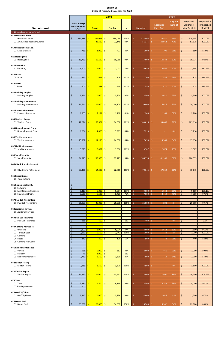|                                                                              | 2019           |                                                       |                   |                     | 2020                                       |                   |             |        |                   |                               |                           |                    |                                                |                                            |
|------------------------------------------------------------------------------|----------------|-------------------------------------------------------|-------------------|---------------------|--------------------------------------------|-------------------|-------------|--------|-------------------|-------------------------------|---------------------------|--------------------|------------------------------------------------|--------------------------------------------|
| <b>Department</b>                                                            |                | 3 Year Average<br><b>Actual Expenses</b><br>$(17-19)$ |                   | <b>Budget</b>       |                                            | <b>Year End</b>   | $\%$        |        | <b>Budgeted</b>   | <b>Expenses</b><br>Jan - Aug  | % spent<br>(66% of<br>yr) |                    | Projected<br><b>Expenses</b><br>(as of Sept 1) | Projected %<br>of Expense<br><b>Budget</b> |
| 31 Fire and Ambulance Cont'd                                                 |                |                                                       |                   |                     |                                            |                   |             |        |                   |                               |                           |                    |                                                |                                            |
| 018 Health Insurance<br>01 Health Insurance<br>02 Ambulance Health Insurance | \$             | 281,388                                               | $\mathsf{S}$<br>Ś | 289,095<br>26,660   | $\ddot{\mathsf{S}}$<br>$\ddot{\mathsf{S}}$ | 289,059<br>22,149 | 100%<br>83% | Ś<br>Ś | 324,405<br>51,375 | Š.<br>224,841<br>Ŝ.<br>20,912 | 69%<br>41%                | \$<br>\$           | 324,405<br>51,375                              | 100.0%<br>100.0%                           |
| 019 Miscellaneous Exp.<br>01 Misc. Expense                                   | \$             | 783                                                   |                   | 1,000               | -\$                                        | 401               | 40%         | S      | 1,000             | Ŝ.<br>700                     | 70%                       | $\dot{\mathsf{S}}$ | 850                                            | 85.0%                                      |
| 026 Heating Fuel<br>03 Heating Fuel                                          | Ś              | 19,720                                                | Ŝ                 | 19,150              | Ŝ.                                         | 18,089            | 94%         | Ś      | 17,000            | Ŝ<br>10,583                   | 62%                       | \$                 | 15,774                                         | 92.8%                                      |
| 027 Electricity<br>11 Electricity                                            | Ś              | 6,900                                                 | ς                 | 9,000               | -\$                                        | 7,021             | 78%         |        | 6,650             | 4,467<br>Ŝ.                   | 67%                       | \$                 | 7,344                                          | 110.4%                                     |
| 028 Water<br>05 Water                                                        | Ś              | 752                                                   | ς                 | 695                 | <b>S</b>                                   | 706               | 102%        | Ś      | 700               | Ŝ<br>556                      | 79%                       | $\dot{\mathsf{S}}$ | 815                                            | 116.4%                                     |
| 029 Sewer<br>01 Sewer                                                        | \$             | 504                                                   |                   | 538                 | -\$                                        | 548               | 102%        |        | 550               | 421<br>Ŝ.                     | 77%                       | \$                 | 625                                            | 113.6%                                     |
| 030 Building Supplies<br>01 Building Supplies                                | \$             | 3,791                                                 | $\mathsf{S}$      | 4,000               | $\mathsf{S}$                               | 3,874             | 97%         | Ś      | 3,500             | 2,611<br>Ŝ                    | 75%                       | \$                 | 3,500                                          | 100.0%                                     |
| 031 Building Maintenance<br>01 Building Maintenance                          | \$             | 11,644                                                | Ś                 | 14,000              | \$                                         | 14,104            | 101%        | Ś      | 20,000            | \$<br>6,616                   | 33%                       | \$                 | 20,000                                         | 100.0%                                     |
| 032 Property Insurance<br>01 Property Insurance                              | \$             | 1,905                                                 | Ŝ.                | 2,191               | Ŝ.                                         | 1,768             | 81%         |        | 2,260             | Ŝ<br>1,169                    | 52%                       | \$                 | 2,260                                          | 100.0%                                     |
| 034 Workers Comp.<br>01 Workers Comp.                                        | Ś              | 72,224                                                | -Ś                | 83,561              | -\$                                        | 84,658            | 101%        | Ś      | 103,616           | $\zeta$<br>93,666             | 90%                       | \$                 | 103,616                                        | 100.0%                                     |
| 035 Unemployment Comp<br>01 Unemployment Comp.                               | \$             | 6,054                                                 | ς                 | 7,000               | ۱Ś                                         | 5,983             | 85%         |        | 7,210             | Ŝ<br>$\sim$                   | 0%                        | \$                 | 7,210                                          | 100.0%                                     |
| 036 Vehicle Insurance<br>01 Vehicle Insurance                                | \$             | 15,352                                                | Ŝ.                | 17,136              | $\ddot{\mathsf{S}}$                        | 14,332            | 84%         | Ś      | 17,650            | 9,565<br>Ŝ.                   | 54%                       | \$                 | 17,650                                         | 100.0%                                     |
| 037 Liability Insurance<br>01 Liability Insurance                            | \$             | 3,623                                                 | ς                 | 3,482               | -\$                                        | 3,806             | 109%        |        | 3,587             | Ŝ.<br>2,674                   | 75%                       | \$                 | 3,587                                          | 100.0%                                     |
| 038 Social Security<br>01 Social Security                                    | \$             | 94,375                                                | <b>S</b>          | $103,376$ \$        |                                            | 97,723            | 95%         | Ś      | 106,355           | Ś.<br>61,160                  | 58%                       | \$                 | 106,355                                        | 100.0%                                     |
| 040 City & State Retirement                                                  |                |                                                       |                   |                     |                                            |                   |             |        |                   |                               |                           |                    |                                                |                                            |
| 01 City & State Retirement                                                   | \$             | 67,436                                                | '\$               | $64,409$ \$         |                                            | 72,715            | 113%        | Ś      | 70,645            | Ŝ.<br>47,869                  | 68%                       | \$                 | 70,645                                         | 100.0%                                     |
| 046 Recognitions<br>01 Recognitions                                          |                |                                                       |                   |                     |                                            |                   |             |        |                   |                               |                           |                    |                                                |                                            |
| 051 Equipment Maint.                                                         | \$             | $\sim$                                                |                   |                     |                                            |                   |             |        |                   |                               |                           |                    |                                                |                                            |
| 01 Software<br>03 Maintenance Contracts<br>05 Equipment Main.                | \$<br>\$<br>\$ | $\sim$<br>9,413<br>7,630                              | -S<br>-Ŝ          | 9,000<br>8,500      | $\vert$ \$<br>  \$                         | 9,084<br>6,471    | 101%<br>76% |        | 9,000<br>7,500    | \$<br>5,948<br>Ŝ<br>3,419     | 66%<br>46%                | \$<br>\$           | 9,100<br>7,300                                 | 101.1%<br>97.3%                            |
| 067 Paid Call Firefighters<br>01 Paid Call Firefighters                      |                | 25,859                                                | Ŝ.                | 26,000              | ١ś                                         | 25,950            | 100%        | Ś      | 26,000            | Ŝ.<br>800                     | 3%                        | \$                 | 25,850                                         | 99.4%                                      |
| <b>068 Janitorial Services</b><br>01 Janitorial Services                     |                |                                                       |                   |                     |                                            |                   |             |        |                   |                               |                           |                    |                                                |                                            |
| 069 Paid Call Insurance<br>01 Paid Call Insurance                            | \$             | 188                                                   | ς                 | 600                 | -\$                                        | $\sim$            | 0%          |        | 400               | Ŝ                             | 0%                        | \$                 |                                                | 0.0%                                       |
| 070 Clothing Allowance                                                       |                | $\sim$                                                |                   |                     |                                            |                   |             |        |                   |                               |                           |                    |                                                |                                            |
| 01 Uniforms<br>02 Turnout Gear                                               | \$<br>\$       | 7,102<br>2,120                                        | Ŝ<br>Ś            | $8,000$ \$<br>2,500 | $\mathsf{S}$                               | 6,974<br>2,741    | 87%<br>110% | \$     | 8,000<br>1,000    | \$.<br>6,612<br>Ś.<br>78      | 83%<br>8%                 | \$<br>\$           | 7,300<br>1,000                                 | 91.3%<br>100.0%                            |
| 03 Clothing<br>04 Boots<br>06 Clothing Allowance                             | Ś<br>Ś<br>Ś    | 440<br>$\overline{\phantom{a}}$                       | <                 | 800                 | $\overline{\mathsf{S}}$                    | 120               | 15%         |        | 500               | Ŝ.<br>143                     | 29%                       | \$                 | 440                                            | 88.0%                                      |
| 071 Radio Maintenance<br>01 Vehicle                                          | \$             | $\sim$<br>968                                         | -Ŝ                | 2,000               | l \$                                       | 852               | 43%         |        | 2,000             | 461<br>Ŝ.                     | 23%                       | \$                 | 1,000                                          | 50.0%                                      |
| 02 Building                                                                  | \$             | 71                                                    |                   | 1,000               | -\$                                        | $\sim$            | 0%          |        | $\sim$            |                               |                           |                    |                                                |                                            |
| 03 Radio Maintenance                                                         | Ś.             | 2,710                                                 | -Ś                | 5,500               | -\$                                        | 1,390             | 25%         |        | 5,000             | Ŝ<br>719                      | 14%                       | \$                 | 2,700                                          | 54.0%                                      |
| 072 Ladder Testing<br>01 Ladder Testing                                      | \$             | 2,833                                                 | Ŝ                 | 3,500               | \$                                         | 3,500             | 100%        |        | 3,500             | Ŝ.<br>$\sim$                  | 0%                        | \$                 | 3,500                                          | 100.0%                                     |
| 073 Vehicle Repair<br>01 Vehicle Repair                                      | $\mathsf{S}$   | 14,227                                                | $\mathsf{S}$      | 14,000              | $\sqrt{5}$                                 | 13,952            | 100%        | Ŝ.     | 13,000            | \$<br>11,401                  | 88%                       | \$                 | 14,250                                         | 109.6%                                     |
| 074 Tires<br>01 Tires<br>02 Tire Replacement                                 | \$<br>Ś        | 5,384<br>$\overline{\phantom{a}}$                     | \$.               | 6,500               | $\vert$ \$                                 | 6,198             | 95%         | Ś      | 8,500             | Ŝ.<br>3,243                   | 38%                       | \$                 | 8,000                                          | 94.1%                                      |
| 075 Gas/Oil/Filters<br>01 Gas/Oil/Filters                                    | \$             | 3,410                                                 | Ŝ.                | 4,000               | $\mathsf{S}$                               | 3,736             | 93%         | Ś      | 4,000             | Ŝ<br>1,645                    | 41%                       | \$                 | 2,700                                          | 67.5%                                      |
| 076 Diesel Fuel<br>01 Diesel Fuel                                            | $\mathsf{S}$   | $33,689$ \$                                           |                   | $25,000$ \$         |                                            | 34,607            | 138%        | - \$   | $26,700$ \$       | 14,382                        | 54%                       | $\frac{1}{2}$      | 22,900                                         | 85.8%                                      |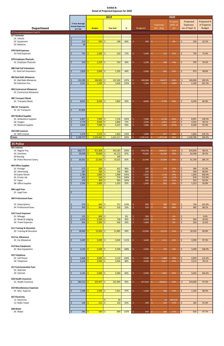|                                    |                                          |                                              | 2019                                                 |             |                               |                               | 2020                      |                                                |                                            |
|------------------------------------|------------------------------------------|----------------------------------------------|------------------------------------------------------|-------------|-------------------------------|-------------------------------|---------------------------|------------------------------------------------|--------------------------------------------|
| <b>Department</b>                  | 3 Year Average<br><b>Actual Expenses</b> | <b>Budget</b>                                | <b>Year End</b>                                      | %           | <b>Budgeted</b>               | <b>Expenses</b><br>Jan - Aug  | % spent<br>(66% of<br>yr) | Projected<br><b>Expenses</b><br>(as of Sept 1) | Projected %<br>of Expense<br><b>Budget</b> |
| 31 Fire and Ambulance Cont'd       | $(17-19)$                                |                                              |                                                      |             |                               |                               |                           |                                                |                                            |
| 077 Batteries                      |                                          |                                              |                                                      |             |                               |                               |                           |                                                |                                            |
| 01 Vehicle                         | Ś<br>$\sim$                              |                                              |                                                      |             |                               |                               |                           |                                                |                                            |
| 02 Equipment                       | Ś<br>219                                 | 500                                          | '\$<br>298                                           | 60%         | Ś.<br>400                     | S.                            | 0%                        | \$<br>250                                      | 62.5%                                      |
| 03 Batteries                       | 38                                       |                                              |                                                      |             |                               |                               |                           |                                                |                                            |
| 078 Field Expenses                 |                                          |                                              |                                                      |             |                               |                               |                           |                                                |                                            |
| 01 Field Expenses                  | 755<br>Ś                                 | 1,200<br>Ś                                   | \$<br>210                                            | 17%         | Ś.<br>1,000                   | Ŝ.<br>311                     | 31%                       | 750<br>\$                                      | 75.0%                                      |
|                                    |                                          |                                              |                                                      |             |                               |                               |                           |                                                |                                            |
| 079 Employee Physicals             |                                          |                                              |                                                      |             |                               |                               |                           |                                                |                                            |
| 01 Employee Physicals              | 330                                      | 1,250<br>ς.                                  | $\frac{1}{2}$<br>323                                 | 26%         | Ś.<br>1,200                   | Ŝ.<br>168                     | 14%                       | $\overline{\mathsf{S}}$<br>350                 | 29.2%                                      |
| 080 Paid Call Volunteers           |                                          |                                              |                                                      |             |                               |                               |                           |                                                |                                            |
| 01 Paid Call Volunteers            | 1,829<br>Ś                               | 3,000<br>Ś.                                  | \$<br>1,325                                          | 44%         | Ś.<br>2,000                   | 605<br>S.                     | 30%                       | 975<br>Ś                                       | 48.8%                                      |
|                                    |                                          |                                              |                                                      |             |                               |                               |                           |                                                |                                            |
| 082 Bad Debt Allowance             |                                          |                                              |                                                      |             |                               |                               |                           |                                                |                                            |
| 01 Bad Debt Allowance              | 102,385                                  | $100,000$ \$<br>Ŝ.                           | 107,290                                              | 107%        | Ś<br>100,000                  | Ŝ.<br>64,077                  | 64%                       | \$<br>100,000                                  | 100.0%                                     |
| 02 Collection Fee                  | 2,531                                    | Ś.<br>1,200                                  | \$.<br>1,620                                         | 135%        | Ś.<br>1,300                   | Ŝ.<br>1,772                   | 136%                      | \$<br>2,100                                    | 161.5%                                     |
| 083 Contractual Allowance          |                                          |                                              |                                                      |             |                               |                               |                           |                                                |                                            |
| 01 Contractual Allowance           |                                          |                                              |                                                      |             |                               |                               |                           |                                                |                                            |
|                                    |                                          |                                              |                                                      |             |                               |                               |                           |                                                |                                            |
| 085 Transport Meals                |                                          |                                              |                                                      |             |                               |                               |                           |                                                |                                            |
| 01 Transport Meals                 | 8,955                                    | Ś<br>$8,500$ \$                              | 7,802                                                | 92%         | \$<br>8,000                   | -Ś.<br>3,702                  | 46%                       | \$<br>6,950                                    | 86.9%                                      |
| 086 Air Transports                 |                                          |                                              |                                                      |             |                               |                               |                           |                                                |                                            |
| 01 Air Transports                  | 97,835<br>Ś                              |                                              |                                                      |             |                               |                               |                           |                                                |                                            |
|                                    |                                          |                                              |                                                      |             |                               |                               |                           |                                                |                                            |
| 087 Medical Supplies               |                                          |                                              |                                                      |             |                               |                               |                           |                                                |                                            |
| 01 Ambulance Supplies              | 6,837                                    | Ś.<br>7,000                                  | $\mathsf{S}$<br>7,120                                | 102%        | Ś<br>7,000                    | -Ś.<br>6,739                  | 96%                       | $\zeta$<br>8,991                               | 128.4%                                     |
| 02 Oxygen<br>03 Medical Supplies   | 3,770<br>5,826                           | 4,000<br>7,000<br>Ś                          | $\mathsf{\hat{S}}$<br>2,860<br>$\mathsf{S}$<br>6,527 | 71%<br>93%  | \$<br>3,500<br>Ś              | Ŝ.<br>1,821<br>Ŝ.<br>7,482    | 52%<br>107%               | \$<br>2,032<br>$\dot{\mathsf{S}}$<br>6,500     | 58.1%<br>92.9%                             |
|                                    |                                          |                                              |                                                      |             | 7,000                         |                               |                           |                                                |                                            |
| <b>292 EMS Licenses</b>            |                                          |                                              |                                                      |             |                               |                               |                           |                                                |                                            |
| 01 EMS License                     | 1,479<br>\$                              | 1,550<br>Ŝ.                                  | \$<br>1,863                                          | 120%        | 1,800<br>Ś                    | 677<br>-S                     | 38%                       | 1,863<br>\$.                                   | 103.5%                                     |
| <b>Totals</b>                      | Ś.<br>2,238,737                          | 2,264,482<br>Ŝ.                              | $\mathsf{S}$<br>2,261,217                            | 100%        | 2,330,246<br>S.               | -Ś<br>1,497,438               | 64%                       | Ŝ.<br>2,330,788                                | 100.0%                                     |
|                                    |                                          |                                              |                                                      |             |                               |                               |                           |                                                |                                            |
| <b>35 Police</b>                   |                                          |                                              |                                                      |             |                               |                               |                           |                                                |                                            |
| 001 Salaries                       |                                          |                                              |                                                      |             |                               |                               |                           |                                                |                                            |
| 01 Regular Pay<br>02 Overtime      | 900,777<br>\$<br>59,058<br>Ś             | $\mathsf{S}$<br>951,808<br>S.<br>$70,000$ \$ | $\ddot{\mathsf{S}}$<br>954,583<br>61,172             | 100%<br>87% | Ŝ.<br>933,750<br>\$<br>70,000 | 608,037<br>Ŝ.<br>Ŝ.<br>41,204 | 65%<br>59%                | $\zeta$<br>919,849<br>$\frac{1}{2}$<br>63,348  | 98.5%<br>90.5%                             |
| 04 Nursing                         |                                          |                                              | $\mathsf{S}$<br>240                                  |             |                               |                               |                           |                                                |                                            |
| 06 Police Reserves Salary          | 20,361<br>Ś                              | Ś<br>22,440                                  | $\mathsf{S}$<br>19,525                               | 87%         | Ś.<br>22,440                  | 22,004<br>Ŝ.                  | 98%                       | \$<br>41,769                                   | 186.1%                                     |
|                                    |                                          |                                              |                                                      |             |                               |                               |                           |                                                |                                            |
| 003 Office Supplies                |                                          |                                              |                                                      |             |                               |                               |                           |                                                |                                            |
| 01 Postage                         | 575<br>Ś<br>287<br>Ś                     | Ŝ.<br>$500$ \$<br>200<br>Ś                   | 452<br>$\mathsf{S}$<br>196                           | 90%<br>98%  | \$<br>600<br>\$<br>250        | Ŝ.<br>223<br>-Ś.              | 37%<br>0%                 | \$<br>366<br>$\mathsf{S}$<br>200               | 61.0%<br>80.0%                             |
| 02 Advertising<br>03 Copier Rental | 1,780<br>Ś                               | Ś<br>$1,800$ \$                              | 1,890                                                | 105%        | \$<br>1,920                   | $\sim$<br>1,120<br>Ŝ.         | 58%                       | $\mathsf{S}$<br>1,920                          | 100.0%                                     |
| 05 Printer Ink                     | 661                                      | $550$ \$<br>Ś.                               | 574                                                  | 104%        | \$<br>600                     | -Ś<br>676                     | 113%                      | $\mathsf{S}$<br>676                            | 112.6%                                     |
| 07 Paper                           | 376<br>Ś                                 | $300 \mid \xi$<br>Ŝ                          | 493                                                  | 164%        | \$<br>500                     | 323<br>Ŝ.                     | 65%                       | $\mathsf{S}$<br>323                            | 64.5%                                      |
| 08 Office Supplies                 | 1,294<br>Ś                               | $1,400$ \$<br>Ś.                             | 1,353                                                | 97%         | \$<br>1,400                   | Ŝ.<br>882                     | 63%                       | $\mathsf{S}$<br>1,313                          | 93.8%                                      |
|                                    |                                          |                                              |                                                      |             |                               |                               |                           |                                                |                                            |
| 006 Legal Fees<br>01 Legal Fees    | Ś<br>$\sim$                              |                                              |                                                      |             |                               |                               |                           |                                                |                                            |
|                                    |                                          |                                              |                                                      |             |                               |                               |                           |                                                |                                            |
| 009 Professional Dues              |                                          |                                              |                                                      |             |                               |                               |                           |                                                |                                            |
|                                    |                                          |                                              |                                                      |             |                               |                               |                           |                                                |                                            |
| 01 Subscriptions                   | 570<br>Ŝ<br>$\dot{\mathsf{S}}$           | 600<br>Ś<br>Š.                               | \$<br>711                                            | 119%        | 600<br>\$<br>Ś.               | 566<br>\$                     | 94%                       | \$<br>750                                      | 125.0%                                     |
| 04 Professional Dues               | 343                                      | 400                                          | $\ddot{\mathsf{S}}$<br>210                           | 53%         | 550                           | 485<br>Ŝ.                     | 88%                       | $\mathsf{S}$<br>485                            | 88.2%                                      |
| 010 Travel Expenses                |                                          |                                              |                                                      |             |                               |                               |                           |                                                |                                            |
| 01 Mileage                         | 125<br>\$                                | $\frac{600}{5}$<br>-\$                       | $\sim$                                               | 0%          | \$<br>300                     | -\$                           | 0%                        | \$<br>$\blacksquare$                           | 0.0%                                       |
| 02 Meals & Lodging                 | 1,676<br>Ś                               | $2,500$ \$<br>$\mathsf{S}$                   | 758                                                  | 30%         | \$<br>2,250                   | $\mathsf{S}$                  | $0\%$                     | $\frac{1}{2}$<br>450                           | 20.0%                                      |
| 05 Travel Expenses                 | 642                                      | $1,000$ \$<br>S.                             | 926                                                  | 93%         | Ŝ.<br>1,000                   | -\$                           | 0%                        | \$<br>250                                      | 25.0%                                      |
| 011 Training & Education           |                                          |                                              |                                                      |             |                               |                               |                           |                                                |                                            |
| 02 Training & Education            | 18,660<br>Ś.                             | $23,000$ \$<br>Ś.                            | 21,685                                               | 94%         | Ś.<br>23,000                  | Ŝ.<br>10,375                  | 45%                       | 18,592<br>\$                                   | 80.8%                                      |
|                                    |                                          |                                              |                                                      |             |                               |                               |                           |                                                |                                            |
| 013 Car Allowance                  |                                          |                                              |                                                      |             |                               |                               |                           |                                                |                                            |
| 01 Car Allowance                   | 3,449<br>Ŝ                               | 3,200<br>Ś                                   | \$<br>3,565                                          | 111%        | \$<br>3,600                   | -Ś.<br>1,521                  | 42%                       | \$<br>3,500                                    | 97.2%                                      |
| 014 New Equipment                  |                                          |                                              |                                                      |             |                               |                               |                           |                                                |                                            |
| 01 New Equipment                   | 3,136<br>Ŝ.                              | 2,500<br>Ś.                                  | $\frac{1}{2}$<br>3,704                               | 148%        | \$<br>2,500                   | 459<br>Ŝ.                     | 18%                       | $\mathsf{S}$<br>3,200                          | 128.0%                                     |
|                                    |                                          |                                              |                                                      |             |                               |                               |                           |                                                |                                            |

#### **017 Communication Fees**

#### **018 Health Insurance**

| 01 New Equipment           | $3,136$   S | $2,500$   \$ |                     | 3,704   | 148% | 2,500   | 459     | <b>18%</b> | IS. | 3,200   | 128.0% |  |
|----------------------------|-------------|--------------|---------------------|---------|------|---------|---------|------------|-----|---------|--------|--|
|                            |             |              |                     |         |      |         |         |            |     |         |        |  |
| 015 Telephone              |             |              |                     |         |      |         |         |            |     |         |        |  |
| 01 Cell Phone              | 2,468       | 3,000        | $\vert$ \$          | 3,110   | 104% | 2,500   | 1,888   | 76%        | Ś   | 2,859   | 114.4% |  |
| 04 Telephone               | 4,256       | 5,000        | l \$                | 4,404   | 88%  | 4,500   | 2,017   | 45%        |     | 3,514   | 78.1%  |  |
|                            |             |              |                     |         |      |         |         |            |     |         |        |  |
| 017 Communication Fees     |             |              |                     |         |      |         |         |            |     |         |        |  |
| 01 Web Site                |             |              |                     |         |      |         |         |            |     |         |        |  |
| 03 Internet                | 2,144       | 2,900        | $\vert$ \$          | 2,383   | 82%  | 2,900   | 1,861   | 64%        | Ŝ.  | 3,032   | 104.6% |  |
|                            |             |              |                     |         |      |         |         |            |     |         |        |  |
| 018 Health Insurance       |             |              |                     |         |      |         |         |            |     |         |        |  |
| 01 Health Insurance        | 280,213     | 329,407      | $\vert$ \$          | 312,394 | 95%  | 327,810 | 204,911 | 63%        | Ś   | 319,000 | 97.3%  |  |
|                            |             |              |                     |         |      |         |         |            |     |         |        |  |
| 019 Miscellaneous Expenses |             |              |                     |         |      |         |         |            |     |         |        |  |
| 01 Misc. Expense           | 1,508       | 1,500        | $\vert$ \$          | 1,451   | 97%  | 1,500   | 466     | 31%        |     | 1,320   | 88.0%  |  |
|                            |             |              |                     |         |      |         |         |            |     |         |        |  |
| 027 Electricity            |             |              |                     |         |      |         |         |            |     |         |        |  |
| 11 Electricity             |             |              | Ś                   | 20      |      |         | 13      | #DIV/0!    |     |         |        |  |
| 13 Radio Tower             | 146         | 215          | $\ddot{\mathsf{S}}$ | 132     | 61%  | 200     | 101     | 51%        |     | 182     | 91.0%  |  |
|                            |             |              |                     |         |      |         |         |            |     |         |        |  |
| 028 Water                  |             |              |                     |         |      |         |         |            |     |         |        |  |
| 05 Water                   | 585 $5$     | $500$ \$     |                     | 609     | 122% | 640     | 366     | 57%        | Ŝ.  | 625     | 97.7%  |  |

#### **019 Miscellaneous Expenses**

#### **027 Electricity**

# **028 Water**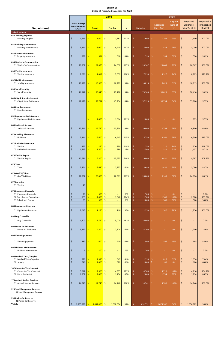|                                                                                                         |                                                                  |                                          | 2019                                  |                  |                                  |                                                    | 2020                      |                                                  |                                            |
|---------------------------------------------------------------------------------------------------------|------------------------------------------------------------------|------------------------------------------|---------------------------------------|------------------|----------------------------------|----------------------------------------------------|---------------------------|--------------------------------------------------|--------------------------------------------|
| <b>Department</b>                                                                                       | 3 Year Average<br><b>Actual Expenses</b><br>$(17-19)$            | <b>Budget</b>                            | <b>Year End</b>                       | $\%$             | <b>Budgeted</b>                  | <b>Expenses</b><br>Jan - Aug                       | % spent<br>(66% of<br>yr) | Projected<br><b>Expenses</b><br>(as of Sept 1)   | Projected %<br>of Expense<br><b>Budget</b> |
| 35 Police Cont'd<br>030 Building Supplies<br>01 Building Supplies                                       | 1,619<br>\$                                                      | 1,600<br>S.                              | -\$<br>1,781                          | 111%             | \$<br>1,600                      | Ŝ.<br>1,163                                        | 73%                       | \$<br>1,600                                      | 100.0%                                     |
| 031 Building Maintenance<br>01 Building Maintenance                                                     | 3,264<br>Ś                                                       | 3,000<br>Ś                               | l\$<br>4,410                          | 147%             | 3,000<br>Ś                       | \$<br>834                                          | 28%                       | $\mathsf{S}$<br>3,000                            | 100.0%                                     |
| 032 Property Insurance<br>01 Property Insurance                                                         | 538<br>Ś                                                         | Ś.<br>581                                | Ŝ.<br>518                             | 89%              | Ś<br>599                         | Ŝ.<br>354                                          | 59%                       | \$<br>570                                        | 95.2%                                      |
| 034 Worker's Compensation<br>01 Worker's Compensation                                                   | 20,562<br>Ś                                                      | 22,876<br>Ś                              | $\overline{\mathsf{S}}$<br>24,502     | 107%             | Ś<br>28,367                      | Ŝ.<br>28,005                                       | 99%                       | $\mathsf{S}$<br>28,367                           | 100.0%                                     |
| 036 Vehicle Insurance<br>01 Vehicle Insurance                                                           | 7,036<br>Ś                                                       | \$<br>7,019                              | -\$<br>7,559                          | 108%             | 7,230<br>\$                      | Ŝ.<br>5,327                                        | 74%                       | \$<br>8,725                                      | 120.7%                                     |
| 037 Liability Insurance<br>01 Liability Insurance                                                       | 10,398<br><b>S</b>                                               | 10,500<br>Ś                              | Ŝ.<br>10,299                          | 98%              | 10,815<br>S                      | Ŝ.<br>6,628                                        | 61%                       | \$<br>10,815                                     | 100.0%                                     |
| 038 Social Security<br>01 Social Security                                                               | 71,942<br>Ś                                                      | $\mathsf{S}$<br>80,840                   | Ŝ.<br>77,198                          | 95%              | Ś<br>79,305                      | \$<br>50,028                                       | 63%                       | \$<br>78,410                                     | 98.9%                                      |
| 040 City & State Retirement<br>01 City & State Retirement                                               | 42,129<br>Ŝ                                                      | 53,794<br>S.                             | $\ddot{\mathsf{S}}$<br>45,204         | 84%              | \$<br>57,125                     | \$<br>30,754                                       | 54%                       | \$<br>55,800                                     | 97.7%                                      |
| 044 Reimbursement<br>01 Reimbursement                                                                   |                                                                  |                                          |                                       |                  |                                  |                                                    |                           |                                                  |                                            |
| 051 Equipment Maintenance<br>05 Equipment Maintenance                                                   |                                                                  | $\overline{\mathsf{S}}$<br>1,000         | \$.<br>1,014                          | 101%             | Ś<br>1,000                       | \$<br>чe                                           | 0%                        | \$<br>975                                        | 97.5%                                      |
| <b>068 Janitorial Services</b><br>01 Janitorial Services                                                | 12,741<br>Ŝ                                                      | Ś<br>14,720                              | Ŝ.<br>13,864                          | 94%              | \$<br>10,000                     | Ŝ.<br>2,794                                        | 28%                       | \$<br>6,800                                      | 68.0%                                      |
| 070 Clothing Allowance<br>01 Uniforms                                                                   | 5,314                                                            | 5,600<br>Ś                               | $\mathsf{S}$<br>6,443                 | 115%             | 5,750                            | Ŝ.<br>3,362                                        | 58%                       | \$<br>6,500                                      | 113.0%                                     |
| 071 Radio Maintenance<br>01 Vehicle<br>03 Radio Maintenance                                             | 852<br>$\frac{1}{2}$<br>$\zeta$<br>1,743                         | S.<br>250<br>1,500<br>Š.                 | l\$<br>299<br>\$.<br>388              | 119%<br>26%      | Ś<br>250<br>1,500<br>Ś           | $\mathsf{S}$<br>210<br>$\mathsf{S}$<br>322         | 84%<br>21%                | \$<br>370<br>$\zeta$<br>1,457                    | 148.0%<br>97.1%                            |
| 073 Vehicle Repair<br>01 Vehicle Repair                                                                 | \$<br>10,681                                                     | Ś.<br>6,300                              | -\$<br>15,633                         | 248%             | Ś<br>9,000                       | Ŝ.<br>3,481                                        | 39%                       | \$<br>9,787                                      | 108.7%                                     |
| 074 Tires<br>01 Tires                                                                                   | 3,464<br>Ś                                                       | 3,680<br>Ś                               | l\$<br>2,232                          | 61%              | \$<br>3,680                      | \$<br>1,452                                        | 39%                       | \$<br>3,080                                      | 83.7%                                      |
| 075 Gas/Oil/Filters<br>01 Gas/Oil/Filters                                                               | 27,857                                                           | $26,000$ \$<br>\$                        | 28,311                                | 109%             | 28,000<br>Ŝ                      | Ŝ.<br>16,148                                       | 58%                       | $\frac{1}{2}$<br>24,676                          | 88.1%                                      |
| 077 Batteries<br>01 Vehicle                                                                             | 40<br>\$                                                         |                                          |                                       |                  |                                  |                                                    |                           |                                                  |                                            |
| 079 Employee Physicals<br>01 Employee Physicals<br>02 Psycological Evaluations<br>03 Poly Graph Testing | 26<br>\$<br>563<br>$\zeta$<br>83<br>Ś                            | $500$ \$<br>S.<br>Ś<br>1,000<br>500<br>Ś | $\mathsf{S}$<br>1,040<br>$\mathsf{S}$ | 0%<br>104%<br>0% | 500<br>\$<br>Ś<br>1,500<br>1,000 | \$<br>$\mathsf{S}$<br>1,500<br>$\mathsf{S}$<br>300 | 0%<br>100%<br>30%         | \$<br>$\blacksquare$<br>\$<br>2,000<br>\$<br>500 | 0.0%<br>133.3%<br>50.0%                    |
| 089 Equipment Reserves<br>01 Equipment Reserves                                                         | 2,043<br>Ŝ                                                       | $\mathsf{S}$<br>$1,250$ \$               | 710                                   | 57%              | 1,250<br>\$                      | $\hat{\mathsf{S}}$<br>347                          | 28%                       | $\zeta$<br>1,250                                 | 100.0%                                     |
| 090 Dog Constable<br>01 Dog Constable                                                                   | 1,700<br>Ŝ                                                       | $\mathsf{S}$<br>$2,760$ \$               | 5,000                                 | 181%             | \$<br>6,000                      | \$                                                 | 0%                        | \$<br>$\blacksquare$                             | 0.0%                                       |
| 093 Meals for Prisoners<br>01 Meals for Prisioners                                                      | 3,722<br>Ś                                                       | $\mathsf{S}$<br>4,500                    | \$.<br>2,704                          | 60%              | Ś<br>4,200                       | Ŝ.                                                 | 0%                        | \$<br>1,200                                      | 28.6%                                      |
| 094 Video Equipment                                                                                     |                                                                  |                                          |                                       |                  |                                  |                                                    |                           |                                                  |                                            |
| 01 Video Equipment                                                                                      | 487<br>\$                                                        | 600<br>Ś                                 | l \$<br>410                           | 68%              | Ś<br>800                         | \$<br>396                                          | 49%                       | \$<br>685                                        | 85.6%                                      |
| 097 Uniform Maintenance<br>01 Uniform Mainenance                                                        | 5 <sup>1</sup><br>\$                                             | $\mathsf{S}$<br>$200 \, \text{S}$        | $\overline{\phantom{a}}$              | 0%               | 200<br>\$                        | \$<br>$\sim$                                       | 0%                        | \$<br>$\overline{\phantom{a}}$                   | 0.0%                                       |
| 098 Medical Tests/Supplies<br>01 Medical Tests/Supplies<br>02 Laundry                                   | 826<br>-\$<br>646<br>Ś                                           | 1,330<br>Ś<br>1,000                      | l \$<br>547<br>l\$<br>622             | 41%<br>62%       | 1,330<br>Ŝ<br>Ś<br>1,000         | \$<br>816<br>Ŝ.<br>80                              | 61%<br>8%                 | \$<br>1,056<br>\$<br>600                         | 79.4%<br>60.0%                             |
| 102 Computer Tech Support<br>01 Computer Tech Support<br>02 Recorder Maint                              | $3,217$ \$<br>$\frac{1}{2}$<br>$\overline{\mathcal{S}}$<br>1,802 | $2,500$ \$<br>$2,000$ \$<br><b>S</b>     | 4,335<br>1,734                        | 173%<br>87%      | 4,500<br>\$<br>Ś<br>2,000        | \$<br>4,710<br>$\mathsf{S}$<br>1,734               | 105%<br>87%               | \$<br>4,710<br>\$<br>1,734                       | 104.7%<br>86.7%                            |
| 179 Animal Shelter Services<br>01 Animal Shelter Services                                               | 14,740                                                           | $14,740$ \$<br>Ś                         | 14,740                                | 100%             | 14,741<br>S                      | \$<br>14,740                                       | 100%                      | \$<br>14,740                                     | 100.0%                                     |
| 229 Small Equipment Reserve<br>01 Small Equipment Reserve                                               |                                                                  |                                          |                                       |                  |                                  |                                                    |                           |                                                  |                                            |
| 230 Police Car Reserve<br>01 Police Car Reserve                                                         |                                                                  |                                          |                                       |                  |                                  |                                                    |                           |                                                  |                                            |
| <b>Totals</b>                                                                                           | $1,555,599$ \$<br>$\frac{1}{2}$                                  | $1,697,460$ \$                           | 1,668,034                             | 98%              | $1,691,551$ \$<br>$\bullet$      | 1,074,982                                          | 64%                       | \$<br>1,656,929                                  | 98.0%                                      |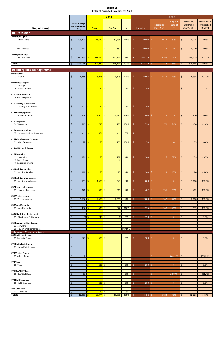|                                                            | 2019                                                  |                         | 2020       |                               |         |                 |                              |                           |                                                |                                            |
|------------------------------------------------------------|-------------------------------------------------------|-------------------------|------------|-------------------------------|---------|-----------------|------------------------------|---------------------------|------------------------------------------------|--------------------------------------------|
| <b>Department</b>                                          | 3 Year Average<br><b>Actual Expenses</b><br>$(17-19)$ | <b>Budget</b>           |            | <b>Year End</b>               | %       | <b>Budgeted</b> | <b>Expenses</b><br>Jan - Aug | % spent<br>(66% of<br>yr) | Projected<br><b>Expenses</b><br>(as of Sept 1) | Projected %<br>of Expense<br><b>Budget</b> |
| <b>38 Protection</b>                                       |                                                       |                         |            |                               |         |                 |                              |                           |                                                |                                            |
| 105 Street Lights<br>01 Street Lights                      | 103,724<br>\$                                         | Š.                      | 76,550     | 87,296<br>$\ddot{\mathsf{S}}$ | 114%    | 50,000<br>Ś     | Ŝ.<br>16,018                 | 32%                       | \$<br>20,225                                   | 40.5%                                      |
| 02 Maintenance                                             | 117<br>\$                                             |                         |            | \$<br>350                     |         | \$<br>20,000    | \$<br>1,135                  | 6%                        | \$<br>10,000                                   | 50.0%                                      |
| 106 Hydrant Fees<br>01 Hydrant Fees                        | \$<br>321,433                                         | Š,                      | 337,470    | \$<br>332,147                 | 98%     | 344,219         | 214,289<br>Š.                | 62%                       | \$<br>344,219                                  | 100.0%                                     |
| <b>Totals</b>                                              | \$<br>425,273                                         | Ŝ.                      | 414,020    | $\mathsf{S}$<br>419,794       | 101%    | 414,219<br>Š.   | Ś.<br>231,442                | 56%                       | \$<br>374,444                                  | 90.4%                                      |
| <b>39 Emergency Management</b>                             |                                                       |                         |            |                               |         |                 |                              |                           |                                                |                                            |
| 001 Salaries                                               |                                                       |                         |            |                               |         |                 |                              |                           |                                                |                                            |
| 07 Salaries                                                | Ś.<br>6,858                                           | ς                       | 6,995      | 8,573<br>Ŝ.                   | 123%    | Ś.<br>6,995     | $\dot{\mathsf{S}}$<br>3,429  | 49%                       | \$<br>6,995                                    | 100.0%                                     |
| 003 Office Supplies<br>01 Postage                          |                                                       |                         |            |                               |         |                 |                              |                           |                                                |                                            |
| 08 Office Supplies                                         | Ś<br>$\sim$                                           | $\overline{\mathsf{S}}$ | 40         | \$<br>$\sim$                  | 0%      | 40<br>Ś         |                              |                           | \$<br>$\blacksquare$                           | 0.0%                                       |
| 010 Travel Expenses<br>05 Travel Expenses                  | Ś                                                     |                         |            |                               |         |                 |                              |                           |                                                |                                            |
| 011 Training & Education<br>02 Training & Education        | 100<br>\$                                             | Ś.                      | <b>150</b> | -\$<br>$\equiv$               | 0%      | 150<br>Ś        |                              |                           |                                                |                                            |
| 014 New Equipment<br>01 New Equipment                      | 1,578<br>Ś                                            | Ś.                      | 1,000      | \$<br>3,457                   | 346%    | 1,000<br>Ś      | 15<br>Ś                      | 1%                        | 500<br>\$                                      | 50.0%                                      |
| 015 Telephone<br>04 Telephone                              | 716<br>Ś                                              | ς                       | 730        | 730<br>Ŝ.                     | 100%    | \$<br>730       | 172<br>Ŝ.                    | 24%                       | \$<br>450                                      | 61.6%                                      |
| 017 Communications<br>03 Communications (Internet)         | Ś                                                     | Ŕ                       | 564        | \$                            | 0%      | \$<br>$\sim$ .  |                              |                           |                                                |                                            |
| 019 Miscellaneous Expenses<br>01 Misc. Expenses            | Ş<br>99                                               | S                       | 150 S      | 150                           | 100%    | 150  <br>⇒      | -S                           | 0%                        | Ş.<br>75                                       | 50.0%                                      |
| 024-02 Water & Sewer                                       |                                                       |                         |            |                               |         |                 |                              |                           |                                                |                                            |
| 027 Electricity<br>11 Electricity<br>13 Radio Tower        | \$<br>184                                             | Ś.                      | 250        | \$<br>139<br>\$<br>16         | 55%     | Ś<br>200        | $\hat{\mathsf{S}}$<br>116    | 58%                       | \$<br>179                                      | 89.7%                                      |
| 12 PWPUMP HOUSE                                            |                                                       |                         |            |                               |         |                 |                              |                           |                                                |                                            |
| 030 Building Supplies<br>01 Building Supplies              | 111<br>Ś                                              | Ś.                      | 250        | $\sqrt{5}$<br>87              | 35%     | 200<br>\$       | \$.<br>19                    | 10%                       | \$<br>90                                       | 45.0%                                      |
| 031 Building Maintenance<br>01 Building Maintenance        | 169<br>\$                                             | Ŝ.                      | 1,500      | 343<br>  \$                   | 23%     | 1,000<br>Ś      | $\hat{\mathsf{S}}$<br>÷.     | 0%                        | \$<br>1,000                                    | 100.0%                                     |
| 032 Property Insurance<br>01 Property Insurance            | $\frac{1}{371}$<br>Ś                                  | Ś.                      | 390        | 365<br>-\$                    | 94%     | 402<br>Ś        | \$<br>236                    | 59%                       | 402<br>\$                                      | 100.0%                                     |
| 036 Vehicle Insurance<br>01 Vehicle Insurance              | 1,557<br>Ś                                            | Ŝ                       | 2,400      | 2,350<br>$\ddot{\mathsf{S}}$  | 98%     | 2,000<br>Ś      | \$<br>1,547                  | 77%                       | 2,000<br>\$                                    | 100.0%                                     |
| 038 Social Security<br>01 Social Security                  | Ś.<br>497                                             | Ś                       | 535        | -\$<br>622                    | 116%    | Ś<br>535        | Ŝ.<br>248                    | 46%                       | $\dot{\mathsf{S}}$<br>535                      | 100.0%                                     |
| 040 City & State Retirement<br>01 City & State Retirement  | \$                                                    | $(0)$ \$                | 245        | \$<br>(0)                     | 0%      | Ś<br>350        | \$<br>on.                    | 0%                        | \$<br>$\blacksquare$                           | 0.0%                                       |
| 051 Equipment Maintenance<br>01 Software                   | \$                                                    |                         |            |                               |         |                 |                              |                           |                                                |                                            |
| 05 Equipment Maintenance<br>39 Emergency Management Cont'd | $\overline{\phantom{a}}$                              |                         |            |                               | #VALUE! |                 |                              |                           |                                                |                                            |
| 068 Janitorial Services<br>01 Janitorial Services          | 675<br>\$                                             | Ś                       | 400        | \$<br>$\sim$                  | 0%      | Ś<br>300        | Ŝ<br>$\sim$                  | 0%                        | \$<br>$\blacksquare$                           | 0.0%                                       |
| 071 Radio Maintenance<br>03 Radio Maintenance              | \$<br>$\overline{\phantom{a}}$                        |                         |            |                               |         |                 |                              |                           |                                                |                                            |

**073 Vehicle Repair**

| 073 Vehicle Repair  |                          |             |        |      |                 |       |         |                          |         |
|---------------------|--------------------------|-------------|--------|------|-----------------|-------|---------|--------------------------|---------|
| 01 Vehicle Repair   |                          |             |        |      |                 |       | #VALUE! | .S                       | #VALUE! |
|                     |                          |             |        |      |                 |       |         |                          |         |
| 074 Tires           |                          |             |        |      |                 |       |         |                          |         |
| 01 Tires            | $\overline{\phantom{a}}$ | $200$ \$    | -      | 0%   | 200             |       | 0%      | $\overline{\phantom{0}}$ | 0.0%    |
|                     |                          |             |        |      |                 |       |         |                          |         |
| 075 Gas/Oil/Filters |                          |             |        |      |                 |       |         |                          |         |
| 01 Gas/Oil/Filters  | 63                       |             |        | 0%   | <b>Contract</b> |       | #DIV/0! | -S                       | #DIV/0! |
|                     |                          |             |        |      |                 |       |         |                          |         |
| 078 Field Expenses  |                          |             |        |      |                 |       |         |                          |         |
| 01 Field Expenses   | $\overline{\phantom{a}}$ | $200$ \$    |        | 0%   | 200             |       | 0%      | $\overline{\phantom{0}}$ | 0.0%    |
|                     |                          |             |        |      |                 |       |         |                          |         |
| 108 CEM Rent        |                          |             |        |      |                 |       |         |                          |         |
| 01 CEM Rent         | $\overline{\phantom{a}}$ | $75$ \$     |        | 0%   |                 |       |         |                          |         |
| <b>Totals</b>       | 12,965                   | $16,074$ \$ | 16,830 | 105% | 14,452          | 5,782 | 40%     | 12,226                   | 84.6%   |

Г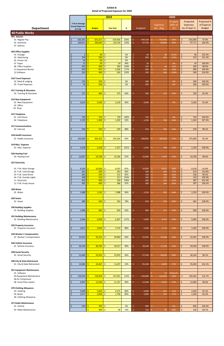|                                               | 2019                   |                                 |                                                          |              | 2020                           |                        |             |                          |                  |  |  |
|-----------------------------------------------|------------------------|---------------------------------|----------------------------------------------------------|--------------|--------------------------------|------------------------|-------------|--------------------------|------------------|--|--|
|                                               |                        |                                 |                                                          |              |                                |                        | % spent     | Projected                | Projected %      |  |  |
|                                               | 3 Year Average         |                                 |                                                          |              |                                | <b>Expenses</b>        | (66% of     | <b>Expenses</b>          | of Expense       |  |  |
| <b>Department</b>                             | <b>Actual Expenses</b> | <b>Budget</b>                   | <b>Year End</b>                                          | %            | <b>Budgeted</b>                | Jan - Aug              | yr)         | (as of Sept 1)           | <b>Budget</b>    |  |  |
|                                               | $(17-19)$              |                                 |                                                          |              |                                |                        |             |                          |                  |  |  |
| <b>40 Public Works</b>                        |                        |                                 |                                                          |              |                                |                        |             |                          |                  |  |  |
| 001 Salaries<br>01 Regular Pay                | 605,391<br>$\zeta$     | 631,011<br>S.                   | 629,566<br>-\$                                           | 100%         | 649,330<br>\$                  | 414,446<br>Ŝ.          | 64%         | \$<br>635,000            | 97.8%            |  |  |
| 02 Overtime                                   | Ś<br>109,611           | S.<br>100,000                   | $\mathsf{S}$<br>120,139                                  | 120%         | Ś<br>97,750                    | S.<br>64,860           | 66%         | \$<br>97,771             | 100.0%           |  |  |
| 07 Salaries                                   |                        |                                 |                                                          |              |                                |                        |             |                          |                  |  |  |
|                                               |                        |                                 |                                                          |              |                                |                        |             |                          |                  |  |  |
| 003 Office Supplies<br>01 Postage             | $\overline{3}$<br>Ś    | Ŝ<br>40                         | $\ddot{\mathsf{S}}$                                      | 0%           | Ś                              | 86<br>-S               | 215%        | 90                       | 225.0%           |  |  |
| 02 Advertising                                | 378<br>Ś               | 500<br>-Ś                       | $\equiv$<br>-\$<br>$\Box$                                | 0%           | 40<br>Š.<br>400                | 525                    | 131%        | \$<br>\$<br>525          | 131.3%           |  |  |
| 05 Printer Ink                                | 24<br>Ś                | 40<br><b>S</b>                  | $\ddot{\mathsf{S}}$<br>$\sim$                            | 0%           | Ś<br>$\sim$                    |                        |             |                          |                  |  |  |
| 07 Paper                                      | 21                     | 50<br>Ŝ                         | $\ddot{\mathsf{S}}$<br>24                                | 49%          | Š.<br>50                       | S.                     | 0%          | $\mathsf{S}$<br>50       | 100.0%           |  |  |
| 08 Office Supplies                            | 302<br>Ś               | <b>S</b><br>300                 | $\ddot{\mathsf{S}}$<br>383                               | 128%         | Ś<br>250                       | 60<br>Ŝ                | 24%         | $\zeta$<br>200           | 80.0%            |  |  |
| 11 Equipment Rental<br>12 Software            | 970<br>310<br>Ś        | 875<br>S<br>Ŝ<br>400            | $\ddot{\mathsf{S}}$<br>1,026<br>$\mathsf{S}$<br>634      | 117%<br>159% | Ŝ.<br>900<br>Ś.<br>250         | 531<br>Ŝ.<br>Ŝ.<br>560 | 59%<br>224% | \$<br>900<br>\$<br>560   | 100.0%<br>224.0% |  |  |
|                                               |                        |                                 |                                                          |              |                                |                        |             |                          |                  |  |  |
| 010 Travel Expenses                           |                        |                                 |                                                          |              |                                |                        |             |                          |                  |  |  |
| 02 Meal & Lodging                             | 135<br>\$.             | <b>S</b><br>250                 | -\$<br>$\blacksquare$                                    | 0%           | 200<br>Ŝ.                      | Ŝ.                     | 0%          | \$<br>200                | 100.0%           |  |  |
| 05 Travel Expenses                            | 74<br>Ŝ.               | <b>S</b><br>200                 | $\mathsf{S}$<br>÷.                                       | 0%           | Ś.<br>200                      | Ŝ.                     | 0%          | \$<br>200                | 100.0%           |  |  |
| 011 Training & Education                      |                        |                                 |                                                          |              |                                |                        |             |                          |                  |  |  |
| 02 Training & Education                       | 272<br>Ŝ               | 400<br>Ŝ                        | 375<br>-\$                                               | 94%          | Ŝ.<br>300                      | 124<br>Ŝ.              | 41%         | \$<br>250                | 83.3%            |  |  |
|                                               |                        |                                 |                                                          |              |                                |                        |             |                          |                  |  |  |
| 014 New Equipment                             |                        |                                 |                                                          |              |                                |                        |             |                          |                  |  |  |
| 01 New Equipment<br>02 Office                 | 3,614<br><sup>5</sup>  | 3,500<br>Ŝ                      | -\$<br>3,139                                             | 90%          | Ŝ.<br>3,500                    | Š.                     | 0%          | \$<br>3,200              | 91.4%            |  |  |
| 03 Shop                                       |                        |                                 |                                                          |              |                                |                        |             |                          |                  |  |  |
|                                               |                        |                                 |                                                          |              |                                |                        |             |                          |                  |  |  |
| 015 Telephone                                 |                        |                                 |                                                          |              |                                |                        |             |                          |                  |  |  |
| 01 Cell Phone                                 | 720<br>Ś               | 720<br>Ś                        | -\$<br>720                                               | 100%         | \$<br>720                      | Ŝ.<br>contract.        | 0%          | \$<br>720                | 100.0%           |  |  |
| 04 Telephone                                  | 1,155<br>$\zeta$       | 1,300<br><b>S</b>               | -\$<br>1,202                                             | 92%          | Ś.<br>1,250                    | 789                    | 63%         | \$<br>1,343              | 107.4%           |  |  |
| 017 Communications                            |                        |                                 |                                                          |              |                                |                        |             |                          |                  |  |  |
| 03 Internet                                   | 539<br>Ś               | 550<br>Ŝ                        | l \$<br>539                                              | 98%          | Ś.<br>550                      | Ŝ.<br>360              | 65%         | $\mathsf{S}$<br>539      | 98.1%            |  |  |
|                                               |                        |                                 |                                                          |              |                                |                        |             |                          |                  |  |  |
| 018 Health Insurance                          |                        |                                 |                                                          |              |                                |                        |             |                          |                  |  |  |
| 01 Health Insurance                           | 253,994<br>\$          | Ŝ<br>305,452                    | $\ddot{\mathsf{S}}$<br>252,234                           | 83%          | Ś<br>298,965                   | Ŝ.<br>183,646          | 61%         | \$<br>275,600            | 92.2%            |  |  |
| 019 Misc. Expense                             |                        |                                 |                                                          |              |                                |                        |             |                          |                  |  |  |
| 01 Misc. Expense                              | 1,418<br>Ŝ             | 1,250<br>-\$                    | 1,257<br>-\$                                             | 101%         | Ŝ.<br>1,250                    | 788<br>Ŝ.              | 63%         | 1,250<br>\$              | 100.0%           |  |  |
|                                               |                        |                                 |                                                          |              |                                |                        |             |                          |                  |  |  |
| 026 Heating Fuel                              |                        |                                 |                                                          |              |                                |                        |             |                          |                  |  |  |
| 03 Heating Fuel                               | 13,037<br>Ŝ.           | 14,790<br>S.                    | -\$<br>14,336                                            | 97%          | \$<br>15,000                   | Ŝ.<br>7,978            | 53%         | \$<br>14,700             | 98.0%            |  |  |
| 027 Electricity                               |                        |                                 |                                                          |              |                                |                        |             |                          |                  |  |  |
|                                               |                        |                                 |                                                          |              |                                |                        |             |                          |                  |  |  |
| 01 P.W. Main Garage                           | 9,195<br>-S            | 10,500<br><b>S</b>              | $\vert \mathsf{S} \vert$<br>9,147                        | 87%          | \$<br>10,000                   | Ŝ.<br>6,621            | 66%         | \$<br>9,159              | 91.6%            |  |  |
| 02 P.W. Cold Storage                          | Ś<br>441               | Ś<br>450                        | $\ddot{\mathsf{S}}$<br>443                               | 99%          | Ś<br>428                       | Ŝ.<br>305              | 71%         | \$<br>474                | 110.8%           |  |  |
| 03 P.W. Sand Dome                             | 263<br>\$<br>208       | <b>S</b><br>250<br>Ŝ            | -\$<br>212                                               | 85%          | Ś<br>238<br>Ś                  | Ŝ.<br>149<br>Ŝ.        | 63%         | \$<br>236                | 99.3%            |  |  |
| 04 P.W. Outside Lights<br>11 Electricity      | Ś<br>415               | 210<br>400                      | $\ddot{\mathsf{S}}$<br>217<br>$\ddot{\mathsf{S}}$<br>430 | 103%<br>108% | 200<br>Š.<br>380               | 147<br>255<br>Ŝ.       | 74%<br>67%  | \$<br>219<br>\$<br>387   | 109.9%<br>101.9% |  |  |
| 12 P.W. Pump House                            | Ś<br>391               | 400<br><b>S</b>                 | $\mathsf{S}$<br>386                                      | 97%          | Ś<br>380                       | Ŝ.<br>244              | 64%         | \$<br>397                | 104.5%           |  |  |
|                                               |                        |                                 |                                                          |              |                                |                        |             |                          |                  |  |  |
| 028 Water                                     |                        |                                 |                                                          |              |                                |                        |             |                          |                  |  |  |
| 05 Water                                      | 1,488<br>Ŝ             | 1,545<br>S                      | -\$<br>1,488                                             | 96%          | Ŝ.<br>1,550                    | 992<br>S.              | 64%         | Ś.<br>1,550              | 100.0%           |  |  |
| 029 Sewer                                     |                        |                                 |                                                          |              |                                |                        |             |                          |                  |  |  |
| 01 Sewer                                      | \$<br>380              | Ś<br>500                        | -\$<br>392                                               | 78%          | Ś.<br>420                      | 353<br>Ŝ.              | 84%         | \$<br>462                | 109.9%           |  |  |
|                                               |                        |                                 |                                                          |              |                                |                        |             |                          |                  |  |  |
| 030 Building Supplies                         |                        |                                 |                                                          |              |                                |                        |             |                          |                  |  |  |
| 01 Building Supplies                          | 1,008<br>Ś             | <b>S</b><br>900                 | -\$<br>835                                               | 93%          | Ŝ.<br>900                      | 271<br>Ŝ.              | 30%         | \$<br>900                | 100.0%           |  |  |
| 031 Building Maintenance                      |                        |                                 |                                                          |              |                                |                        |             |                          |                  |  |  |
| 01 Building Maintenance                       | 5,446<br>Ś             | 5,000<br><b>S</b>               | -\$<br>6,367                                             | 127%         | \$<br>5,000                    | Ŝ.<br>3,314            | 66%         | \$<br>5,000              | 100.0%           |  |  |
|                                               |                        |                                 |                                                          |              |                                |                        |             |                          |                  |  |  |
| 032 Property Insurance                        |                        |                                 |                                                          |              |                                |                        |             |                          |                  |  |  |
| 01 Property Insurance                         | 2,811<br>Ś             | S.<br>3,092                     | -\$<br>2,732                                             | 88%          | Š.<br>3,185                    | Ŝ.<br>1,775            | 56%         | \$<br>3,185              | 100.0%           |  |  |
| 034 Worker's Compensation                     |                        |                                 |                                                          |              |                                |                        |             |                          |                  |  |  |
| 01 Worker's Compensation                      | 35,322<br>Ŝ.           | 42,251<br><b>S</b>              | l \$<br>39,869                                           | 94%          | Ŝ.<br>52,391                   | 35,906<br>Ś            | 69%         | \$<br>52,391             | 100.0%           |  |  |
|                                               |                        |                                 |                                                          |              |                                |                        |             |                          |                  |  |  |
| 036 Vehicle Insurance<br>01 Vehicle Insurance | 26,144<br>Ś            | Ś<br>28,782                     | <b>S</b><br>26,017                                       | 90%          | \$<br>29,358                   | Ŝ.<br>17,199           | 59%         | \$<br>29,358             | 100.0%           |  |  |
|                                               |                        |                                 |                                                          |              |                                |                        |             |                          |                  |  |  |
| 038 Social Security                           |                        |                                 |                                                          |              |                                |                        |             |                          |                  |  |  |
| 01 Social Security                            | 51,660<br><b>S</b>     | 55,922<br>ς                     | -\$<br>53,929                                            | 96%          | \$<br>57,330                   | 34,643<br>Ŝ.           | 60%         | \$<br>56,250             | 98.1%            |  |  |
| 040 City & State Retirement                   |                        |                                 |                                                          |              |                                |                        |             |                          |                  |  |  |
| 01 City & State Retirement                    | 13,060<br>Ŝ            | Ś<br>24,467                     | -\$<br>13,207                                            | 54%          | Ŝ<br>25,100                    | Š.<br>6,878            | 27%         | \$<br>25,650             | 102.2%           |  |  |
|                                               |                        |                                 |                                                          |              |                                |                        |             |                          |                  |  |  |
| 051 Equipment Maintenance                     |                        |                                 |                                                          |              |                                |                        |             |                          |                  |  |  |
| 01 Software                                   |                        |                                 |                                                          |              |                                | 53<br>Ŝ.               | #VALUE!     |                          |                  |  |  |
| 05 Equipment Maintenance                      | \$<br>139,540          | $\mathsf{S}$<br>134,004         | $\sqrt{5}$<br>147,941                                    | 110%         | 134,000<br>\$                  | Ŝ.<br>110,954          | 83%         | $\frac{1}{2}$<br>156,443 | 116.7%           |  |  |
| 06 Air Compressor<br>08 Snow Plow repairs     | 9,407<br><b>S</b>      | 12,500<br>Ŝ.                    | $\sqrt{5}$<br>11,197                                     | 90%          | \$<br>12,500                   | 2,672<br>S.            | 21%         | \$<br>12,000             | 96.0%            |  |  |
|                                               |                        |                                 |                                                          |              |                                |                        |             |                          |                  |  |  |
| 070 Clothing Allowance                        |                        |                                 |                                                          |              |                                |                        |             |                          |                  |  |  |
| 03 Clothing                                   | 5,000                  | $5,600$ \$<br>S.                | 4,475                                                    | 80%          | \$<br>4,000                    | 857<br>\$              | 21%         | \$<br>3,500              | 87.5%            |  |  |
| 04 Boots<br>06 Clothing Allowance             | 1,677<br>$\zeta$       | $2,000$ \$<br><sub>S</sub>      | 1,790                                                    | 89%          | \$<br>1,800                    | \$.<br>313             | 17%         | \$<br>1,500              | 83.3%            |  |  |
|                                               |                        |                                 |                                                          |              |                                |                        |             |                          |                  |  |  |
| 071 Radio Maintenance                         |                        |                                 |                                                          |              |                                |                        |             |                          |                  |  |  |
| 01 Vehicle                                    | 593                    | $700$ \$<br>-Ś                  | $\omega_{\rm c}$                                         | 0%           | \$<br>800                      | Ŝ.<br>$\sim$           | 0%          | \$<br>800                | 100.0%           |  |  |
| 03 Radio Maintenance                          |                        | $\frac{300}{5}$<br>$\mathsf{S}$ | 40                                                       | 13%          | $\ddot{\varsigma}$<br>150   \$ | 99                     | 66%         | $\zeta$<br>100           | 66.7%            |  |  |

|  |  | 01 Social Security |
|--|--|--------------------|
|--|--|--------------------|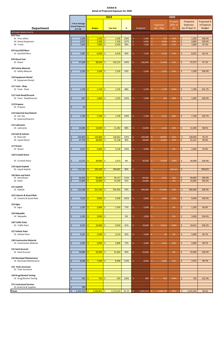|                                                       |                                                       | 2019                                |                                     |       | 2020                            |                              |                           |                                                |                                            |  |  |
|-------------------------------------------------------|-------------------------------------------------------|-------------------------------------|-------------------------------------|-------|---------------------------------|------------------------------|---------------------------|------------------------------------------------|--------------------------------------------|--|--|
| <b>Department</b>                                     | 3 Year Average<br><b>Actual Expenses</b><br>$(17-19)$ | <b>Budget</b>                       | <b>Year End</b>                     | %     | <b>Budgeted</b>                 | <b>Expenses</b><br>Jan - Aug | % spent<br>(66% of<br>yr) | Projected<br><b>Expenses</b><br>(as of Sept 1) | Projected %<br>of Expense<br><b>Budget</b> |  |  |
|                                                       |                                                       |                                     |                                     |       |                                 |                              |                           |                                                |                                            |  |  |
| 40 Public Works Cont'd                                |                                                       |                                     |                                     |       |                                 |                              |                           |                                                |                                            |  |  |
| 074 Tires                                             |                                                       | Ś                                   |                                     |       |                                 |                              |                           |                                                |                                            |  |  |
| 01 Tires others                                       | 1,566<br>\$                                           | 1,500                               | $\ddot{\mathsf{S}}$<br>1,500        | 100%  | $\zeta$<br>1,200                | \$<br>272                    | 23%                       | $\mathsf{S}$<br>1,200                          | 100.0%<br>100.0%                           |  |  |
| 03 Heavy Equipment                                    | $\boldsymbol{\zeta}$<br>5,072<br>Ś                    | 5,000<br>Ś<br>ς                     | $\sqrt{ }$<br>7,358                 | 147%  | Ŝ<br>4,800                      | \$.<br>2,844                 | 59%                       | \$<br>4,800                                    |                                            |  |  |
| 04 Trucks                                             | 7,645                                                 | 7,000                               | $\ddot{\mathsf{S}}$<br>6,934        | 99%   | Ś<br>7,200                      | \$<br>1,524                  | 21%                       | Ŝ.<br>7,000                                    | 97.2%                                      |  |  |
| 075 Gas/Oil/Filters                                   |                                                       |                                     |                                     |       |                                 |                              |                           |                                                |                                            |  |  |
| 01 Gas/Oil/Filters                                    | 7,287<br>\$                                           | 6,500<br>ς                          | -\$<br>6,429                        | 99%   | 7,250<br>Ŝ                      | 4,124<br>\$.                 | 57%                       | 6,025<br>Ś                                     | 83.1%                                      |  |  |
|                                                       |                                                       |                                     |                                     |       |                                 |                              |                           |                                                |                                            |  |  |
| 076 Diesel Fuel                                       |                                                       |                                     |                                     |       |                                 |                              |                           |                                                |                                            |  |  |
| 01 Diesel                                             | 97,368                                                | 98,000<br>Ś                         | $\sqrt{5}$<br>102,215               | 104%  | Ŝ<br>100,000                    | Ŝ.<br>51,446                 | 51%                       | \$<br>97,073                                   | 97.1%                                      |  |  |
|                                                       |                                                       |                                     |                                     |       |                                 |                              |                           |                                                |                                            |  |  |
| 109 Safety Material                                   |                                                       |                                     |                                     |       |                                 |                              |                           |                                                |                                            |  |  |
| 01 Safety Material                                    | 2,220                                                 | Ś.<br>2,500                         | -\$<br>1,556                        | 62%   | Š,<br>2,500                     | 1,531<br>Ŝ.                  | 61%                       | 2,500<br>Ś.                                    | 100.0%                                     |  |  |
|                                                       |                                                       |                                     |                                     |       |                                 |                              |                           |                                                |                                            |  |  |
| 110 Equipment Rental                                  |                                                       |                                     |                                     |       |                                 |                              |                           |                                                |                                            |  |  |
| 01 Equipment Rental                                   |                                                       |                                     |                                     |       |                                 |                              |                           |                                                |                                            |  |  |
|                                                       |                                                       |                                     |                                     |       |                                 |                              |                           |                                                |                                            |  |  |
| 111 Tools - Shop                                      |                                                       |                                     |                                     |       |                                 |                              |                           |                                                |                                            |  |  |
| 01 Tools - Shop                                       | 1,758<br>Ś                                            | Ś<br>1,750                          | $\vert$ \$<br>1,535                 | 88%   | Ŝ.<br>1,750                     | \$<br>1,779                  | 102%                      | \$<br>1,780                                    | 101.7%                                     |  |  |
|                                                       |                                                       |                                     |                                     |       |                                 |                              |                           |                                                |                                            |  |  |
| 112 Tools-Road/Ground                                 |                                                       |                                     |                                     |       |                                 |                              |                           |                                                |                                            |  |  |
| 01 Tools - Road/Ground                                | 847<br>Ś                                              | 1,000                               | $\ddot{\mathsf{S}}$<br>1,033        | 103%  | Ś<br>1,000                      | \$.<br>581                   | 58%                       | $\mathsf{S}$<br>1,000                          | 100.0%                                     |  |  |
|                                                       |                                                       |                                     |                                     |       |                                 |                              |                           |                                                |                                            |  |  |
| 113 Propane                                           | 52                                                    |                                     |                                     |       |                                 |                              |                           |                                                |                                            |  |  |
| 01 Propane                                            | \$                                                    |                                     |                                     |       |                                 |                              |                           |                                                |                                            |  |  |
| 114 Industrial Gas/Solvent                            |                                                       |                                     |                                     |       |                                 |                              |                           |                                                |                                            |  |  |
| 01 Ind. Gas                                           | 1,700<br>Ś                                            | $1,700$ \$<br>Ś                     | 1,700                               | 100%  | Ŝ<br>1,700                      | \$.<br>1,531                 | 90%                       | Ś.<br>1,780                                    | 104.7%                                     |  |  |
| 02 Solvents/Cleaners                                  |                                                       |                                     |                                     |       |                                 |                              |                           |                                                |                                            |  |  |
|                                                       |                                                       |                                     |                                     |       |                                 |                              |                           |                                                |                                            |  |  |
| 115 Lubricants                                        |                                                       |                                     |                                     |       |                                 |                              |                           |                                                |                                            |  |  |
| 01 Lubricants                                         | 10,306<br>Ś                                           | $13,000$ \$<br>S                    | 11,463                              | 88%   | 13,000<br>Ŝ.                    | 4,183<br>\$.                 | 32%                       | 11,500<br>\$                                   | 88.5%                                      |  |  |
|                                                       |                                                       |                                     |                                     |       |                                 |                              |                           |                                                |                                            |  |  |
| 116 Salt & Calcium                                    |                                                       |                                     |                                     |       |                                 |                              |                           |                                                |                                            |  |  |
| 01 Rock Salt                                          | 143,893                                               | 145,800<br>Ŝ                        | 148,662<br>-\$                      | 102%  | 145,000<br>Ŝ.                   | \$.<br>80,067                | 55%                       | \$<br>138,000                                  | 95.2%                                      |  |  |
| 02 Liquid Deicer                                      | 27,793<br>\$                                          | Ś<br>28,000                         | $\sqrt{ }$<br>25,138                | 90%   | $\dot{\mathsf{S}}$<br>28,000    | \$.<br>12,603                | 45%                       | 25,167<br>\$                                   | 89.9%                                      |  |  |
|                                                       |                                                       |                                     |                                     |       |                                 |                              |                           |                                                |                                            |  |  |
| 117 Gravel                                            |                                                       |                                     |                                     |       |                                 |                              |                           |                                                |                                            |  |  |
| 01 Gravel                                             | 2,657<br>Ś                                            | 4,000<br>ς                          | -\$<br>4,140                        | 104%  | Ŝ<br>4,000                      | \$.<br>$\sim$                | 0%                        | \$<br>2,000                                    | 50.0%                                      |  |  |
|                                                       |                                                       |                                     |                                     |       |                                 |                              |                           |                                                |                                            |  |  |
| 118 Crushed Stone                                     |                                                       |                                     |                                     |       |                                 |                              |                           |                                                |                                            |  |  |
|                                                       |                                                       |                                     |                                     |       |                                 |                              |                           |                                                |                                            |  |  |
| 01 Crushed Stone                                      | 21,572<br>\$                                          | $30,000$ \$<br>Ŝ                    | 2,413                               | 8%    | 26,000<br>Ŝ.                    | \$.<br>26,000                | 100%                      | \$<br>26,000                                   | 100.0%                                     |  |  |
|                                                       |                                                       |                                     |                                     |       |                                 |                              |                           |                                                |                                            |  |  |
| 119 Liquid Asphalt                                    |                                                       |                                     |                                     |       |                                 |                              |                           |                                                |                                            |  |  |
| 01 Liquid Asphalt                                     | 171,122                                               | 193,200                             | 188,683<br>-\$                      | 98%   | S<br>$\sim$                     | Ş.<br>$\sim$                 | #DIV/0!                   | S<br>$\sim$                                    | #DIV/0!                                    |  |  |
|                                                       |                                                       |                                     |                                     |       |                                 |                              |                           |                                                |                                            |  |  |
| 120 Shim and Patch<br>01 Shim/Paver                   |                                                       |                                     |                                     | 112%  | .S                              |                              |                           |                                                | 100.0%                                     |  |  |
| 02 Patch                                              | 52,403<br>15,869                                      | 50,000<br>16,000<br>ς               | -\$<br>56,117<br><b>S</b><br>14,504 | 91%   | 40,000<br>Ŝ<br>16,000           | \$.<br>6,201<br>\$<br>$\sim$ | 16%<br>0%                 | 40,000<br>\$.<br>Ŝ.<br>16,000                  | 100.0%                                     |  |  |
|                                                       |                                                       |                                     |                                     |       |                                 |                              |                           |                                                |                                            |  |  |
| 121 Asphalt                                           |                                                       |                                     |                                     |       |                                 |                              |                           |                                                |                                            |  |  |
| 01 Asphalt                                            | 213,168                                               | $221,760$ \$                        | 205,450                             | 93%   | 400,000<br>S.                   | 373,983<br>S.                | 93%                       | 400,000<br>\$                                  | 100.0%                                     |  |  |
|                                                       |                                                       |                                     |                                     |       |                                 |                              |                           |                                                |                                            |  |  |
| 122 Culverts & Guard Rails                            |                                                       |                                     |                                     |       |                                 |                              |                           |                                                |                                            |  |  |
| 01 Culverts & Guard Rails                             | 7,616<br>Ś                                            | 9,000<br>Ŝ.                         | $\sqrt{5}$<br>9,200                 | 102%  | -Ś<br>9,000                     | S.<br>9,000                  | 100%                      | 9,000<br>Ś.                                    | 100.0%                                     |  |  |
|                                                       |                                                       |                                     |                                     |       |                                 |                              |                           |                                                |                                            |  |  |
| 123 Signs                                             |                                                       |                                     |                                     |       |                                 |                              |                           |                                                |                                            |  |  |
| 01 Signs                                              | 1,787<br>\$                                           | Š.<br>2,000                         | $\sqrt{5}$<br>1,543                 | 77%   | Ŝ<br>2,000                      | \$.<br>÷                     | 0%                        | \$<br>1,200                                    | 60.0%                                      |  |  |
|                                                       |                                                       |                                     |                                     |       |                                 |                              |                           |                                                |                                            |  |  |
| 124 Sidewalks                                         |                                                       |                                     |                                     |       |                                 |                              |                           |                                                |                                            |  |  |
| 01 Sidewalks                                          | 1,333<br>Ś                                            | $2,000$ \$<br>Ś                     | $\sim$                              | 0%    | Ŝ<br>3,000                      | -\$<br>$\sim$                | 0%                        | \$<br>3,000                                    | 100.0%                                     |  |  |
|                                                       |                                                       |                                     |                                     |       |                                 |                              |                           |                                                |                                            |  |  |
| 126 Traffic Paint                                     |                                                       |                                     |                                     |       |                                 |                              |                           |                                                |                                            |  |  |
| 01 Traffic Paint                                      | 9,323<br>Ś                                            | 10,000<br>Ŕ                         | $\sqrt{5}$<br>9,059                 | 91%   | Ŝ<br>10,000                     | \$.<br>10,621                | 106%                      | \$<br>10,621                                   | 106.2%                                     |  |  |
|                                                       |                                                       |                                     |                                     |       |                                 |                              |                           |                                                |                                            |  |  |
| 127 Vehicle Paint                                     |                                                       |                                     |                                     |       |                                 |                              |                           |                                                |                                            |  |  |
| 01 Vehicle Paint                                      | 3,107<br>Ś                                            | Š.<br>3,500                         | $\ddot{\mathsf{S}}$<br>3,214        | 92%   | Ś<br>3,500                      | 65<br>ς                      | 2%                        | Ś<br>3,000                                     | 85.7%                                      |  |  |
|                                                       |                                                       |                                     |                                     |       |                                 |                              |                           |                                                |                                            |  |  |
| <b>130 Construction Material</b>                      |                                                       |                                     |                                     |       |                                 |                              |                           |                                                |                                            |  |  |
| 01 Construction Material                              | 2,582<br>Ś                                            | 4,000<br>¢                          | -\$<br>2,868                        | 72%   | Ŝ<br>3,000                      | \$.<br>1,614                 | 54%                       | \$<br>2,960                                    | 98.7%                                      |  |  |
|                                                       |                                                       |                                     |                                     |       |                                 |                              |                           |                                                |                                            |  |  |
| 131 Sand Account                                      |                                                       |                                     |                                     |       |                                 |                              |                           |                                                |                                            |  |  |
| 01 Sand Account                                       | 39,899<br>Ś                                           | Š.<br>42,000                        | -\$<br>41,664                       | 99%   | Ŝ.<br>42,000                    | Ŝ.<br>$\sim$                 | 0%                        | \$<br>42,000                                   | 100.0%                                     |  |  |
|                                                       |                                                       |                                     |                                     |       |                                 |                              |                           |                                                |                                            |  |  |
| 132 Municipal Maintenance<br>01 Municipal Maintenance | 8,246                                                 | 7,500                               | \$<br>8,440                         | 113%  | 8,000<br>.S                     | 6,800<br>S.                  | 85%                       | 7,975<br>\$                                    | 99.7%                                      |  |  |
|                                                       |                                                       |                                     |                                     |       |                                 |                              |                           |                                                |                                            |  |  |
| 133 Tools Insurance                                   |                                                       |                                     |                                     |       |                                 |                              |                           |                                                |                                            |  |  |
| 01 Tools Insurance                                    |                                                       |                                     |                                     |       |                                 |                              |                           |                                                |                                            |  |  |
|                                                       |                                                       |                                     |                                     |       |                                 |                              |                           |                                                |                                            |  |  |
| 134 Drug/Alcohol Testing                              |                                                       |                                     |                                     |       |                                 |                              |                           |                                                |                                            |  |  |
| 01 Drug/Alcohol Testing                               | \$<br>595                                             | $\overline{\mathsf{S}}$<br>$750$ \$ | 943                                 | 126%  | Ŝ.<br>600                       | $\mathsf{S}$<br>625          | 104%                      | Ś.<br>750                                      | 125.0%                                     |  |  |
|                                                       |                                                       |                                     |                                     |       |                                 |                              |                           |                                                |                                            |  |  |
| <b>271 Contracted Services</b>                        |                                                       |                                     |                                     |       |                                 |                              |                           |                                                |                                            |  |  |
| 01 Janitorial & Supplies                              | 780<br>$\frac{1}{2}$                                  |                                     |                                     |       |                                 |                              |                           |                                                |                                            |  |  |
| <b>Totals</b>                                         | $\hat{\mathcal{L}}$<br>2,155,752                      | Š.<br>$2,298,862$ \$                | 2,210,450                           | 96.2% | $\frac{1}{2}$<br>$2,291,513$ \$ | 1,496,147                    | 65%                       | $\mathsf{S}$<br>2,255,390                      | 98.4%                                      |  |  |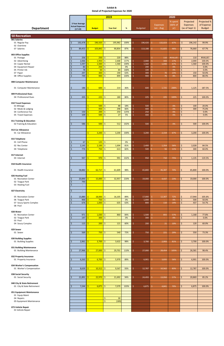|                                                     |                                         |                          | 2019                   |      | 2020              |                 |         |                           |               |  |
|-----------------------------------------------------|-----------------------------------------|--------------------------|------------------------|------|-------------------|-----------------|---------|---------------------------|---------------|--|
|                                                     |                                         |                          |                        |      |                   |                 | % spent | Projected                 | Projected %   |  |
|                                                     | 3 Year Average                          |                          |                        |      |                   | <b>Expenses</b> | (66% of | <b>Expenses</b>           | of Expense    |  |
| <b>Department</b>                                   | <b>Actual Expenses</b><br>$(17-19)$     | <b>Budget</b>            | <b>Year End</b>        | $\%$ | <b>Budgeted</b>   | Jan - Aug       | yr)     | (as of Sept 1)            | <b>Budget</b> |  |
|                                                     |                                         |                          |                        |      |                   |                 |         |                           |               |  |
| <b>50 Recreation</b>                                |                                         |                          |                        |      |                   |                 |         |                           |               |  |
| 001 Salaries                                        |                                         |                          |                        |      |                   |                 |         |                           |               |  |
| 01 Regular Pay                                      | 192,478<br>Ś                            | I\$<br>$196,420$ \$      | 195,982                | 100% | \$.<br>196,420    | 132,023<br>Ŝ.   | 67%     | \$<br>196,142             | 99.9%         |  |
| 02 Overtime                                         |                                         |                          |                        |      |                   |                 |         |                           |               |  |
| 07 Salaries                                         | 89,453<br>Ś                             | -\$<br>103,842           | $\vert$ \$<br>90,854   | 87%  | Ś<br>113,188      | Ŝ.<br>51,825    | 46%     | \$<br>76,660              | 67.7%         |  |
| 003 Office Supplies                                 |                                         |                          |                        |      |                   |                 |         |                           |               |  |
| 01 Postage                                          | 256                                     | 250 5<br>-\$             | 220                    | 88%  |                   | \$.<br>110      | #VALUE! | \$<br>110                 | #VALUE!       |  |
| 02 Advertising                                      | 2,066<br><sub>S</sub>                   | $1,950$ \$<br>-\$        | 2,668                  | 137% | \$.<br>2,000      | \$<br>343       | 17%     | \$<br>2,000               | 100.0%        |  |
| 03 Copier Rental                                    | 1,597                                   | $1,560$ \$<br>S.         | 1,560                  | 100% | \$<br>1,560       | Ŝ.<br>1,040     | 67%     | \$<br>1,560               | 100.0%        |  |
| 04 Equipment Repair                                 | 83                                      | $250$ \$                 |                        | 0%   | \$<br>200         | Ś.<br>$\sim$    | 0%      | \$                        | 0.0%          |  |
| 05 Printer Ink                                      | 78                                      | 50                       | $\vert$ \$<br>84       | 168% | \$<br>100         | Ś.<br>$\sim$ 1  | 0%      | \$<br>$\sim$              | 0.0%          |  |
| 07 Paper                                            | 297<br><sup>5</sup>                     | 300                      | -\$<br>190             | 63%  | Ś<br>300          | 70              | 23%     | \$<br>150                 | 50.0%         |  |
| 08 Office Supplies                                  | 749                                     | 900                      | -\$<br>899             | 100% | Ś.<br>900         | 76              | 8%      | \$<br>800                 | 88.9%         |  |
| 008 Computer Maintenance                            |                                         |                          |                        |      |                   |                 |         |                           |               |  |
|                                                     |                                         |                          |                        |      |                   |                 |         |                           |               |  |
| 01 Computer Maintenance                             | 186<br>-\$                              | 600<br>-S                | -\$<br>214             | 36%  | \$<br>600         | \$.<br>1,725    | 288%    | \$<br>1,125               | 187.5%        |  |
| 009 Professional Dues                               |                                         |                          |                        |      |                   |                 |         |                           |               |  |
| 04 Professional Dues                                | 205<br>Ś                                | $225$ \$<br>Ŝ.           | 180                    | 80%  | \$.<br>225        | 225<br>\$       | 100%    | \$<br>225                 | 100.0%        |  |
|                                                     |                                         |                          |                        |      |                   |                 |         |                           |               |  |
| 010 Travel Expenses                                 |                                         |                          |                        |      |                   |                 |         |                           |               |  |
| 01 Mileage                                          |                                         | 500<br>Ŝ                 | l \$<br>88             | 18%  | \$<br>500         | \$.<br>$\sim$   | 0%      | \$<br>100                 | 20.0%         |  |
| 02 Meals & Lodging                                  |                                         | $450$ \$<br>Ŝ            | 298                    | 66%  | \$<br>400         | Ŝ.<br>$\sim$    | 0%      | \$<br>300                 | 75.0%         |  |
| 04 Conference Fee                                   | 150                                     | 200                      | 250<br>-\$             | 125% | \$<br>250         | \$.<br>$\sim$   | 0%      | \$                        | 0.0%          |  |
| 05 Travel Expenses                                  | 109                                     | $500$ \$<br>Ŝ            | 27                     | 5%   | Ś.<br>400         | Ś.<br>$\sim$    | 0%      | \$                        | 0.0%          |  |
|                                                     |                                         |                          |                        |      |                   |                 |         |                           |               |  |
| 011 Training & Education<br>02 Training & Education | 586<br>Ŝ                                | $500$ \$<br>-S           | 512                    | 102% | \$<br>500         | $\equiv$        | 0%      | 500<br>\$                 | 100.0%        |  |
|                                                     |                                         |                          |                        |      |                   | \$.             |         |                           |               |  |
| 013 Car Allowance                                   |                                         |                          |                        |      |                   |                 |         |                           |               |  |
| 01 Car Allowance                                    |                                         | Š.<br>3,200              | -\$<br>3,200           | 100% | 3,200<br>\$.      | 2,154<br>Ŝ.     | 67%     | \$<br>3,200               | 100.0%        |  |
|                                                     |                                         |                          |                        |      |                   |                 |         |                           |               |  |
| 015 Telephone                                       |                                         |                          |                        |      |                   |                 |         |                           |               |  |
| 01 Cell Phone                                       | $67 \mid 5$<br>  Ş                      | $125$ \$                 |                        | 0%   | Ş                 |                 |         |                           |               |  |
| 02 Rec Center                                       | $\boldsymbol{\dot{\varsigma}}$<br>2,145 | $\vert$ \$<br>$2,100$ \$ | 1,694                  | 81%  | \$<br>2,400       | \$.<br>1,354    | 56%     | \$<br>2,028               | 84.5%         |  |
| 04 Telephone                                        | $\zeta$<br>774                          | -Ś<br>$750$ \$           | 613                    | 82%  | Ś.<br>500         | 56              | 11%     | $\mathsf{\dot{S}}$<br>300 | 60.0%         |  |
|                                                     |                                         |                          |                        |      |                   |                 |         |                           |               |  |
| 017 Internet                                        |                                         |                          |                        |      |                   |                 |         |                           |               |  |
| 03 Internet                                         | 947<br>Ś                                | $970$ \$<br>Ŝ.           | 991                    | 102% | \$<br>950         | Ŝ.<br>710       | 75%     | \$<br>1,135               | 119.5%        |  |
| 018 Health Insurance                                |                                         |                          |                        |      |                   |                 |         |                           |               |  |
|                                                     |                                         |                          |                        |      |                   |                 |         |                           |               |  |
| 01 Health Insurance                                 | 58,882<br>S                             | $62,717$ \$<br>I\$       | 61,609                 | 98%  | 65,800<br>\$.     | 46,387<br>-\$   | 70%     | 65,800<br>Ş.              | 100.0%        |  |
|                                                     |                                         |                          |                        |      |                   |                 |         |                           |               |  |
| 026 Heating Fuel                                    |                                         |                          |                        |      |                   |                 |         |                           |               |  |
| 01 Recreation Center                                | 20,890                                  | $15,000$ \$              | 32,957                 | 220% | \$.<br>19,000     | S.<br>4,437     | 23%     | \$<br>19,000              | 100.0%        |  |
| 02 Teague Park                                      | 793<br><sup>5</sup>                     |                          |                        |      |                   |                 |         |                           |               |  |
| 03 Heating Fuel                                     | $\sim$                                  |                          |                        |      |                   |                 |         |                           |               |  |
| 027 Electricity                                     | Ŝ<br>$\sim$                             |                          |                        |      |                   |                 |         |                           |               |  |
|                                                     |                                         |                          |                        |      |                   |                 |         |                           |               |  |
| 05 Recreation Center                                | 15,880                                  | $18,000$ \$              | 16,105                 | 89%  | 17,000<br>\$      | 12,307<br>\$.   | 72%     | 17,944<br>\$              | 105.6%        |  |
| 06 Teague Park                                      | 900                                     | $750$ \$<br>-Ŝ           | $\equiv$               | 0%   | Ś<br>1,000        | Ŝ.<br>$\sim$    | 0%      | $\mathsf{\dot{S}}$<br>500 | 50.0%         |  |
| 07 Soucy Sports Complex                             | 676                                     | $1,000$ \$               | 635                    | 63%  | Ś.<br>800         | Ŝ.<br>110       | 14%     | Ś.<br>437                 | 54.7%         |  |
| 08 Pool                                             |                                         |                          |                        |      |                   |                 |         |                           |               |  |
| 028 Water                                           |                                         |                          |                        |      |                   |                 |         |                           |               |  |
| 01 Recreation Center                                | 971                                     | $1,030$ \$<br>-Ŝ         | 860                    | 84%  | \$<br>1,500       | \$.<br>855      | 57%     | \$<br>1,168               | 77.8%         |  |
| 02 Teague Park                                      | 147<br>Ś                                | $300 \mid \xi$           | $\sim$                 | 0%   | \$<br>300         | Ŝ.<br>$\sim$    | 0%      | $\mathsf{S}$              | 0.0%          |  |
| 03 Pool                                             |                                         |                          |                        |      |                   |                 |         |                           |               |  |
| 04 Soucy Complex                                    | \$<br>115                               | S.<br>$200 \mid \zeta$   | 121                    | 60%  | Ś.<br>200         | 21              | 10%     | \$<br>120                 | 60.0%         |  |
| 029 Sewer                                           |                                         |                          |                        |      |                   |                 |         |                           |               |  |
| 01 Sewer                                            | 569<br>Ś                                | $750$ \$<br>-Ś           | 540                    | 72%  | 750<br>\$         | \$.<br>221      | 29%     | 550<br>\$                 | 73.3%         |  |
|                                                     |                                         |                          |                        |      |                   |                 |         |                           |               |  |
| 030 Building Supplies                               |                                         |                          |                        |      |                   |                 |         |                           |               |  |
| 01 Building Supplies                                | 2,961<br>Ś                              | $3,700$ \$<br>-Ś.        | 3,622                  | 98%  | \$<br>3,700       | 2,993<br>\$.    | 81%     | \$<br>3,700               | 100.0%        |  |
|                                                     |                                         |                          |                        |      |                   |                 |         |                           |               |  |
| 031 Building Maintenance                            |                                         |                          |                        |      |                   |                 |         |                           |               |  |
| 01 Building Maintenance                             | 27,966<br>Ś                             | $27,000$ \$<br>-\$       | 29,701                 | 110% | \$.<br>27,000     | S.<br>28,454    | 105%    | \$<br>26,581              | 98.4%         |  |
| 032 Property Insurance                              |                                         |                          |                        |      |                   |                 |         |                           |               |  |
| 01 Property Insurance                               | 6,263<br>Ś                              | $6,700$ \$<br>-Ś         | 5,970                  | 89%  | \$.<br>6,901      | 3,835<br>S.     | 56%     | \$<br>6,901               | 100.0%        |  |
|                                                     |                                         |                          |                        |      |                   |                 |         |                           |               |  |
| 034 Worker's Compensation                           |                                         |                          |                        |      |                   |                 |         |                           |               |  |
| 01 Worker's Compensation                            | $\zeta$<br>8,639 \$                     | $10.312$ \$              | 9,567                  | 93%  | $\zeta$<br>12.787 | Ŝ.<br>10.562    | 83%     | Ś.<br>12,787              | 100.0%        |  |
|                                                     |                                         |                          |                        |      |                   |                 |         |                           |               |  |
| 038 Social Security                                 |                                         |                          |                        |      |                   |                 |         |                           |               |  |
| 01 Social Security                                  | 21,891<br>Ŝ                             | $22,970$ \$<br>Ŝ.        | 21,692                 | 94%  | 24,493<br>\$.     | \$.<br>13,950   | 57%     | \$<br>20,869              | 85.2%         |  |
| 040 City & State Retirement                         |                                         |                          |                        |      |                   |                 |         |                           |               |  |
| 01 City & State Retirement                          | 7,244<br><sub>S</sub>                   | $6,875$ \$<br>Ŝ.         | 7,079                  | 103% | \$.<br>6,875      | 4,841<br>\$.    | 70%     | \$<br>6,875               | 100.0%        |  |
|                                                     |                                         |                          |                        |      |                   |                 |         |                           |               |  |
| 051 Equipment Maintenance                           |                                         |                          |                        |      |                   |                 |         |                           |               |  |
| 01 Equip Maint                                      |                                         |                          |                        |      |                   |                 |         |                           |               |  |
| 04 Repairs                                          |                                         |                          | \$<br>30               |      |                   |                 |         |                           |               |  |
| 05 Equipment Maintenance                            |                                         |                          | $\frac{1}{2}$<br>(189) |      |                   |                 |         |                           |               |  |
|                                                     |                                         |                          |                        |      |                   |                 |         |                           |               |  |
| 073 Vehicle Repair<br>01 Vehicle Repair             |                                         |                          |                        |      |                   |                 |         |                           |               |  |
|                                                     |                                         |                          |                        |      |                   |                 |         |                           |               |  |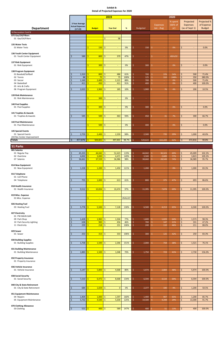|                                                                  | 2019                                       |                                      |                                      |              | 2020                              |                                             |                           |                                                       |                                            |  |
|------------------------------------------------------------------|--------------------------------------------|--------------------------------------|--------------------------------------|--------------|-----------------------------------|---------------------------------------------|---------------------------|-------------------------------------------------------|--------------------------------------------|--|
| <b>Department</b>                                                | 3 Year Average<br><b>Actual Expenses</b>   | <b>Budget</b>                        | <b>Year End</b>                      | %            | <b>Budgeted</b>                   | <b>Expenses</b><br>Jan - Aug                | % spent<br>(66% of<br>yr) | Projected<br><b>Expenses</b><br>(as of Sept 1)        | Projected %<br>of Expense<br><b>Budget</b> |  |
| 50 Recreation Cont'd                                             | $(17-19)$                                  |                                      |                                      |              |                                   |                                             |                           |                                                       |                                            |  |
| 075 Gas/Oil/Filters<br>01 Gas/Oil/Filters                        |                                            |                                      | \$<br>98                             |              |                                   |                                             |                           |                                                       |                                            |  |
| 135 Water Tests<br>01 Water Tests                                |                                            | 150<br>Ś                             | -\$                                  | 0%           | 150<br>ς                          | Ŝ                                           | 0%                        | \$                                                    | 0.0%                                       |  |
| 136 Youth Center Equipment<br>01 Youth Center Equipment          | $\zeta$<br>589                             | $800$ \$<br>Ś                        | 379                                  | 47%          | Š.<br>$\sim$                      | -\$                                         | #DIV/0!                   |                                                       |                                            |  |
| 137 Rink Equipment<br>01 Rink Equipment                          |                                            | 300<br>Ś.                            | -\$<br>$\sim$                        | 0%           | Ŝ.<br>300                         | -Ŝ<br>$\sim$                                | 0%                        | \$<br>$\overline{\phantom{a}}$                        | 0.0%                                       |  |
| 138 Program Equipment<br>01 Baseball/Softball                    | 1,310<br>\$                                | 800                                  | 486<br>-\$                           | 61%          | 700<br>Ś                          | 376<br>-S                                   | 54%                       | \$<br>500                                             | 71.4%                                      |  |
| 02 Tennis<br>03 Soccer                                           | $\zeta$<br>88<br>1,160<br>\$               | $75\overline{5}$<br>2,400            | 75<br>\$<br>2,121                    | 100%<br>88%  | Ś<br>125<br>700<br>ς              | Ŝ.<br>310<br>-Ś<br>m.                       | 248%<br>0%                | $\zeta$<br>350<br>500<br>\$                           | 280.0%<br>71.4%                            |  |
| 04 Basketball                                                    | $\zeta$<br>411                             | 450                                  | Ŝ.<br>411                            | 91%          | ¢<br>400                          | <b>S</b>                                    | 0%                        | \$<br>400                                             | 100.0%                                     |  |
| 05 Arts & Crafts<br>06 Program Equipment                         | Ś<br>2,023                                 | 1,900<br>Ś                           | $\mathsf{S}$<br>185                  | 10%          | Ś.<br>1,900                       | Ś.<br>76                                    | 4%                        | $\dot{\mathsf{S}}$<br>200                             | 10.5%                                      |  |
| 139 Rink Maintenance<br>01 Rink Maintenance                      |                                            | 300 <sub>o</sub><br>\$               | $\mathsf{S}$                         | 0%           | Ŝ<br>$\sim$                       |                                             |                           |                                                       |                                            |  |
| <b>140 Pool Supplies</b><br>01 Pool Supplies                     |                                            | $\mathsf{S}$<br>300 <sub>o</sub>     | Ŝ.<br>$\overline{\phantom{a}}$       | 0%           | ς<br>300                          | Ŝ.                                          | 0%                        | \$                                                    | 0.0%                                       |  |
| 141 Trophies & Awards<br>01 Trophies & Awards                    | 545<br>Ś                                   | 500<br>Ś                             | -\$<br>463                           | 93%          | Ŝ.<br>450                         | 31<br>S.                                    | 7%                        | \$<br>300                                             | 66.7%                                      |  |
| 142 Pool Maintenance<br>01 Pool Maintenance                      |                                            | $500$ \$<br>S.                       |                                      | 0%           | Ś<br>400                          | -Ś                                          | 0%                        | \$<br>$\blacksquare$                                  | 0.0%                                       |  |
| <b>145 Special Events</b>                                        |                                            |                                      |                                      |              |                                   |                                             |                           |                                                       |                                            |  |
| 01 Special Events<br>243 Rec Center Improvement<br><b>Totals</b> | $\zeta$<br>2,759<br>\$<br>477,876          | Ś<br>2,400<br>$503.821$ \$           | Ŝ.<br>2,359<br>497.401               | 98%<br>98.7% | Š.<br>2,500<br>$\zeta$<br>520.624 | Ŝ.<br>735<br>322.209                        | 29%<br>62%                | Ś.<br>1,000<br>472.816<br>Ŝ.                          | 40.0%<br>90.8%                             |  |
|                                                                  |                                            |                                      |                                      |              |                                   |                                             |                           |                                                       |                                            |  |
| 51 Parks<br>001 Salaries                                         |                                            |                                      |                                      |              |                                   |                                             |                           |                                                       |                                            |  |
| 01 Regular Pay                                                   | \$<br>45,333                               | $44,042$ \$<br>$\mathsf{S}$          | 52,423                               | 119%         | Ś<br>44,042                       | 30,323<br>\$                                | 69%                       | \$<br>45,009                                          | 102.2%                                     |  |
| 02 Overtime<br>07 Salaries                                       | $\zeta$<br>4,002<br>$\zeta$<br>36,661      | $3,000$ \$<br>S.<br>$37,559$ \$<br>Ŝ | 4,471<br>36,986                      | 149%<br>98%  | Ś<br>3,500<br>38,660<br>Ŝ         | $\ddot{\varsigma}$<br>2,689<br>Ŝ.<br>28,549 | 77%<br>74%                | \$<br>3,823<br>\$<br>36,989                           | 109.2%<br>95.7%                            |  |
| 014 New Equipment<br>01 New Equipment                            | \$<br>1,228                                | Ŝ.<br>1,200                          | Ŝ.<br>1,450                          | 121%         | ς.<br>1,200                       | Ŝ.                                          | 0%                        | \$<br>1,000                                           | 83.3%                                      |  |
| 015 Telephone<br>01 Cell Phone<br>04 Telephone                   | $\zeta$<br>755                             | $\mathsf{S}$<br>$1,000$ \$           | 613                                  | 61%          | \$<br>800                         | Ŝ.<br>375                                   | 47%                       | \$<br>693                                             | 86.6%                                      |  |
| 018 Health Insurance<br>01 Health Insurance                      | 9,512<br>\$                                | 10,834<br>Ś                          | l \$<br>10,474                       | 97%          | 11,395<br>Ŝ.                      | Ŝ.<br>7,878                                 | 69%                       | \$<br>11,395                                          | 100.0%                                     |  |
| 019 Misc. Expense                                                |                                            | Ś                                    |                                      |              |                                   |                                             |                           |                                                       |                                            |  |
| 01 Misc. Expense<br>026 Heating Fuel                             |                                            | $\mathbb{Z}^2$                       |                                      | #VALUE!      |                                   |                                             |                           |                                                       |                                            |  |
| 03 Heating Fuel                                                  | $\zeta$<br>5,778                           | $\mathsf{S}$<br>5,500                | $\mathsf{S}$<br>7,128                | 130%         | Š.<br>6,500                       | Ŝ.<br>4,213                                 | 65%                       | \$<br>6,500                                           | 100.0%                                     |  |
| 027 Electricity<br>01 PW MAIN GAR                                |                                            | 1,965<br>S.                          | l \$                                 | 77%          | 1,600<br>Ŝ                        | Ŝ.                                          | 64%                       |                                                       | 98.3%                                      |  |
| 09 Park Shop<br>10 Park Security Lighting<br>11 Electricity      | 1,428<br>\$<br>638<br>\$<br>$\zeta$<br>239 | 983<br>$218$ \$<br>Ś                 | 1,504<br>$\frac{1}{2}$<br>456<br>231 | 46%<br>106%  | Ŝ.<br>700<br>Š.<br>240            | 1,029<br>\$<br>147<br>Ŝ.<br>110             | 21%<br>46%                | \$<br>1,573<br>\$<br>331<br>$\dot{\mathsf{S}}$<br>211 | 47.2%<br>88.0%                             |  |
| 029 Sewer<br>01 Sewer                                            | 253<br>Ś                                   | $313$ \$<br>Ŝ                        | 333                                  | 106%         | Ŝ.<br>300                         | 125<br>Ŝ.                                   | 42%                       | 250<br>\$                                             | 83.3%                                      |  |
| 030 Building Supplies<br>01 Building Supplies                    | \$<br>1,758                                | $1,500$ \$<br>Ś                      | 2,266                                | 151%         | Ś<br>2,000                        | -Ś<br>759                                   | 38%                       | \$<br>1,521                                           | 76.1%                                      |  |
| 031 Building Maintenance<br>01 Building Maintenance              | Ś<br>1,883                                 | $1,500$ \$<br>Ś                      | 1,048                                | 70%          | \$<br>1,750                       | \$<br>723                                   | 41%                       | \$<br>2,730                                           | 156.0%                                     |  |
| 032 Property Insurance<br>01 Property Insurance                  |                                            |                                      |                                      |              |                                   |                                             |                           |                                                       |                                            |  |
| 036 Vehicle Insurance<br>01 Vehicle Insurance                    | $\overline{\mathcal{S}}$<br>5,147          | $\frac{1}{2}$<br>$5,800$ \$          | 4,668                                | 80%          | \$<br>5,974                       | $\hat{\mathsf{S}}$<br>2,884                 | 48%                       | \$<br>5,974                                           | 100.0%                                     |  |
| 038 Social Security<br>01 Social Security                        | 7,210<br>\$                                | $6,472$ \$<br>S.                     | 8,668                                | 134%         | 6,594<br>\$                       | 4,534<br>\$                                 | 69%                       | \$<br>6,594                                           | 100.0%                                     |  |
| 040 City & State Retirement                                      |                                            |                                      |                                      |              |                                   |                                             |                           |                                                       |                                            |  |
| 01 City & State Retirement<br>051 Equipment Maintenance          | 684<br>\$                                  | $1,659$ \$<br>Ŝ.                     | $\overline{0}$                       | 0%           | 2,377<br>\$                       | \$.<br>100                                  | $4%$                      | \$<br>1,200                                           | 50.5%                                      |  |
| 04 Repairs<br>05 Equipment Maintenance                           | 1,404<br>\$<br>5,732<br>$\zeta$            | 1,000<br>Ś<br>$4,500$ \$<br>S.       | \$<br>1,597<br>5,630                 | 160%<br>125% | Ś<br>1,400<br>\$<br>14,500        | \$<br>907<br>$\mathsf{S}$<br>4,208          | 65%<br>29%                | \$<br>1,200<br>\$<br>13,300                           | 85.7%<br>91.7%                             |  |
| 070 Clothing Allowance<br>03 Clothing                            | 521<br>$\zeta$                             | $400$ \$<br>$\mathsf{S}$             | 589                                  | 147%         | $\dot{\mathsf{S}}$<br>400         | 51<br>\$.                                   | 13%                       | \$<br>400                                             | 100.0%                                     |  |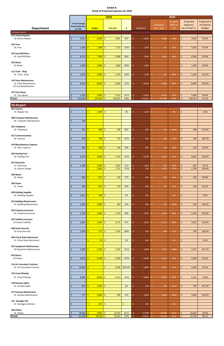|                                                                          |                                                       |                   | 2019                           |      | 2020            |                              |                           |                                                |                                            |  |  |
|--------------------------------------------------------------------------|-------------------------------------------------------|-------------------|--------------------------------|------|-----------------|------------------------------|---------------------------|------------------------------------------------|--------------------------------------------|--|--|
| <b>Department</b><br>51 Parks Cont'd                                     | 3 Year Average<br><b>Actual Expenses</b><br>$(17-19)$ | <b>Budget</b>     | <b>Year End</b>                | $\%$ | <b>Budgeted</b> | <b>Expenses</b><br>Jan - Aug | % spent<br>(66% of<br>yr) | Projected<br><b>Expenses</b><br>(as of Sept 1) | Projected %<br>of Expense<br><b>Budget</b> |  |  |
| 073 Vehicle Repairs                                                      |                                                       |                   |                                |      |                 |                              |                           |                                                |                                            |  |  |
| 01 Vehicle Repairs                                                       | 4,541<br>Ś                                            | 4,000             | $\dot{\mathsf{S}}$<br>3,681    | 92%  | \$<br>5,000     | \$.<br>3,609                 | 72%                       | \$<br>4,600                                    | 92.0%                                      |  |  |
| 074 Tires<br>01 Tires                                                    | 1,420<br>Ś                                            | 1,500             | \$<br>1,713                    | 114% | Ŝ.<br>1,700     | 371<br>\$.                   | 22%                       | 1,655<br>Ś.                                    | 97.3%                                      |  |  |
| 075 Gas/Oil/Filters<br>01 Gas/Oil/Filters                                | 6,752<br>Ś                                            | Ŕ<br>7,500        | \$<br>5,980                    | 80%  | Ŝ.<br>7,000     | Ś.<br>3,385                  | 48%                       | \$<br>6,500                                    | 92.9%                                      |  |  |
| 076 Diesel<br>01 Diesel                                                  | 1,598<br>\$                                           | 1,000             | \$<br>1,883                    | 188% | 1,300<br>Ŝ.     |                              |                           | \$<br>1,260                                    | 96.9%                                      |  |  |
|                                                                          |                                                       |                   |                                |      |                 |                              |                           |                                                |                                            |  |  |
| 111 Tools - Shop<br>01 Tools - Shop                                      | 1,073<br>Ś                                            | 1,000             | 1,279<br>\$                    | 128% | 1,100<br>Ŝ.     | Ś.<br>921                    | 84%                       | \$<br>1,249                                    | 113.5%                                     |  |  |
| 147 Parks Maintenance<br>01 Parks Maintenance<br>02 Civic Beautification | 8,250<br>Ś                                            | 8,000             | \$<br>8,969                    | 112% | Š.<br>8,000     | 5,485<br>\$.                 | 69%                       | 8,000<br>Ś                                     | 100.0%                                     |  |  |
| 237 Civic Beaut<br>01 Civic Beaut                                        | 1,529<br>\$                                           | $2,000$ \$<br>-\$ | 2,012                          | 101% | 6,000<br>Ś      | Ŝ.<br>4,035                  | 67%                       | 5,400<br>Ś                                     | 90.0%                                      |  |  |
| <b>Totals</b>                                                            | $\zeta$<br>155,331                                    | 154,445           | l\$<br>166,054                 | 108% | Ś<br>174,033    | 107,409                      | 62%                       | 169,357<br>Ŝ.                                  | 97.3%                                      |  |  |
|                                                                          |                                                       |                   |                                |      |                 |                              |                           |                                                |                                            |  |  |
| <b>60 Airport</b><br>001 Salaries                                        |                                                       |                   |                                |      |                 |                              |                           |                                                |                                            |  |  |
| 01 Regular Pay                                                           | \$<br>$\blacksquare$                                  | 1,500<br>Ŝ.       | \$<br>$\omega$                 | 0%   | \$<br>1,100     | \$.<br>$\sim$                | 0%                        | \$<br>$\overline{\phantom{a}}$                 | 0.0%                                       |  |  |
| 008 Computer Maintenance<br>04 Computer Maintenance                      | 234<br>Ś                                              |                   |                                |      |                 |                              |                           |                                                |                                            |  |  |
| 015 Telephone<br>04 Telephone                                            | \$<br>261                                             | 300               | 258<br>\$.                     | 86%  | \$<br>325       | 524<br>S                     | 161%                      | \$<br>698                                      | 214.8%                                     |  |  |
| 017 Communications<br>03 Internet                                        | 478<br>Ś                                              | 700               | \$<br>750                      | 107% | \$<br>325       | \$<br>440                    | 135%                      | \$.<br>586                                     | 180.3%                                     |  |  |
| 019 Miscellaneous Expense<br>01 Misc. Expense                            | 381<br>\$                                             | 450               | \$<br>126                      | 28%  | \$<br>400       | 120<br>\$.                   | 30%                       | \$<br>120                                      | 30.0%                                      |  |  |
| 026 Heating Fuel<br>03 Heating Fuel                                      | 4,224<br>\$                                           | Š.<br>3,500       | $\dot{\mathsf{S}}$<br>7,414    | 212% | \$<br>6,500     | \$.<br>4,370                 | 67%                       | \$<br>6,801                                    | 104.6%                                     |  |  |
| 027 Electricity<br>11 Electricity                                        | 1,180<br>\$                                           | 1,946<br>\$       | \$<br>1,001                    | 51%  | \$<br>1,050     | \$.<br>622                   | 59%                       | \$<br>837                                      | 79.7%                                      |  |  |
| 14 Airport Hangar                                                        |                                                       | 1,000<br>\$       | \$<br>1,721                    | 172% | \$<br>750       | \$<br>1,325                  | 177%                      | \$<br>1,798                                    | 239.8%                                     |  |  |
| 028 Water<br>05 Water                                                    | 684<br>Ś                                              | 927               | \$<br>526                      | 57%  | \$<br>650       | 350<br>\$.                   | 54%                       | 526<br>\$                                      | 80.9%                                      |  |  |
| 029 Sewer<br>01 Sewer                                                    | 326<br>Ś                                              | 625               | 250<br>\$                      | 40%  | \$<br>400       | \$.<br>167                   | 42%                       | 250<br>\$.                                     | 62.5%                                      |  |  |
| 030 Building Supplies<br>01 Building Supplies                            | Ś<br>1,021                                            | 100<br>Ŝ.         | \$<br>$\overline{\phantom{a}}$ | 0%   | \$<br>100       | Ŝ.<br>$\sim$                 | 0%                        | Ś<br>$\overline{\phantom{a}}$                  | 0.0%                                       |  |  |
| 031 Building Maintenance<br>01 Building Maintenance                      | \$<br>2,184                                           | 3,000             | \$<br>493                      | 16%  | \$<br>500       | 532<br>\$.                   | 106%                      | \$<br>532                                      | 106.4%                                     |  |  |
| 032 Property Insurance                                                   |                                                       | Ŕ                 |                                |      |                 |                              |                           |                                                |                                            |  |  |
| 01 Property Insurance                                                    | 1,253<br>Ś                                            | 1,400             | \$<br>1,374                    | 98%  | \$<br>1,470     | Ŝ.<br>1,264                  | 86%                       | \$<br>1,470                                    | 100.0%                                     |  |  |
| 037 Liability Insurance<br>01 Airport Liability                          | \$<br>1,891                                           | 2,500<br>Ŝ.       | \$<br>2,173                    | 87%  | \$<br>2,625     | 2,173<br>\$.                 | 83%                       | \$<br>2,625                                    | 100.0%                                     |  |  |
| 038 Social Security<br>01 Social Security                                | 1,018<br>Ś                                            | 727<br>Ŝ.         | $\mathsf{S}$<br>1,367          | 188% | Ś.<br>700       | \$.<br>494                   | 71%                       | \$<br>700                                      | 100.0%                                     |  |  |
| 040 City & State Retirement<br>01 City & State Retirement                | Ś<br>$\blacksquare$                                   | Ŝ.                | $53$ \$<br>$\sim$              | 0%   | \$<br>450       | \$<br>$\sim$                 | 0%                        | \$<br>$\sim$                                   | 0.0%                                       |  |  |
| 051 Equipment Maintenance<br>05 Equipment Maintenance                    | $\zeta$<br>1,789                                      | 1,250             | \$<br>2,387                    | 191% | \$<br>1,000     | \$.<br>1,375                 | 138%                      | \$<br>1,675                                    | 167.5%                                     |  |  |

| 076 Diesel                         |                          |        |      |                          |                                |        |        |      |    |        |        |
|------------------------------------|--------------------------|--------|------|--------------------------|--------------------------------|--------|--------|------|----|--------|--------|
| 01 Diesel                          | 5,073                    | 3,700  | Ŝ.   | 5,818                    | 157%                           | 6,000  | 2,021  | 34%  | Ś. | 3,269  | 54.5%  |
|                                    |                          |        |      |                          |                                |        |        |      |    |        |        |
| <b>153 Air Consultant Contract</b> |                          |        |      |                          |                                |        |        |      |    |        |        |
| 01 Air Consultant Contract         | 10,483                   |        |      | 9,100                    | #DIV/0!                        | 5,800  | 2,425  | 42%  | Ŝ. | 5,400  | 93.1%  |
|                                    |                          |        |      |                          |                                |        |        |      |    |        |        |
| 155 Snow Plowing                   |                          |        |      |                          |                                |        |        |      |    |        |        |
| 01 Snow Plowing                    | 8,683                    | 8,000  | -Ś   | 9,313                    | 116%                           | 8,000  | 4,202  | 53%  | Ŝ. | 6,141  | 76.8%  |
|                                    |                          |        |      |                          |                                |        |        |      |    |        |        |
| 156 Runway Lights                  |                          |        |      |                          |                                |        |        |      |    |        |        |
| 01 Runway Lights                   | 833                      | 1,200  | Ŝ.   | $\overline{\phantom{0}}$ | 0%                             | 750    | 759    | 101% | \$ | 760    | 101.3% |
|                                    |                          |        |      |                          |                                |        |        |      |    |        |        |
| 157 Runway Maintenance             |                          |        |      |                          |                                |        |        |      |    |        |        |
| 01 Runway Maintenance              | 772                      | 2,000  | .S   | 500                      | 25%                            | 3,000  | 3,000  | 100% | Ś  | 3,000  | 100.0% |
|                                    |                          |        |      |                          |                                |        |        |      |    |        |        |
| 161 Garbage Coll                   |                          |        |      |                          |                                |        |        |      |    |        |        |
| 01 Garbage Collection              | $\overline{\phantom{a}}$ | 250    | Ŝ.   | $\overline{\phantom{0}}$ | \$<br>$\overline{\phantom{a}}$ | 250    |        | 0%   |    |        |        |
|                                    |                          |        |      |                          |                                |        |        |      |    |        |        |
| 420 AVGas                          |                          |        |      |                          |                                |        |        |      |    |        |        |
| 01 AVGas                           | 18,466                   | 4,800  |      | 14,453                   | 301%                           | 17,500 | 10,603 | 61%  | Ŝ. | 10,603 | 60.6%  |
| <b>Totals</b>                      | 61,256 \$                | 39,928 | l \$ | 59,025                   | 148%                           | 59,645 | 36,766 | 62%  |    | 47,793 | 80.1%  |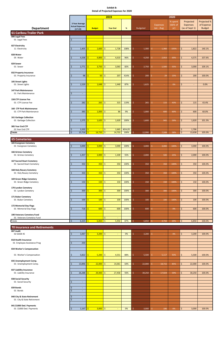**018 Health Insurance** 01 Employee Assistance Prog 6 250

|                                                            |                                                       |                                                         | 2019                             | 2020            |                 |                              |                           |                                                |                                            |  |
|------------------------------------------------------------|-------------------------------------------------------|---------------------------------------------------------|----------------------------------|-----------------|-----------------|------------------------------|---------------------------|------------------------------------------------|--------------------------------------------|--|
| <b>Department</b>                                          | 3 Year Average<br><b>Actual Expenses</b><br>$(17-19)$ | <b>Budget</b>                                           | <b>Year End</b>                  | %               | <b>Budgeted</b> | <b>Expenses</b><br>Jan - Aug | % spent<br>(66% of<br>yr) | Projected<br><b>Expenses</b><br>(as of Sept 1) | Projected %<br>of Expense<br><b>Budget</b> |  |
| <b>61 Caribou Trailer Park</b>                             |                                                       |                                                         |                                  |                 |                 |                              |                           |                                                |                                            |  |
| 006 Legal Fees                                             |                                                       |                                                         |                                  |                 |                 |                              |                           |                                                |                                            |  |
| 01 Legal Fees                                              | $\zeta$<br>$\blacksquare$                             |                                                         |                                  |                 |                 |                              |                           |                                                |                                            |  |
| 027 Electricity<br>11 Electricity                          | 1,405<br>Š.                                           | 1,600<br>Ŝ.                                             | Ŝ.<br>1,728                      | 108%            | Ŝ.<br>1,300     | Ŝ.<br>1,366                  | 105%                      | $\mathsf{S}$<br>1,822                          | 140.1%                                     |  |
| 028 Water<br>05 Water                                      | 4,338<br>\$                                           | 4,800<br>Ŝ.                                             | $\mathsf{S}$<br>4,610            | 96%             | Š.<br>4,250     | Ŝ.<br>2,953                  | 69%                       | $\frac{1}{2}$<br>4,575                         | 107.6%                                     |  |
| 029 Sewer<br>01 Sewer                                      | 2,771<br>Ŝ.                                           | $3,750$ \$<br>Ŝ.                                        | 3,063                            | 82%             | Ś.<br>2,750     | Ŝ.<br>1,500                  | 55%                       | $\frac{1}{2}$<br>3,000                         | 109.1%                                     |  |
| 032 Property Insurance<br>01 Property Insurance            | 98<br>Ś                                               | $50$ \$<br>Ŝ.                                           | 207                              | 414%            | \$<br>200       | 29<br>Ŝ.                     | 15%                       | $\mathsf{S}$<br>200                            | 100.0%                                     |  |
|                                                            |                                                       |                                                         |                                  |                 |                 |                              |                           |                                                |                                            |  |
| 105 Street Lights<br>01 Street Lights                      | 1,529<br>S.                                           | 1,648<br>Ŝ                                              | Ŝ.<br>1,440                      | 87%             | Ś<br>1,625      | S.                           | 0%                        | $\mathsf{S}$<br>$\blacksquare$                 | 0.0%                                       |  |
| 147 Park Maintenance<br>01 Park Maintenance                | $\zeta$<br>$\overline{\phantom{a}}$                   |                                                         |                                  |                 |                 |                              |                           |                                                |                                            |  |
| 158 CTP License Fee<br>01 CTP License Fee                  | 282<br>Ś                                              | 265<br>Ś                                                | $\frac{1}{2}$<br>315             | 119%            | Ŝ.<br>265       | 115<br>Ŝ.                    | 43%                       | \$<br>115                                      | 43.4%                                      |  |
| 160 CTP Park Maintenance                                   |                                                       |                                                         |                                  |                 |                 |                              |                           |                                                |                                            |  |
| 01 CTP Park Maintenance                                    | 383<br>\$                                             | 1,000<br>Ś                                              | Ŝ.<br>86                         | 9%              | \$<br>1,000     | Ŝ.<br>600                    | 60%                       | 600<br>\$                                      | 60.0%                                      |  |
| 161 Garbage Collection<br>01 Garbage Collection            | 1,575<br>Ŝ                                            | 1,620<br>S.                                             | Ŝ.<br>1,620                      | 100%            | Š.<br>1,600     | 945<br>Ŝ.                    | 59%                       | \$<br>1,620                                    | 101.3%                                     |  |
| 385 Year End CTP                                           |                                                       |                                                         |                                  |                 |                 |                              |                           |                                                |                                            |  |
| 01 Year End CTP<br><b>Totals</b>                           | 3,335<br>\$<br>\$<br>15,716                           | -\$<br>$\mathcal{L}_{\mathbf{r}}$<br>$14,733$ \$<br>-\$ | $\frac{1}{2}$<br>1,665<br>14,733 | #DIV/0!<br>100% | 12,990<br>Ŝ.    | 7,508                        | 58%                       | \$<br>1,706<br>-\$<br>13,638                   | 105.0%                                     |  |
|                                                            |                                                       |                                                         |                                  |                 |                 |                              |                           |                                                |                                            |  |
| <b>65 Cemeteries</b>                                       |                                                       |                                                         |                                  |                 |                 |                              |                           |                                                |                                            |  |
| 165 Evergreen Cemetery                                     |                                                       |                                                         |                                  |                 |                 |                              |                           |                                                |                                            |  |
| 01 Evergreen Cemetery                                      | $\zeta$<br>3,000                                      | $\mathsf{S}$<br>3,000                                   | Ŝ.<br>3,000                      | 100%            | Ŝ.<br>3,000     | Ŝ.<br>3,000                  | 100%                      | $\mathsf{S}$<br>3,000                          | 100.0%                                     |  |
| <b>166 Grimes Cemetery</b><br>01 Grimes Cemetery           | 1,357<br>\$                                           | $2,000$ \$<br>Ŝ.                                        | 1,100                            | 55%             | Ŝ.<br>2,000     | S.<br>500                    | 25%                       | \$<br>2,000                                    | 100.0%                                     |  |
| 167 Sacred Heart Cemetery<br>01 Sacred Heart Cemetery      | 350<br>Ŝ                                              | $350 \mid \zeta$<br>Ŝ.                                  | 350                              | 100%            | \$<br>350       | $\mathsf{S}$<br>350          | 100%                      | \$<br>350                                      | 100.0%                                     |  |
| <b>168 Holy Rosary Cemetery</b><br>01 Holy Rosary Cemetery | 350<br>\$                                             | $350 \mid \zeta$<br>Ŝ.                                  | 350                              | 100%            | Ŝ.<br>350       | 350<br>\$.                   | 100%                      | $\frac{1}{2}$<br>350                           | 100.0%                                     |  |
| 169 Green Ridge Cemetery<br>01 Green Ridge Cemetery        | 150<br>$\zeta$                                        | $150 \mid \zeta$<br>S.                                  | 150                              | 100%            | \$<br>150       | Ŝ.<br>150                    | 100%                      | \$<br>150                                      | 100.0%                                     |  |
| 170 Lyndon Cemetery<br>01 Lyndon Cemetery                  | 300<br>Ś                                              | 300<br>S.                                               | -\$<br>300                       | 100%            | Ŝ.<br>300       | \$<br>300                    | 100%                      | 300<br>\$                                      | 100.0%                                     |  |
| 171 Bubar Cemetery<br>01 Bubar Cemetery                    | 100<br>Ŝ.                                             | $100 \mid \xi$<br>Ś                                     | 100                              | 100%            | Ŝ.<br>100       | 100<br>Ŝ.                    | 100%                      | \$<br>100                                      | 100.0%                                     |  |
| 172 Memorial Day Flags<br>01 Memorial Day Flags            | 718<br>\$                                             | 600<br>S.                                               | Ŝ.<br>600                        | 100%            | Ŝ.<br>600       | Ŝ.                           | 0%                        | \$<br>600                                      | 100.0%                                     |  |
| 190 Veterans Cemetery Fund<br>01 Veterans Cemetery Fund    |                                                       |                                                         | \$<br>$\overline{\phantom{a}}$   |                 |                 |                              |                           |                                                |                                            |  |
| <b>Totals</b>                                              | $\frac{1}{2}$<br>6,325                                | $6,850$ \$<br>$\mathsf{S}$                              | 5,950                            | 87%             | Ŝ.<br>6,850     | Ŝ.<br>4,750                  | 69%                       | $\mathsf{S}$<br>6,850                          | 100.0%                                     |  |
| <b>70 Insurance and Retirements</b>                        |                                                       |                                                         |                                  |                 |                 |                              |                           |                                                |                                            |  |
| 007 Audit                                                  |                                                       |                                                         |                                  |                 |                 |                              |                           |                                                |                                            |  |
| 02 GASB 45                                                 | $\zeta$<br>1,067                                      | 3,200<br>-\$                                            | $\ddot{\mathsf{S}}$              | 0%              | Ŝ.<br>3,200     | Ŝ.                           | 0%                        | \$<br>3,200                                    | 100.0%                                     |  |

**034 Worker's Compensation**

|  |  |  |  |  |  |  | 01 Worker's Compensation |  |
|--|--|--|--|--|--|--|--------------------------|--|
|--|--|--|--|--|--|--|--------------------------|--|

| 01 Worker's Compensation    | 5,822   \$               | $5,200$ \$  | 4,551                    | 88% | 5,500  | 5,117  | 93% | 5,500  | 100.0% |
|-----------------------------|--------------------------|-------------|--------------------------|-----|--------|--------|-----|--------|--------|
|                             |                          |             |                          |     |        |        |     |        |        |
| 035 Unemployment Comp.      |                          |             |                          |     |        |        |     |        |        |
| 01 Unemployment Comp.       | 13,896                   | $22,000$ \$ | 14,061                   | 64% | 22,000 | 18,715 | 85% | 22,000 | 100.0% |
|                             |                          |             |                          |     |        |        |     |        |        |
| 037 Liability Insurance     |                          |             |                          |     |        |        |     |        |        |
| 01 Liability Insurance      | 26,288                   | $29,400$ \$ | 27,458                   | 93% | 30,250 | 17,924 | 59% | 30,250 | 100.0% |
|                             |                          |             |                          |     |        |        |     |        |        |
| 038 Social Security         |                          |             |                          |     |        |        |     |        |        |
| 01 Social Security          | $\overline{\phantom{a}}$ |             |                          |     |        |        |     |        |        |
|                             |                          |             |                          |     |        |        |     |        |        |
| 039 Bonds                   | $\overline{\phantom{a}}$ |             |                          |     |        |        |     |        |        |
| 01 Bonds                    | $\overline{\phantom{a}}$ |             |                          |     |        |        |     |        |        |
|                             |                          |             |                          |     |        |        |     |        |        |
| 040 City & State Retirement | $\overline{\phantom{a}}$ |             |                          |     |        |        |     |        |        |
| 01 City & State Retirement  | $\overline{\phantom{a}}$ |             |                          |     |        |        |     |        |        |
|                             |                          |             |                          |     |        |        |     |        |        |
| 041 \$1000 Ded. Payments    |                          |             |                          |     |        |        |     |        |        |
| 01 \$1000 Ded. Payments     | $1,167$   \$             | $3,000$ \$  | $\overline{\phantom{0}}$ | 0%  | 3,000  | 186    | 6%  | 3,000  | 100.0% |

#### **035 Unemployment Comp.**

#### **037 Liability Insurance**

#### **038 Social Security**

#### **039 Bonds** \$ -

#### **040 City & State Retirement**

### **041 \$1000 Ded. Payments**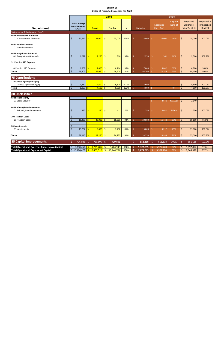|                                                |                             |                                                              |    |                             |                         | 2019            |              |                     |                 |     |                              | 2020                      |                        |                                                |                                            |
|------------------------------------------------|-----------------------------|--------------------------------------------------------------|----|-----------------------------|-------------------------|-----------------|--------------|---------------------|-----------------|-----|------------------------------|---------------------------|------------------------|------------------------------------------------|--------------------------------------------|
| <b>Department</b>                              |                             | <b>3 Year Average</b><br><b>Actual Expenses</b><br>$(17-19)$ |    | <b>Budget</b>               |                         | <b>Year End</b> | %            |                     | <b>Budgeted</b> |     | <b>Expenses</b><br>Jan - Aug | % spent<br>(66% of<br>yr) |                        | Projected<br><b>Expenses</b><br>(as of Sept 1) | Projected %<br>of Expense<br><b>Budget</b> |
| 70 Insurance & Retirements Cont'd              |                             |                                                              |    |                             |                         |                 |              |                     |                 |     |                              |                           |                        |                                                |                                            |
| 043 Compensated Absences                       |                             |                                                              |    |                             |                         |                 |              |                     |                 |     |                              |                           |                        |                                                |                                            |
| 01 Compensated Absences                        | \$                          | 37,667                                                       |    | 23,000                      | $\frac{1}{2}$           | 23,000          | 100%         | Ś                   | 25,000          | Ś   | 25,000                       | 100%                      | \$                     | 25,000                                         | 100.0%                                     |
| 044 - Reimbursements<br>01 Reimbursements      |                             |                                                              |    |                             |                         |                 |              |                     |                 |     |                              |                           |                        |                                                |                                            |
| 046 Recognitions & Awards                      |                             |                                                              |    |                             |                         |                 |              |                     |                 |     |                              |                           |                        |                                                |                                            |
| 01 Recognitions & Awards                       | Ś                           | 1,077                                                        | Ŝ. | 2,250                       | -\$                     | 816             | 36%          | Ś                   | 2,250           | Ś.  | 361                          | 16%                       | Ś.                     | 2,300                                          | 102.2%                                     |
| 311 Section 125 Expense                        |                             |                                                              |    |                             |                         |                 |              |                     |                 |     |                              |                           |                        |                                                |                                            |
| 01 Section 125 Expense                         | Ŝ                           | 6,869                                                        | Ŝ. | 7,000                       | $\sqrt{5}$              | 6,714           | 96%          | -\$                 | 7,000           | Ś.  | 4,842                        | 69%                       | \$                     | 6,900                                          | 98.6%                                      |
| <b>Totals</b>                                  | $\dot{\mathsf{S}}$          | 96,302                                                       | Ŝ. | 95,050                      | -\$                     | 76,600          | 81%          | $\zeta$             | 98,200          |     | 72,144                       | 73%                       | Ŝ.                     | 98,150                                         | 99.9%                                      |
| <b>75 Contributions</b>                        |                             |                                                              |    |                             |                         |                 |              |                     |                 |     |                              |                           |                        |                                                |                                            |
| 177 Aroost. Agency on Aging                    |                             |                                                              |    |                             |                         |                 |              |                     |                 |     |                              |                           |                        |                                                |                                            |
| 01 Aroost. Agency on Aging<br>Totals           | $\zeta$<br>$\overline{\xi}$ | 1,867<br>$1,867$ \$                                          | Ŝ  | 4,600<br>4,600              | -\$<br>$\frac{1}{2}$    | 5,600<br>5,600  | 122%<br>122% | Ŝ<br>$\zeta$        | 4,600<br>4,600  |     |                              | 0%                        | \$<br>\$               | 4,600<br>4,600                                 | 100.0%<br>100.0%                           |
|                                                |                             |                                                              |    |                             |                         |                 |              |                     |                 |     |                              |                           |                        |                                                |                                            |
| 80 Unclassified                                |                             |                                                              |    |                             |                         |                 |              |                     |                 |     |                              |                           |                        |                                                |                                            |
| 038 Social Security                            |                             |                                                              |    |                             |                         |                 |              |                     |                 |     |                              |                           |                        |                                                |                                            |
| 01 Social Security                             |                             |                                                              |    |                             |                         |                 |              |                     |                 | \$. | 2,640                        | #VALUE!                   | \$.                    | 2,640                                          |                                            |
| 045 Refunds/Reimbursements                     |                             |                                                              |    |                             |                         |                 |              |                     |                 |     |                              |                           |                        |                                                |                                            |
| 01 Refunds/Reimbursements                      | Ś                           | 350                                                          | Ś. | 250                         | -\$                     | $\omega$        | 0%           | Ś                   | 250             | Ŝ.  | 8,641                        | 3456%                     | \$                     | 250                                            | 100.0%                                     |
| <b>200 Tax Lien Costs</b>                      |                             |                                                              |    |                             |                         |                 |              |                     |                 |     |                              |                           |                        |                                                |                                            |
| 01 Tax Lien Costs                              | ς                           | 18,483                                                       | Š. | 20,000                      | $\mathsf{S}$            | 18,501          | 93%          | $\zeta$             | 20,000          | Ś.  | 15,440                       | 77%                       | Ś.                     | 19,109                                         | 95.5%                                      |
|                                                |                             |                                                              |    |                             |                         |                 |              |                     |                 |     |                              |                           |                        |                                                |                                            |
| 201 Abatements                                 | Ś                           |                                                              |    |                             |                         |                 |              |                     |                 |     |                              |                           |                        |                                                |                                            |
| 01 Abatements                                  | $\zeta$                     | 19,282                                                       | Š. | 9,000                       | -\$                     | 7,732           | 86%          | Ŝ.                  | 13,000          | Ŝ.  | 3,212                        | 25%                       | Ś.                     | 13,000                                         | 100.0%                                     |
| <b>Totals</b>                                  | $\zeta$                     | 38,115                                                       |    | 29,250                      | $\mathsf{S}$            | 26,232          | 90%          | Ŝ                   | 33,250          | Ŝ   | 29,933                       | 90%                       | \$                     | 35,000                                         | 105.3%                                     |
| <b>85 Capital Improvements</b>                 | \$                          | 736,022 \$                                                   |    | 739,806 \$                  |                         | 739,806         |              | \$                  | 551,118 \$      |     | 551,118                      | 100%                      | $\frac{1}{2}$          | 551,118                                        | 100.0%                                     |
| Total Operational Expenses Budgets w/o Capital | \$                          | 9,380,457                                                    | -S | 9,725,706                   |                         | 9,704,948       | 100%         | -\$                 | 9,322,895       |     | 5,922,720                    | 64%                       | \$                     | 9,097,854                                      | 97.6%                                      |
| <b>Total Operational Expense w/ Capital</b>    |                             |                                                              |    | $$10,116,479$ $$10,465,512$ | $\overline{\mathsf{S}}$ | 10,444,754      | 100%         | $\ddot{\bm{\zeta}}$ | 9,874,013       | Ŝ   | 5,922,720                    | 60%                       | $\overline{\varsigma}$ | 9,648,972                                      | 97.7%                                      |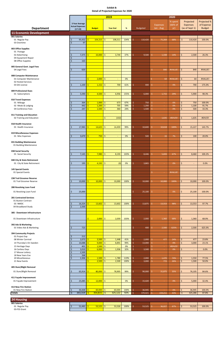|                                                      |                                                            |                             | 2019                                  |           |                  |                                 | 2020          |                                          |               |
|------------------------------------------------------|------------------------------------------------------------|-----------------------------|---------------------------------------|-----------|------------------|---------------------------------|---------------|------------------------------------------|---------------|
|                                                      |                                                            |                             |                                       |           |                  |                                 | % spent       | Projected                                | Projected %   |
|                                                      | 3 Year Average                                             |                             |                                       |           |                  | <b>Expenses</b>                 | (66% of       | <b>Expenses</b>                          | of Expense    |
| <b>Department</b>                                    | <b>Actual Expenses</b><br>$(17-19)$                        | <b>Budget</b>               | <b>Year End</b>                       | %         | <b>Budgeted</b>  | Jan - Aug                       | yr)           | (as of Sept 1)                           | <b>Budget</b> |
| <b>11 Economic Development</b>                       |                                                            |                             |                                       |           |                  |                                 |               |                                          |               |
| 001 Salaries                                         |                                                            |                             |                                       |           |                  |                                 |               |                                          |               |
| 01 Regular Pay                                       | \$<br>95,432                                               | 104,315                     | $\mathsf{S}$<br>108,311               | 104%      | 110,420<br>Ŝ.    | \$.<br>75,269                   | 68%           | Ś.<br>110,420                            | 100.0%        |
| 03 Overtime                                          | $\zeta$<br>97                                              |                             |                                       |           |                  |                                 |               |                                          |               |
|                                                      |                                                            |                             |                                       |           |                  |                                 |               |                                          |               |
| 003 Office Supplies<br>01 Postage                    |                                                            |                             |                                       |           |                  |                                 |               |                                          |               |
| 02 Advertising                                       | 7,375<br>\$                                                | 10,000<br>Ŕ                 | 3,744<br>\$                           | 37%       | 9,500<br>Š.      | Ŝ.<br>1,338                     | 14%           | Ŝ.<br>2,500                              | 26.3%         |
| 04 Equipment Repair                                  | \$<br>$\overline{\phantom{a}}$                             |                             |                                       |           |                  |                                 |               |                                          |               |
| 08 Office Supplies                                   | 163<br>$\dot{\mathsf{S}}$                                  |                             |                                       |           |                  |                                 |               |                                          |               |
| 005 General Govt. Legal Fees                         |                                                            |                             |                                       |           |                  |                                 |               |                                          |               |
| 04 Legal Fees                                        | 620<br>\$                                                  |                             |                                       |           |                  | Ŝ.<br>840                       | #VALUE!       | 840<br>Ŝ.                                | #VALUE!       |
|                                                      |                                                            |                             |                                       |           |                  |                                 |               |                                          |               |
| 008 Computer Maintenance                             |                                                            |                             |                                       |           |                  |                                 |               |                                          |               |
| 01 Computer Maintenance<br>02 Hosted Services        |                                                            | $\mathsf{\dot{S}}$<br>2,000 | \$<br>$\overline{\phantom{a}}$        | 0%        |                  | 64<br>Ś.                        | #VALUE!       | Ś.<br>64                                 | #VALUE!       |
| 03 GIS License                                       | \$<br>1,100                                                | 1,152<br>Ś                  | -\$<br>700                            | 61%       | 400<br>Š.        | \$.<br>$\overline{\phantom{a}}$ | 0%            | 700<br>Ŝ.                                | 175.0%        |
|                                                      |                                                            |                             |                                       |           |                  |                                 |               |                                          |               |
| 009 Professional Dues                                |                                                            |                             |                                       |           |                  |                                 |               |                                          |               |
| 01 Subscriptions                                     | 5,590<br>\$                                                | 4,500<br>Ŝ                  | Ŝ.<br>6,956                           | 155%      | Ŝ<br>6,000       | \$<br>1,715                     | 29%           | Ŝ.<br>5,900                              | 98.3%         |
| 010 Travel Expenses                                  |                                                            |                             |                                       |           |                  |                                 |               |                                          |               |
| 01 Mileage                                           | 364<br>\$                                                  | 1,000                       | \$<br>673                             | 67%       | 750<br>Ŝ         | \$.<br>$\sim$                   | 0%            | \$<br>750                                | 100.0%        |
| 02 Meals & Lodging                                   | \$<br>442                                                  | 1,200                       | 705<br>Ŝ.                             | 59%       | $\zeta$<br>1,200 | \$<br>$\sim$                    | 0%            | $\mathsf{S}$<br>1,100                    | 91.7%         |
| 04 Conference Fees                                   | $\dot{\mathsf{S}}$<br>247                                  | 1,500                       | $\mathsf{S}$<br>360                   | 24%       | Š.<br>1,500      | $\mathsf{S}$<br>$\sim$          | 0%            | Ś.<br>500                                | 33.3%         |
| 011 Training and Education                           |                                                            |                             |                                       |           |                  |                                 |               |                                          |               |
| 02 Training and Education                            |                                                            |                             | Ŝ.<br>(102)                           |           |                  | \$.<br>1,635                    | #DIV/0!       | Ŝ.<br>1,635                              | #DIV/0!       |
|                                                      |                                                            |                             |                                       |           |                  |                                 |               |                                          |               |
| 018 Health Insurance                                 |                                                            |                             |                                       |           |                  |                                 |               |                                          |               |
| 01 Health Insurance                                  | \$<br>17,983                                               | 14,625<br>ς                 | Ŝ.<br>14,459                          | 99%       | 10,600<br>Ŝ      | \$.<br>10,618                   | 100%          | Ŝ.<br>15,227                             | 143.7%        |
| 019 Miscellaneous Expenses                           |                                                            |                             |                                       |           |                  |                                 |               |                                          |               |
| 01 Misc Expenses                                     | 3,670<br>Ś                                                 | 750<br>ς                    | Ŝ.<br>$\sim$                          | 0%        | Ś<br>500         | 33                              | 7%            | Ś.<br>100                                | 20.0%         |
|                                                      |                                                            |                             |                                       |           |                  |                                 |               |                                          |               |
| 031 Building Maintenance                             |                                                            |                             |                                       |           |                  |                                 |               |                                          |               |
| 01 Building Maintenance                              |                                                            |                             |                                       |           |                  |                                 |               |                                          |               |
| 038 Social Security                                  |                                                            |                             |                                       |           |                  |                                 |               |                                          |               |
| 01 Social Security                                   | 7,145<br>\$                                                | 7,980<br>Ŝ.                 | \$<br>8,193                           | 103%      | 8,446<br>-S      | \$.<br>5,693                    | 67%           | Ŝ.<br>8,460                              | 100.2%        |
|                                                      |                                                            |                             |                                       |           |                  |                                 |               |                                          |               |
| 040 City & State Retirement                          | \$<br>195                                                  | 4,192<br>Ś                  | $\frac{1}{2}$<br>(0)                  | 0%        | Ŝ.               | $\hat{\mathsf{S}}$<br>$\sim$    | 0%            | $\mathsf{S}$<br>$\overline{\phantom{a}}$ | 0.0%          |
| 01 City & State Retirement                           |                                                            |                             |                                       |           | 3,865            |                                 |               |                                          |               |
| 145 Special Events                                   |                                                            |                             |                                       |           |                  |                                 |               |                                          |               |
| 01 Special Events                                    |                                                            |                             |                                       |           |                  | \$.                             | #VALUE!       |                                          |               |
| 238 Trail Groomer Reserve                            |                                                            |                             |                                       |           |                  |                                 |               |                                          |               |
| 01 Trail Groomer Reserve                             | $\dot{\mathsf{S}}$<br>10,000                               | 10,000<br>ς                 | -\$<br>10,000                         | 100%      | Ŝ<br>10,000      | \$.<br>10,000                   | 100%          | Ŝ.<br>10,000                             | 100.0%        |
|                                                      |                                                            |                             |                                       |           |                  |                                 |               |                                          |               |
| 280 Revolving Loan Fund                              |                                                            |                             |                                       |           |                  |                                 |               |                                          |               |
| 01 Revolving Loan Fund                               | \$<br>25,000                                               |                             |                                       |           | Ś<br>25,100      | \$.<br>$\sim$                   | 0%            | \$<br>25,100                             | 100.0%        |
|                                                      |                                                            |                             |                                       |           |                  |                                 |               |                                          |               |
| <b>281 Contracted Services</b><br>01 Buxton Contract |                                                            |                             |                                       |           |                  |                                 |               |                                          |               |
| 03 NMDC                                              | 16,324<br>\$                                               | 13,602<br>S                 | -\$<br>13,602                         | 100%      | 13,875<br>Š.     | 13,553<br>\$.                   | 98%           | 13,553<br>\$                             | 97.7%         |
| 04 Broadband Study                                   | \$<br>2,500                                                |                             |                                       |           |                  |                                 |               |                                          |               |
|                                                      |                                                            |                             |                                       |           |                  |                                 |               |                                          |               |
| 385 - Downtown Infrastructure                        |                                                            |                             |                                       |           |                  |                                 |               |                                          |               |
| 01 Downtown Infrastructure                           |                                                            | $2,000$ \$<br>\$.           | 2,059                                 | 103%      | -\$<br>2,000     | \$<br>1,360                     | 68%           | \$<br>1,360                              | 68.0%         |
|                                                      |                                                            |                             |                                       |           |                  |                                 |               |                                          |               |
| 392 Ads & Marketing                                  |                                                            |                             |                                       |           |                  |                                 |               |                                          |               |
| 01 Video Ads & Marketing                             | 723<br>\$                                                  |                             |                                       |           | Ŝ.<br>400        | Ŝ.<br>2,500                     | 625%          | Ŝ.<br>2,500                              | 625.0%        |
| 394 Community Projects                               |                                                            |                             |                                       |           |                  |                                 |               |                                          |               |
| 01 Project Exp                                       | 212<br>\$                                                  |                             |                                       |           |                  |                                 |               |                                          |               |
| 08 Winter Carnival                                   | $\zeta$<br>2,073                                           | 3,500<br>Ŝ.                 | $\mathsf{S}$<br>1,448                 | 41%       | 2,000<br>-Ś      | S.<br>477                       | 24%           | Ŝ.<br>477                                | 23.8%         |
| 14 Thursday's On Sweden                              | \$<br>10,088                                               | 9,000<br>Ŝ                  | $\sqrt{5}$<br>8,891                   | 99%       | Ŝ<br>13,000      | $\hat{\mathsf{S}}$<br>$\omega$  | 0%            | Ŝ.<br>3,000                              | 23.1%         |
| 15 Heritage Days<br>16 Caribou Days                  | $\dot{\mathsf{S}}$<br>401<br>$\boldsymbol{\zeta}$<br>3,010 | 1,500<br>6,000              | $\mathsf{S}$<br>$\sim$<br>\$<br>1,936 | 0%<br>32% | Ŝ<br>Ŝ<br>3,500  | Ŝ.<br>$\sim$<br>\$              | #DIV/0!<br>0% | \$<br>$\overline{\phantom{a}}$           | 0.0%          |
| 17 Moose Lottery                                     | $\zeta$<br>2,500                                           |                             |                                       |           |                  | ÷                               |               |                                          |               |
|                                                      |                                                            |                             |                                       |           |                  |                                 |               |                                          |               |

| 18 New Years Eve        |   | 268     |               |         |      |         |         |     |         |        |
|-------------------------|---|---------|---------------|---------|------|---------|---------|-----|---------|--------|
| 20 Miscellaneous        |   | 2,306   | 1,500         | 1,780   | 119% | 2,000   | 1,470   | 74% | 1,550   | 77.5%  |
| 21 New Events           |   |         | 2,500         | 2,500   | 100% | 3,000   | 772     | 26% | 1,500   | 50.0%  |
|                         |   |         |               |         |      |         |         |     |         |        |
| 405 Slum/Blight Removal |   |         |               |         |      |         |         |     |         |        |
| 01 Slum/Blight Removal  |   | 65,914  | $80,000$   \$ | 78,905  | 99%  | 90,000  | 31,875  | 35% | 76,105  | 84.6%  |
|                         |   |         |               |         |      |         |         |     |         |        |
| 411 Façade Improvement  |   |         |               |         |      |         |         |     |         |        |
| 01 Façade Improvement   |   | 25,085  | $12,000$   \$ |         | 0%   | 15,420  |         | 0%  | 5,000   | 32.4%  |
|                         |   |         |               |         |      |         |         |     |         |        |
| 413 New Fire Station    |   |         |               |         |      |         |         |     |         |        |
| 01 New Fire Station     |   | 36,668  | 60,000        | 60,004  | 100% | 36,945  |         | 0%  | 36,945  | 100.0% |
| <b>Totals</b>           | ১ | 343,319 | 354,815       | 325,122 | 92%  | 370,421 | 159,211 | 43% | 325,286 | 87.8%  |

| <b>24 Housing</b> |        |        |        |      |        |        |     |        |        |
|-------------------|--------|--------|--------|------|--------|--------|-----|--------|--------|
| 001 Salaries      |        |        |        |      |        |        |     |        |        |
| 01 Regular Pay    | 52,483 | 53,525 | 53,526 | 100% | 53,525 | 36,027 | 67% | 53,525 | 100.0% |
| 03-FSS Grant      |        |        |        |      |        |        |     |        |        |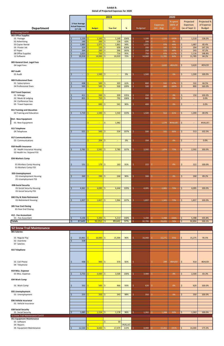| % spent<br>Projected<br>3 Year Average<br>(66% of<br><b>Expenses</b><br><b>Expenses</b><br><b>Actual Expenses</b><br>(as of Sept 1)<br><b>Department</b><br><b>Budgeted</b><br>Jan - Aug<br>yr)<br><b>Budget</b><br><b>Year End</b><br>%<br>$(17-19)$<br>24 Housing Cont'd<br>003 Office Supplies<br>$\frac{1}{2}$<br>1,150<br>1,100<br>Ś<br>$\zeta$<br>\$<br>Ŝ.<br>1,149<br>104%<br>1,100<br>Ŝ.<br>1,125<br>102%<br>1,518<br>01 Postage<br>$\frac{1}{2}$<br>$\zeta$<br>149<br>200<br>126<br>\$<br>02 Advertising<br>63%<br>200<br>\$<br>0%<br>$\frac{1}{2}$<br>$\zeta$<br>1,885<br>1,975<br>1,861<br>94%<br>Ś<br>$\mathsf{S}$<br>03 Copier Rental<br>1,975<br>976<br>49%<br>\$<br>1,687<br>$\zeta$<br>329<br>$150 \mid \zeta$<br>426%<br>\$<br>294<br>05 Printer Ink<br>639<br>Ś<br>200<br>Ŝ.<br>142<br>71%<br>147.2%<br>264<br>$\frac{1}{2}$<br>$\zeta$<br>200<br>366<br>183%<br>Ś<br>$\mathsf{S}$<br>49%<br>\$<br>243<br>97.2%<br>07 Paper<br>250<br>121<br>-Ś<br>1,023<br>750<br>Ŝ.<br>716<br>95%<br>$\zeta$<br>1,116<br>148.8%<br>08 Office Supplies<br>\$<br>Ŝ.<br>750<br>-\$<br>876<br>117%<br>10,318<br>14,000<br>Ŝ.<br>10,019<br>72%<br>Ś<br>Ŝ.<br>84%<br>$\mathsf{S}$<br>11,785<br>84.2%<br>12 Software<br>Ś<br>14,000<br>11,785<br>Ś<br>005 General Govt. Legal Fees |               |  |  |  |              |         |             |                                            |
|---------------------------------------------------------------------------------------------------------------------------------------------------------------------------------------------------------------------------------------------------------------------------------------------------------------------------------------------------------------------------------------------------------------------------------------------------------------------------------------------------------------------------------------------------------------------------------------------------------------------------------------------------------------------------------------------------------------------------------------------------------------------------------------------------------------------------------------------------------------------------------------------------------------------------------------------------------------------------------------------------------------------------------------------------------------------------------------------------------------------------------------------------------------------------------------------------------------------------------------------------------------------------------|---------------|--|--|--|--------------|---------|-------------|--------------------------------------------|
|                                                                                                                                                                                                                                                                                                                                                                                                                                                                                                                                                                                                                                                                                                                                                                                                                                                                                                                                                                                                                                                                                                                                                                                                                                                                                 |               |  |  |  |              |         |             | Projected %<br>of Expense<br><b>Budget</b> |
|                                                                                                                                                                                                                                                                                                                                                                                                                                                                                                                                                                                                                                                                                                                                                                                                                                                                                                                                                                                                                                                                                                                                                                                                                                                                                 |               |  |  |  |              |         |             |                                            |
|                                                                                                                                                                                                                                                                                                                                                                                                                                                                                                                                                                                                                                                                                                                                                                                                                                                                                                                                                                                                                                                                                                                                                                                                                                                                                 |               |  |  |  |              |         |             |                                            |
|                                                                                                                                                                                                                                                                                                                                                                                                                                                                                                                                                                                                                                                                                                                                                                                                                                                                                                                                                                                                                                                                                                                                                                                                                                                                                 |               |  |  |  |              |         |             | 138.0%                                     |
|                                                                                                                                                                                                                                                                                                                                                                                                                                                                                                                                                                                                                                                                                                                                                                                                                                                                                                                                                                                                                                                                                                                                                                                                                                                                                 |               |  |  |  |              |         |             |                                            |
|                                                                                                                                                                                                                                                                                                                                                                                                                                                                                                                                                                                                                                                                                                                                                                                                                                                                                                                                                                                                                                                                                                                                                                                                                                                                                 |               |  |  |  |              |         |             | 85.4%                                      |
|                                                                                                                                                                                                                                                                                                                                                                                                                                                                                                                                                                                                                                                                                                                                                                                                                                                                                                                                                                                                                                                                                                                                                                                                                                                                                 |               |  |  |  |              |         |             |                                            |
|                                                                                                                                                                                                                                                                                                                                                                                                                                                                                                                                                                                                                                                                                                                                                                                                                                                                                                                                                                                                                                                                                                                                                                                                                                                                                 |               |  |  |  |              |         |             |                                            |
|                                                                                                                                                                                                                                                                                                                                                                                                                                                                                                                                                                                                                                                                                                                                                                                                                                                                                                                                                                                                                                                                                                                                                                                                                                                                                 |               |  |  |  |              |         |             |                                            |
|                                                                                                                                                                                                                                                                                                                                                                                                                                                                                                                                                                                                                                                                                                                                                                                                                                                                                                                                                                                                                                                                                                                                                                                                                                                                                 |               |  |  |  |              |         |             |                                            |
|                                                                                                                                                                                                                                                                                                                                                                                                                                                                                                                                                                                                                                                                                                                                                                                                                                                                                                                                                                                                                                                                                                                                                                                                                                                                                 | 04 Legal Fees |  |  |  | \$.<br>3,620 | #DIV/0! | \$<br>3,620 | #DIV/0!                                    |
| 007 Audit                                                                                                                                                                                                                                                                                                                                                                                                                                                                                                                                                                                                                                                                                                                                                                                                                                                                                                                                                                                                                                                                                                                                                                                                                                                                       |               |  |  |  |              |         |             |                                            |
| 1,500<br>01 Audit<br>\$<br>Ś<br>$1,500$ \$<br>0%<br>Ś<br>0%<br>\$<br>1,500<br>Ś                                                                                                                                                                                                                                                                                                                                                                                                                                                                                                                                                                                                                                                                                                                                                                                                                                                                                                                                                                                                                                                                                                                                                                                                 |               |  |  |  |              |         |             | 100.0%                                     |
|                                                                                                                                                                                                                                                                                                                                                                                                                                                                                                                                                                                                                                                                                                                                                                                                                                                                                                                                                                                                                                                                                                                                                                                                                                                                                 |               |  |  |  |              |         |             |                                            |
| 009 Professional Dues                                                                                                                                                                                                                                                                                                                                                                                                                                                                                                                                                                                                                                                                                                                                                                                                                                                                                                                                                                                                                                                                                                                                                                                                                                                           |               |  |  |  |              |         |             |                                            |
| 438<br>500<br>303<br>61%<br>532<br>\$<br>Ś<br>532<br>67%<br>\$<br>01 Subscriptions<br>\$<br>800<br>Ŝ.                                                                                                                                                                                                                                                                                                                                                                                                                                                                                                                                                                                                                                                                                                                                                                                                                                                                                                                                                                                                                                                                                                                                                                           |               |  |  |  |              |         |             | 66.5%                                      |
| $\zeta$<br>500<br>500<br>\$.<br>500<br>100%<br>$\zeta$<br>800<br>04 Professional Dues<br>Ś<br>500<br>800<br>160%<br>Ŝ                                                                                                                                                                                                                                                                                                                                                                                                                                                                                                                                                                                                                                                                                                                                                                                                                                                                                                                                                                                                                                                                                                                                                           |               |  |  |  |              |         |             | 160.0%                                     |
| 010 Travel Expenses                                                                                                                                                                                                                                                                                                                                                                                                                                                                                                                                                                                                                                                                                                                                                                                                                                                                                                                                                                                                                                                                                                                                                                                                                                                             |               |  |  |  |              |         |             |                                            |
| 411<br>200<br>$\mathsf{S}$<br>105%<br>Ś<br>$\zeta$<br>01 Mileage<br>209<br>150<br>Ŝ.<br>0%<br>150<br>Ŝ<br>$\sim$                                                                                                                                                                                                                                                                                                                                                                                                                                                                                                                                                                                                                                                                                                                                                                                                                                                                                                                                                                                                                                                                                                                                                                |               |  |  |  |              |         |             | 100.0%                                     |
| Ś<br>855<br>750<br>Ŝ.<br>792<br>02 Meals & Lodging<br>106%<br>Ś<br>\$<br>900<br>0%<br>S<br>S.<br>$\overline{\phantom{a}}$                                                                                                                                                                                                                                                                                                                                                                                                                                                                                                                                                                                                                                                                                                                                                                                                                                                                                                                                                                                                                                                                                                                                                       |               |  |  |  |              |         |             | 0.0%                                       |
| 04 Conference Fees                                                                                                                                                                                                                                                                                                                                                                                                                                                                                                                                                                                                                                                                                                                                                                                                                                                                                                                                                                                                                                                                                                                                                                                                                                                              |               |  |  |  |              |         |             |                                            |
| 600<br>90%<br>Ś<br>\$<br>541<br>Ś<br>400<br>\$<br>05 Travel Expenses<br>0%<br>Ŝ<br>$\overline{\phantom{a}}$                                                                                                                                                                                                                                                                                                                                                                                                                                                                                                                                                                                                                                                                                                                                                                                                                                                                                                                                                                                                                                                                                                                                                                     |               |  |  |  |              |         |             | 0.0%                                       |
|                                                                                                                                                                                                                                                                                                                                                                                                                                                                                                                                                                                                                                                                                                                                                                                                                                                                                                                                                                                                                                                                                                                                                                                                                                                                                 |               |  |  |  |              |         |             |                                            |
| 011 Training and Education                                                                                                                                                                                                                                                                                                                                                                                                                                                                                                                                                                                                                                                                                                                                                                                                                                                                                                                                                                                                                                                                                                                                                                                                                                                      |               |  |  |  |              |         |             |                                            |
| 1,710<br>1,500<br>Ŝ.<br>Ś.<br>02 Training and Education<br>\$<br>Ŝ.<br>1,543<br>103%<br>1,500<br>914<br>61%<br>\$<br>1,200<br>Ŝ.                                                                                                                                                                                                                                                                                                                                                                                                                                                                                                                                                                                                                                                                                                                                                                                                                                                                                                                                                                                                                                                                                                                                                |               |  |  |  |              |         |             | 80.0%                                      |
| 014 - New Equipment                                                                                                                                                                                                                                                                                                                                                                                                                                                                                                                                                                                                                                                                                                                                                                                                                                                                                                                                                                                                                                                                                                                                                                                                                                                             |               |  |  |  |              |         |             |                                            |
| \$<br>$\frac{1}{2}$<br>\$<br>#VALUE!<br>ш<br>$\blacksquare$                                                                                                                                                                                                                                                                                                                                                                                                                                                                                                                                                                                                                                                                                                                                                                                                                                                                                                                                                                                                                                                                                                                                                                                                                     |               |  |  |  |              |         |             | #VALUE!                                    |
| \$<br>01 New Equipment<br>1,982<br>1,574                                                                                                                                                                                                                                                                                                                                                                                                                                                                                                                                                                                                                                                                                                                                                                                                                                                                                                                                                                                                                                                                                                                                                                                                                                        |               |  |  |  |              |         |             |                                            |
| 015 Telephone                                                                                                                                                                                                                                                                                                                                                                                                                                                                                                                                                                                                                                                                                                                                                                                                                                                                                                                                                                                                                                                                                                                                                                                                                                                                   |               |  |  |  |              |         |             |                                            |
| 521<br>500<br>\$<br>Ś<br>Ś.<br>534<br>107%<br>$\zeta$<br>331<br>66%<br>513<br>04 Telephone<br>Ś<br>500<br>Ŝ.                                                                                                                                                                                                                                                                                                                                                                                                                                                                                                                                                                                                                                                                                                                                                                                                                                                                                                                                                                                                                                                                                                                                                                    |               |  |  |  |              |         |             | 102.5%                                     |
|                                                                                                                                                                                                                                                                                                                                                                                                                                                                                                                                                                                                                                                                                                                                                                                                                                                                                                                                                                                                                                                                                                                                                                                                                                                                                 |               |  |  |  |              |         |             |                                            |
| 017 Communications                                                                                                                                                                                                                                                                                                                                                                                                                                                                                                                                                                                                                                                                                                                                                                                                                                                                                                                                                                                                                                                                                                                                                                                                                                                              |               |  |  |  |              |         |             |                                            |
| $\hat{\mathbf{S}}$<br>$204 \,$ \$<br>$\frac{1}{2}$<br>0%<br>Ŝ.<br>204<br>-Ś<br>0%<br>03 Communications<br>$\blacksquare$<br>$\overline{\phantom{a}}$                                                                                                                                                                                                                                                                                                                                                                                                                                                                                                                                                                                                                                                                                                                                                                                                                                                                                                                                                                                                                                                                                                                            |               |  |  |  |              |         |             | 0.0%                                       |
| 018 Health Insurance                                                                                                                                                                                                                                                                                                                                                                                                                                                                                                                                                                                                                                                                                                                                                                                                                                                                                                                                                                                                                                                                                                                                                                                                                                                            |               |  |  |  |              |         |             |                                            |
| 2,591<br>$\mathsf{S}$<br>Ŝ.<br>2,782<br>S.<br>2,785<br>107%<br>Ŝ.<br>1,874<br>72%<br>\$<br>2,592<br>01 Health Insurance Housing<br>Ŝ.<br>2,592                                                                                                                                                                                                                                                                                                                                                                                                                                                                                                                                                                                                                                                                                                                                                                                                                                                                                                                                                                                                                                                                                                                                  |               |  |  |  |              |         |             | 100.0%                                     |
| 02 Health Ins. Stipend FSS                                                                                                                                                                                                                                                                                                                                                                                                                                                                                                                                                                                                                                                                                                                                                                                                                                                                                                                                                                                                                                                                                                                                                                                                                                                      |               |  |  |  |              |         |             |                                            |
|                                                                                                                                                                                                                                                                                                                                                                                                                                                                                                                                                                                                                                                                                                                                                                                                                                                                                                                                                                                                                                                                                                                                                                                                                                                                                 |               |  |  |  |              |         |             |                                            |
| 034-Workers Comp                                                                                                                                                                                                                                                                                                                                                                                                                                                                                                                                                                                                                                                                                                                                                                                                                                                                                                                                                                                                                                                                                                                                                                                                                                                                |               |  |  |  |              |         |             |                                            |
|                                                                                                                                                                                                                                                                                                                                                                                                                                                                                                                                                                                                                                                                                                                                                                                                                                                                                                                                                                                                                                                                                                                                                                                                                                                                                 |               |  |  |  |              |         |             |                                            |
| $179$ \$<br>Ś<br>\$<br>\$<br>01-Workers Comp Housing<br>151<br>163<br>91%<br>222<br>0%<br>222<br>\$<br>\$.                                                                                                                                                                                                                                                                                                                                                                                                                                                                                                                                                                                                                                                                                                                                                                                                                                                                                                                                                                                                                                                                                                                                                                      |               |  |  |  |              |         |             | 100.0%                                     |
| 01-Workers Comp FSS                                                                                                                                                                                                                                                                                                                                                                                                                                                                                                                                                                                                                                                                                                                                                                                                                                                                                                                                                                                                                                                                                                                                                                                                                                                             |               |  |  |  |              |         |             |                                            |
| 035-Unemployment                                                                                                                                                                                                                                                                                                                                                                                                                                                                                                                                                                                                                                                                                                                                                                                                                                                                                                                                                                                                                                                                                                                                                                                                                                                                |               |  |  |  |              |         |             |                                            |
| 01-Unemployment Housing<br>\$<br>260<br>$296$ \$<br>268<br>90%<br>Ś.<br>0%<br>268<br>Ŝ.<br>300<br>\$<br>\$                                                                                                                                                                                                                                                                                                                                                                                                                                                                                                                                                                                                                                                                                                                                                                                                                                                                                                                                                                                                                                                                                                                                                                      |               |  |  |  |              |         |             | 89.2%                                      |
| 01-Unemployment FSS                                                                                                                                                                                                                                                                                                                                                                                                                                                                                                                                                                                                                                                                                                                                                                                                                                                                                                                                                                                                                                                                                                                                                                                                                                                             |               |  |  |  |              |         |             |                                            |
|                                                                                                                                                                                                                                                                                                                                                                                                                                                                                                                                                                                                                                                                                                                                                                                                                                                                                                                                                                                                                                                                                                                                                                                                                                                                                 |               |  |  |  |              |         |             |                                            |
| 038-Social Security                                                                                                                                                                                                                                                                                                                                                                                                                                                                                                                                                                                                                                                                                                                                                                                                                                                                                                                                                                                                                                                                                                                                                                                                                                                             |               |  |  |  |              |         |             |                                            |
| 01-Social Security Housing<br>4,361<br>$4,095$ \$<br>4,444<br>109%<br>Ŝ.<br>Ŝ.<br>2,995<br>73%<br>\$<br>4,095<br>Ŝ.<br>4,095                                                                                                                                                                                                                                                                                                                                                                                                                                                                                                                                                                                                                                                                                                                                                                                                                                                                                                                                                                                                                                                                                                                                                    |               |  |  |  |              |         |             | 100.0%                                     |
| 01-Social Security FSS                                                                                                                                                                                                                                                                                                                                                                                                                                                                                                                                                                                                                                                                                                                                                                                                                                                                                                                                                                                                                                                                                                                                                                                                                                                          |               |  |  |  |              |         |             |                                            |
| 040 City & State Retirement                                                                                                                                                                                                                                                                                                                                                                                                                                                                                                                                                                                                                                                                                                                                                                                                                                                                                                                                                                                                                                                                                                                                                                                                                                                     |               |  |  |  |              |         |             |                                            |
| 1,927<br>$1,837$ \$<br>1,964<br>107%<br>Ŝ.<br>1,837<br>1,341<br>73%<br>\$<br>1,837<br>01-Retirement Housing<br>Ŝ.<br>Ŝ.<br>\$                                                                                                                                                                                                                                                                                                                                                                                                                                                                                                                                                                                                                                                                                                                                                                                                                                                                                                                                                                                                                                                                                                                                                   |               |  |  |  |              |         |             | 100.0%                                     |
|                                                                                                                                                                                                                                                                                                                                                                                                                                                                                                                                                                                                                                                                                                                                                                                                                                                                                                                                                                                                                                                                                                                                                                                                                                                                                 |               |  |  |  |              |         |             |                                            |
| 285 Year End Closing                                                                                                                                                                                                                                                                                                                                                                                                                                                                                                                                                                                                                                                                                                                                                                                                                                                                                                                                                                                                                                                                                                                                                                                                                                                            |               |  |  |  |              |         |             |                                            |
| 01-Year End Closing                                                                                                                                                                                                                                                                                                                                                                                                                                                                                                                                                                                                                                                                                                                                                                                                                                                                                                                                                                                                                                                                                                                                                                                                                                                             |               |  |  |  |              |         |             |                                            |
|                                                                                                                                                                                                                                                                                                                                                                                                                                                                                                                                                                                                                                                                                                                                                                                                                                                                                                                                                                                                                                                                                                                                                                                                                                                                                 |               |  |  |  |              |         |             |                                            |
| 412 - Fee Accountant<br>$\zeta$<br>5,136<br>S.<br>$5,200$ \$<br>5,213<br>100%<br>Ŝ.                                                                                                                                                                                                                                                                                                                                                                                                                                                                                                                                                                                                                                                                                                                                                                                                                                                                                                                                                                                                                                                                                                                                                                                             |               |  |  |  |              |         |             | 103.8%                                     |
| \$<br>$\ddot{\mathsf{S}}$<br>01 - Fee Acountant<br>5,200<br>5,398<br>104%<br>5,398<br>Ś<br>87,643<br>89,642<br><b>Totals</b><br>$92,352$ \$<br>97%<br>92,894<br>92,700<br>\$<br>S<br>Ŝ.<br>Ŝ.<br>70,431<br>76%                                                                                                                                                                                                                                                                                                                                                                                                                                                                                                                                                                                                                                                                                                                                                                                                                                                                                                                                                                                                                                                                  |               |  |  |  |              |         |             | 100.2%                                     |
|                                                                                                                                                                                                                                                                                                                                                                                                                                                                                                                                                                                                                                                                                                                                                                                                                                                                                                                                                                                                                                                                                                                                                                                                                                                                                 |               |  |  |  |              |         |             |                                            |

| <b>52 Snow Trail Maintenance</b> |        |             |        |     |        |        |     |        |       |
|----------------------------------|--------|-------------|--------|-----|--------|--------|-----|--------|-------|
| 001 Salaries                     |        |             |        |     |        |        |     |        |       |
| 01 Regular Pay                   | 13,961 | $16,000$ \$ | 15,394 | 96% | 16,000 | 15,272 | 95% | 15,275 | 95.5% |
| 02 Overtime                      | 328    |             |        |     |        |        |     |        |       |
| 07 Salaries                      |        |             |        |     |        |        |     |        |       |
|                                  |        |             |        |     |        |        |     |        |       |
| 015 Telephone                    |        |             |        |     |        |        |     |        |       |
|                                  |        |             |        |     |        |        |     |        |       |
|                                  |        |             |        |     |        |        |     |        |       |

| 01 Cell Phone                    | 438<br><sub>S</sub>                | <b>S</b>   | $400 \mid \zeta$<br>370 | 92%     | $\sim$      | -\$<br>289 | #DIV/0! | $\mathsf{S}$<br>410          | #DIV/0! |
|----------------------------------|------------------------------------|------------|-------------------------|---------|-------------|------------|---------|------------------------------|---------|
| 04 Telephone                     |                                    |            |                         |         |             |            |         |                              |         |
| 019 Misc. Expense                |                                    |            |                         |         |             |            |         |                              |         |
|                                  |                                    |            | Ś                       |         |             | S.         | 0%      | Ŝ.                           |         |
| 01 Misc. Expense                 | 3,733                              | 3,500      | 3,500                   | 100%    | 3,000       |            |         | 2,500                        | 83.3%   |
| 034 Work Comp                    |                                    |            |                         |         |             |            |         |                              |         |
|                                  |                                    |            |                         |         |             |            |         |                              |         |
| 01 Work Comp                     | 332<br><sub>S</sub>                | $500$ \$   | 466                     | 93%     | 620         | IS.<br>×.  | 0%      | \$<br>620                    | 100.0%  |
|                                  |                                    |            |                         |         |             |            |         |                              |         |
| 035 Unemployment                 |                                    |            |                         |         |             |            |         |                              |         |
| 01 Unemployment                  | 255                                | 350        | ۱\$<br>343              | 98%     | 350         | -Ś         | 0%      | Ś<br>350                     | 100.0%  |
|                                  |                                    |            |                         |         |             |            |         |                              |         |
| 036 Vehicle Insurance            |                                    |            |                         |         |             |            |         |                              |         |
| 01 Vehicle Insurance             |                                    |            |                         |         |             |            |         |                              |         |
|                                  |                                    |            |                         |         |             |            |         |                              |         |
| 038 Social Security              |                                    |            |                         |         |             |            |         |                              |         |
| 01 Social Security               | $1,085$ \$<br>$\mathsf{S}$         | 1,224      | ا s<br>1,178            | 96%     | 1,262       | 1,168      | 93%     | Ŝ.<br>1,262                  | 100.0%  |
| 52 Snow Trail Maintenance Cont'd |                                    |            |                         |         |             |            |         |                              |         |
| 051 Equipment Maintenance        |                                    |            |                         |         |             |            |         |                              |         |
| 01 Software                      |                                    |            | 59                      |         |             |            |         |                              |         |
| 04 Repairs                       |                                    | $\sim$     |                         | #VALUE! |             |            |         |                              |         |
| 05 Equipment Maintenance         | 12,530 $\frac{1}{5}$<br>$\vert$ \$ | $8,000$ \$ | 17,579                  | 220%    | Ŝ.<br>8,000 | 15,261     | 191%    | $\mathsf{\hat{S}}$<br>14,000 | 175.0%  |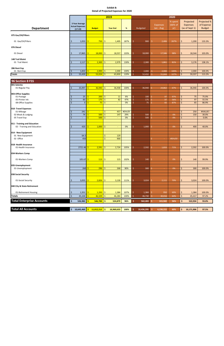|                                                             |                                                                 |        |                             |               | 2019            |           |         |                 |                                | 2020                      |                    |                                                |                                            |
|-------------------------------------------------------------|-----------------------------------------------------------------|--------|-----------------------------|---------------|-----------------|-----------|---------|-----------------|--------------------------------|---------------------------|--------------------|------------------------------------------------|--------------------------------------------|
| <b>Department</b>                                           | 3 Year Average<br><b>Actual Expenses</b><br>$(17-19)$           |        | <b>Budget</b>               |               | <b>Year End</b> | %         |         | <b>Budgeted</b> | <b>Expenses</b><br>Jan - Aug   | % spent<br>(66% of<br>yr) |                    | Projected<br><b>Expenses</b><br>(as of Sept 1) | Projected %<br>of Expense<br><b>Budget</b> |
| 075 Gas/Oil/Filters                                         |                                                                 |        |                             |               |                 |           |         |                 |                                |                           |                    |                                                |                                            |
| 01 Gas/Oil/Filters                                          | 1,053<br>$\frac{1}{2}$                                          | Ŝ      | 750                         | \$            | 1,405           | 187%      | \$      | 900             | Ŝ<br>2,406                     | 267%                      | \$                 | 1,200                                          | 133.3%                                     |
| 076 Diesel                                                  |                                                                 |        |                             |               |                 |           |         |                 |                                |                           |                    |                                                |                                            |
| 01 Diesel                                                   | \$<br>17,865                                                    | Ś      | 18,000                      | <u> </u> \$   | 18,557          | 103%      | Ś       | 18,000          | Ŝ.<br>17,586                   | 98%                       | \$                 | 18,544                                         | 103.0%                                     |
| 148 Trail Maint                                             |                                                                 |        |                             |               |                 |           |         |                 |                                |                           |                    |                                                |                                            |
| 01 Trail Maint                                              | \$<br>2,117                                                     | Ś      | 2,300                       | Ŝ.            | 2,979           | 130%      | Ŝ.      | 2,300           | Ŝ.<br>1,861                    | 81%                       | \$                 | 3,176                                          | 138.1%                                     |
| 286 Rent Exp<br>01 Rent Exp                                 | 1,833<br>$\frac{1}{2}$                                          |        | 2,000                       | -\$           | 2,000           | 100%      | Ŝ       | 2,000           | -Ŝ<br>2,000                    | 100%                      | \$                 | 2,000                                          | 100.0%                                     |
| <b>Totals</b>                                               | $\frac{1}{2}$<br>55,439                                         | -Ś     | 53,024                      | $\vert$ \$    | 63,830          | 120%      | Ŝ.      | 52,432          | 55,844<br>Ŝ.                   | 107%                      | $\dot{\mathsf{S}}$ | 59,337                                         | 113.2%                                     |
|                                                             |                                                                 |        |                             |               |                 |           |         |                 |                                |                           |                    |                                                |                                            |
| 96 Section 8 FSS                                            |                                                                 |        |                             |               |                 |           |         |                 |                                |                           |                    |                                                |                                            |
| 001-Salaries<br>01-Regular Pay                              | \$<br>35,997                                                    | Š.     | 36,940                      | $\frac{1}{2}$ | 36,938          | 100%      | Ś       | 36,940          | Ś.<br>24,862                   | 67%                       | \$                 | 36,940                                         | 100.0%                                     |
| 003-Office Supplies                                         |                                                                 |        |                             |               |                 |           |         |                 |                                |                           |                    |                                                |                                            |
| 01-Postage                                                  | $\overline{25}$<br>Ŝ                                            |        | 200                         | \$            | 11              | 6%        | Ś       | 100             | 97<br>\$                       | 97%                       | \$                 | 75                                             | 75.0%                                      |
| 05-Printer Ink<br>08-Office Supplies                        | 83<br>$\ddot{\mathsf{S}}$<br>$\zeta$<br>$\overline{\mathbf{3}}$ | Š      | 175<br>75                   | \$.<br>\$     | 82<br>$\equiv$  | 47%<br>0% | Ś<br>Ś  | 175<br>75       | 97<br>Ś<br>Ŝ.<br>65            | 56%<br>87%                | \$<br>\$           | 97<br>65                                       | 55.5%<br>86.9%                             |
| 010- Travel Expenses                                        |                                                                 |        |                             |               |                 |           |         |                 |                                |                           |                    |                                                |                                            |
| 01-Mileage                                                  | 241<br>\$                                                       |        | $\mathbf{L}^{\mathrm{eff}}$ | Ŝ.            | 457             | #DIV/0!   |         |                 |                                |                           | \$                 | 250                                            | #VALUE!                                    |
| 02 Meals & Lodging<br>05 Travel Exp                         | 74<br>$\zeta$<br>Ŝ.                                             | Ś<br>Ŝ | 500<br>500                  | \$<br>-Ŝ      | 147             | 29%<br>0% | \$<br>Ś | 500<br>500      | Ś<br>$\sim$<br>Ś<br>$\sim$     | 0%<br>0%                  | \$<br>\$           | 150<br>$\blacksquare$                          | 30.0%<br>0.0%                              |
|                                                             |                                                                 |        |                             |               |                 |           |         |                 |                                |                           |                    |                                                |                                            |
| 011 - Training and Education<br>02 - Training and Education | 420<br>Ś.                                                       |        | 1,000                       | -\$           | $\sim$          | 0%        | Ś       | 1,000           | Ś<br>$\sim$                    | 0%                        | \$                 | 400                                            | 40.0%                                      |
| 014 - New Equipment                                         |                                                                 |        |                             |               |                 |           |         |                 |                                |                           |                    |                                                |                                            |
| 01 New Equipment                                            | 64.5                                                            |        |                             | \$            | 129             |           |         |                 |                                |                           |                    |                                                |                                            |
| 02 Office                                                   | 450                                                             |        |                             | \$            | 900             |           |         |                 | Ś.<br>$\overline{\phantom{a}}$ | #DIV/0!                   |                    |                                                |                                            |
| 018- Health Insurance                                       |                                                                 |        |                             |               |                 |           |         |                 |                                |                           |                    |                                                |                                            |
| 01-Health Insurance                                         | 2721.46                                                         | S      | 2,591                       | Ŝ.            | 2,724           | 105%      | S       | 2,592           | 1,833<br>S.                    | 71%                       | Ś.                 | 2,592                                          | 100.0%                                     |
| 034-Workers Comp                                            |                                                                 |        |                             |               |                 |           |         |                 |                                |                           |                    |                                                |                                            |
| 01-Workers Comp                                             | 105.67                                                          | S      | $113 \mid 5$                |               | 115             | 102%      | \$      | 140             | Ś                              | 0%                        | Ŝ                  | 140                                            | 99.9%                                      |
| 035-Unemployment                                            |                                                                 |        |                             |               |                 |           |         |                 |                                |                           |                    |                                                |                                            |
| 01-Unemployment                                             | 260                                                             | -Ś     | 296                         | -\$           | 268             | 90%       | Ś       | 300             | Ś                              | 0%                        | \$                 | 300                                            | 100.0%                                     |
| 038 Social Security                                         |                                                                 |        |                             |               |                 |           |         |                 |                                |                           |                    |                                                |                                            |
| 01-Social Security                                          | 3,055<br>\$.                                                    | Ŝ      | 2,826                       | -\$           | 3,130           | 111%      | \$      | 3,024           | 2,111<br>\$                    | 70%                       | \$                 | 3,024                                          | 100.0%                                     |
| 040 City & State Retirement                                 |                                                                 |        |                             |               |                 |           |         |                 |                                |                           |                    |                                                |                                            |
| 01-Retirement Housing                                       | \$<br>1,351                                                     | -\$    | $1,293$ \$                  |               | 1,384           | 107%      | \$      | 1,384           | 950<br>\$                      | 69%                       | \$                 | 1,384                                          | 100.0%                                     |
| <b>Totals</b>                                               | $\boldsymbol{\zeta}$<br>45,104                                  | Ś      | 46,509                      | $\ddot{\phi}$ | 46,284          | 100%      | Ŝ       | 46,730          | $\ddot{\varsigma}$<br>30,016   | 64%                       | \$                 | 45,417                                         | 97.2%                                      |
| <b>Total Enterprise Accounts</b>                            | $\boldsymbol{\mathsf{S}}$<br>526,982                            | \$     | 546,700                     | l\$.          | 524,879         | 96%       | \$      | 562,283         | \$<br>315,502                  | 56%                       | \$                 | 522,934                                        | 93.0%                                      |
| <b>Total All Accounts</b>                                   | \$10,643,460                                                    | \$     | $11,012,212$ \$             |               | 10,969,633      | 100%      | \$      | 10,436,295      | \$<br>6,238,222                | 60%                       | \$                 | 10,171,906                                     | 97.5%                                      |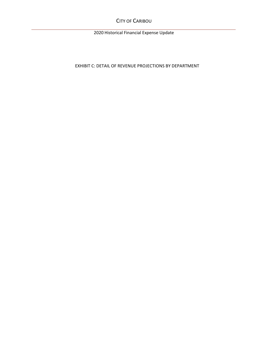CITY OF CARIBOU

2020 Historical Financial Expense Update

EXHIBIT C: DETAIL OF REVENUE PROJECTIONS BY DEPARTMENT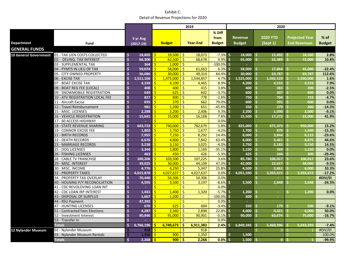|                              |                                  |                         |                         |    |               |         | 2019            |                                 |          |                                 |          | 2020                       |    |                                       |                         |
|------------------------------|----------------------------------|-------------------------|-------------------------|----|---------------|---------|-----------------|---------------------------------|----------|---------------------------------|----------|----------------------------|----|---------------------------------------|-------------------------|
| <b>Department</b>            | Fund                             |                         | 3 yr Avg<br>$(2017-19)$ |    | <b>Budget</b> |         | <b>Year-End</b> | % Diff<br>from<br><b>Budget</b> |          | <b>Revenue</b><br><b>Budget</b> |          | <b>2020 YTD</b><br>(Sept1) |    | Projected Year<br><b>End Revenues</b> | $%$ of<br><b>Budget</b> |
| <b>GENERAL FUNDS</b>         |                                  |                         |                         |    |               |         |                 |                                 |          |                                 |          |                            |    |                                       |                         |
| <b>10 General Government</b> | 01 - TAX LIEN COSTS COLLECTED    | Ś                       | 18,805                  | Ŝ. | $19,500$   \$ |         | 18,073          | $-7.3%$ \$                      |          | 18,000                          | -\$      | 15,492                     |    | 18,500                                | 2.8%                    |
|                              | 02 - DELINQ. TAX INTEREST        | Ś                       | 66,300                  | Ŝ. | 62,500        | \$      | 68,678          | $9.9\%$ \$                      |          | 65,000                          | Ŝ.       | 52,389                     |    | 72,000                                | 10.8%                   |
|                              | 03 - SUPPLEMENTAL TAX            | \$                      | 364                     |    | 1,000         | -\$     |                 | $-100.0\%$ \$                   |          | ٠                               |          |                            |    |                                       |                         |
|                              | 04 - PYMTS IN LIEU OF TAX        | $\mathsf{\hat{S}}$      | 59,074                  |    | 58,000        | Ŝ.      | 61,663          | $6.3\%$ \$                      |          | 58,000                          | Ŝ        | 17.864                     |    | 45,000                                | $-22.4%$                |
|                              | 05 - CITY OWNED PROPERTY         | Ś                       | 36,086                  |    | 30,000        |         | 49,314          | $64.4\%$ \$                     |          | 30.000                          | Ś        | 63,787                     |    | 63.787                                | 112.6%                  |
|                              | 06 - EXCISE TAX                  | Ś                       | 1,511,166               |    | 1,475,000     | \$.     | 1,544,857       | $4.7\%$ \$                      |          | 1,525,000                       | Ŝ        | 1,042,529                  |    | 1,550,000                             | 1.6%                    |
|                              | 07 - BOAT EXCISE TAX             | \$                      | 4,339                   | Ś  | 4.100         | Ŝ.      | 4,465           | 8.9%                            | <b>S</b> | 4,200                           | Ŝ.       | 4.533                      |    | 4.533                                 | 7.9%                    |
|                              | 08 - BOAT REG FEE (LOCAL)        | Ś                       | 408                     |    | 400           | Ŝ.      | 415             | $3.8\%$ \$                      |          | 400                             | Ś        | 383                        |    | 390                                   | $-2.5%$                 |
|                              | 09 - SNOWMOBILE REGISTRATION     | Ś                       | 649                     |    | 625           | Ŝ.      | 602             | $-3.7\%$ \$                     |          | 600                             | Ś        | 307                        |    | 600                                   | 0.0%                    |
|                              | 10 - ATV REGISTRATION LOCAL FEE  | Ś                       | 827                     |    | 800           | Ŝ.      | 778             | $-2.8%$ \$                      |          | 750                             | Ś        | 704                        |    | 715                                   | $-4.7%$                 |
|                              | 11 - Aircraft Excise             | Ś                       | 835                     |    | 370           | -Ś      | 662             | $79.0\%$ \$                     |          | 600                             | Ś        | 291                        |    | 600                                   | 0.0%                    |
|                              | 12 - Travel Reimbursement        | Ś                       | 981                     |    | 1,200         | Ŝ.      | 651             | $-45.8%$                        | -\$      | 350                             | .S       | 279                        |    | 300                                   | $-14.3%$                |
|                              | 15 - MISC. LICENSES              | Ś                       | 2,288                   |    | 2,200         | -Ś      | 2,406           | $9.3\%$ \$                      |          | 2,200                           | .S       | 1,090                      |    | 2.000                                 | $-9.1%$                 |
|                              | <b>16 - VEHICLE REGISTRATION</b> | Ś                       | 15,641                  |    | 15,000        | Ŝ.      | 16,168          | 7.8%                            | <b>S</b> | 15,500                          | Ś        | 17,272                     |    | 22.000                                | 41.9%                   |
|                              | 17 - 60 ACCESS HIGHWAY           | \$                      |                         | Ś  | ÷.            | \$      |                 | 0.0%                            |          |                                 |          |                            |    |                                       |                         |
|                              | 18 - STATE REVENUE SHARING       | \$                      | 643,733                 |    | 740,000       | Ŝ.      | 782,679         | $5.8\%$ \$                      |          | 825,000                         | 'S       | 671,373                    |    | 950,000                               | 15.2%                   |
|                              | <b>19 - CONNOR EXCISE FEE</b>    | Ś                       | 1.803                   | Š. | 1.750         | Ŝ.      | 1,677           | $-4.2%$                         | <b>S</b> | 1,700                           | Ŝ.       | 870                        |    | 1,440                                 | $-15.3%$                |
|                              | 21 - BIRTH RECORDS               | $\mathsf{\hat{S}}$      | 7,955                   |    | 7,250         | -Ś      | 8,292           | $14.4\%$ \$                     |          | 8,000                           | Ŝ        | 3.844                      |    | 6,115                                 | $-23.6%$                |
|                              | 22 - DEATH RECORDS               | Ś                       | 6,676                   |    | 4,800         | Ŝ.      | 7,842           | $63.4\%$ \$                     |          | 6,000                           | \$       | 5.461                      |    | 8,675                                 | 44.6%                   |
|                              | 23 - MARRIAGE RECORDS            | Ś                       | 3.238                   |    | 3,150         | $\zeta$ | 3,025           | $-4.0\%$ \$                     |          | 2,750                           | Ś        | 2.185                      |    | 3.150                                 | 14.5%                   |
|                              | 25 - DOG LICENSES                | Ś                       | 3,344                   |    | 1,800         | Ŝ.      | 1,169           | $-35.1\%$ \$                    |          | 1,150                           | Ŝ        | 569                        |    | 1.150                                 | 0.0%                    |
|                              | 26 - FISHING LICENSES            | Ś                       | 463                     |    | 450           | ς       | 426             | $-5.3\%$ \$                     |          | 425                             | Ŝ.       | 244                        |    | 300                                   | $-29.4%$                |
|                              | 28 - CABLE TV FRANCHISE          | \$                      | 100,206                 |    | 103,500       | Ŝ.      | 107,225         | $3.6\%$ \$                      |          | 85,780                          | Ś        | 106,017                    |    | 106,017                               | 23.6%                   |
|                              | 29 - MISC. INTEREST              | Ś                       | 39,025                  |    | 30,000        | \$.     | 44,109          | 47.0% \$                        |          | 42,000                          | Ŝ        | 22,657                     |    | 38,000                                | $-9.5%$                 |
|                              | 30 - MISC. INCOME                | Ś                       | 4,776                   |    | 4,250         | Ŝ.      | 5,347           | $25.8\%$ \$                     |          | 4,500                           | Š.       | 3.861                      |    | 6,000                                 | 33.3%                   |
|                              | 32 - PROPERTY TAXES              | \$                      | 4,015,878               |    | 4,027,637     | -Ś      | 4,027,637       | 0.0%                            | -\$      | 4,051,590                       | Ŝ        | 3,355,672                  |    | 3,355,672                             | $-17.2%$                |
|                              | 34 - PROPERTY TAX OVERLAY        | \$                      | 70,440                  |    | 54,306        | -Ś      | 54,306          | 0.0%                            |          |                                 | Ŝ        |                            |    |                                       | #DIV/0!                 |
|                              | 40 - HOUSING P/Y RECONCILIATION  | Ś                       | 4,595                   |    | 3,500         | Ŝ.      | 3,197           | $-8.6\%$ \$                     |          | 3,500                           |          | 2.648                      |    | 2.648                                 | $-24.3%$                |
|                              | 41 - CDC REVOLOVING LOAN INT     | \$                      |                         |    |               | Ś       |                 | 0.0%                            |          |                                 |          |                            |    |                                       |                         |
|                              | 42 - CDC LOAN IRP INTEREST       | Ś                       | 1.441                   |    | 1.400         | Ŝ.      | 1,320           | $-5.7\%$ \$                     |          | 1.200                           | Ś        | $\sim$                     |    | 1.200                                 | 0.0%                    |
|                              | 43 - DISPOSAL OF SURPLUS         | \$                      | 1,667                   |    | 1,200         | -Ś      | $\equiv$        | $-100.0\%$ \$                   |          | 600                             | Ŝ.       |                            |    |                                       |                         |
|                              | 44 - RSU Payment                 | $\mathsf{\hat{S}}$      | 47,392                  |    | $\sim$        | Ś       | $\sim$          | $0.0\%$ \$                      |          |                                 |          |                            |    |                                       |                         |
|                              | <b>47 - HUNTING LICENSES</b>     | Ś                       | 670                     |    | 625           |         | 604             | $-3.4\%$ \$                     |          | 550                             | .S       | 179                        |    | 500                                   | $-9.1%$                 |
|                              | 51 - Contracted Fees Elections   | Ś                       | 4.287                   |    | 2,360         | -Ś      | 2,898           | $22.8\%$ \$                     |          | 4.000                           | <b>S</b> | 4.421                      |    | 6.000                                 | 50.0%                   |
|                              | 52 - Investment Interest         | Ś                       | 90,846                  | Š. | 91.000        | Ŝ.      | 90,901          | $-0.1%$                         | <b>S</b> | 90,000                          | Ŝ.       | 63.674                     | Š. | 75,000                                | $-16.7%$                |
|                              | 53 - Transfer In                 | $\overline{\mathsf{S}}$ |                         |    |               | Š.      |                 | 0.0%                            |          |                                 |          |                            |    |                                       |                         |
|                              | <b>Totals</b>                    | \$                      | 6,766,196               | S  | 6,749,673     | Ŝ       | 6,911,383       | $2.4\%$ \$                      |          | 6,849,345                       | Ŝ        | 5,460,596                  |    | 6,342,293                             | $-7.4%$                 |
| <b>12 Nylander Museum</b>    | 01 - Nylander Museum             |                         | 918                     | Ŝ  | $\sim$        | Ŝ.      | 918             |                                 |          |                                 | Š.       | $\overline{0}$             | Ŝ. |                                       | #DIV/0!                 |
|                              | 03 - Nylander Museum Rentals     | Ś                       | 1,350                   |    | 900           | -Ś      | 1,350           |                                 | Ŝ        | 1.500                           |          |                            |    |                                       | $-100.0%$               |
|                              | <b>Totals</b>                    | $\mathsf{\hat{S}}$      | 2,268                   | Ŝ. | 900           | -Ś      | 2,268           | $0.0\%$ \$                      |          | 1,500                           | Š.       | $\mathbf{0}$               |    |                                       | $-99.9%$                |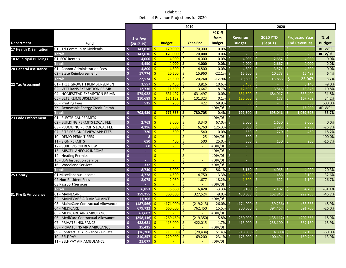|                               |                                                |                    |                      |              |                |                     | 2019            |                      |                     |                             |                     | 2020            |          |                       |               |
|-------------------------------|------------------------------------------------|--------------------|----------------------|--------------|----------------|---------------------|-----------------|----------------------|---------------------|-----------------------------|---------------------|-----------------|----------|-----------------------|---------------|
|                               |                                                |                    |                      |              |                |                     |                 | % Diff               |                     |                             |                     |                 |          |                       |               |
|                               |                                                |                    | 3 yr Avg             |              |                |                     |                 | from                 |                     | <b>Revenue</b>              |                     | <b>2020 YTD</b> |          | <b>Projected Year</b> | $%$ of        |
| <b>Department</b>             | Fund                                           |                    | $(2017-19)$          |              | <b>Budget</b>  |                     | <b>Year-End</b> | <b>Budget</b>        |                     | <b>Budget</b>               |                     | (Sept1)         |          | <b>End Revenues</b>   | <b>Budget</b> |
| 17 Health & Sanitation        | 01 - Tri-Community Dividends                   | Ś                  | 143,616              | $\mathsf{S}$ | 170,000        | -\$                 | 170,000         | $0.0\%$ \$           |                     | $\sim$                      |                     |                 |          |                       | #DIV/0!       |
|                               | <b>Totals</b>                                  | \$                 | 143.616              | <b>S</b>     | $170,000$   \$ |                     | 170,000         | $0.0\%$ \$           |                     | $\mathcal{L}_{\mathcal{A}}$ | Ŝ.                  | $\sim$          | Ŝ        |                       | #DIV/0!       |
| <b>18 Municipal Buildings</b> | 01 EOC Rentals                                 | \$                 | 4,000                | S.           | 4,000          | -\$                 | 4,000           | 0.0%                 | Ŝ.                  | 4,000                       | -\$                 | 2,667           |          | 4,000                 | 0.0%          |
|                               | <b>Totals</b>                                  | Ś                  | 4,450                | <b>S</b>     | 4,000          | -\$                 | 4,000           | 0.0%                 | -\$                 | $4,000$ \$                  |                     | 2,667           |          | 4,000                 | 0.0%          |
| <b>20 General Assistance</b>  | 01 - Connor Administration Fees                | \$                 | 4.800                | $\mathsf{S}$ | 4.800          | Ŝ.                  | 4,800           | 0.0%                 | $\zeta$             | 4,800                       | -\$                 | 3,575           | <b>S</b> | 4.800                 | 0.0%          |
|                               | 02 - State Reimbursement                       | \$                 | 17,774               | Ŝ.           | 20,500         | -\$                 | 15,960          | $-22.1\%$ \$         |                     | 15,500                      | Ŝ.                  | 10,278          | .S       | 16,492                | 6.4%          |
|                               | <b>Totals</b>                                  | \$                 | 22,574               | <b>S</b>     | $25,300$ \$    |                     | 20,760          | $-17.9%$             | -\$                 | 20,300                      | $\ddot{\bm{\zeta}}$ | 13,853          | <b>S</b> | 22,067                | 8.7%          |
| <b>22 Tax Assesment</b>       | 01 - TREE GROWTH REIMBURSEMENT                 | \$                 | 3,557                | $\mathsf{S}$ | 3,450          | -\$                 | 3,816           | 10.6%                |                     | 3.450                       | $\mathsf{S}$        |                 |          | 3,140                 | $-9.0%$       |
|                               | 02 - VETERANS EXEMPTION REIMB                  | Ś                  | 12,736               | Ŝ            | 11,500         | -\$                 | 13,647          | 18.7%                |                     | 12.500                      | \$                  | 13.846          |          | 13.846                | 10.8%         |
|                               | 04 - HOMESTEAD EXEMPTION REIMB                 | Ś                  | 575,922              | Ŝ.           | 631,497        | -Ś                  | 631,497         | 0.0%                 |                     | 651.500                     | Ś.                  | 684.017         | Ŝ        | 858,400               | 31.8%         |
|                               | 05 - BETE REIMBURSEMENT                        | \$                 | 110,689              | Ŝ.           | 131,159        | -Ŝ                  | 131,323         | 0.1%                 |                     | 125,000                     | Ś.                  | 178             | -Ś       | 167.759               | 34.2%         |
|                               | 06 - Printing Fees                             | \$                 | 535                  |              | 250            | -Ś                  | 422             | 68.9%                |                     | 50                          | \$                  | $\sim$          | Š.       | 350                   | 600.0%        |
|                               | XX - Renewable Energy Credit Reimb             |                    |                      |              |                |                     |                 | #DIV/0!              | \$                  |                             | Ś                   |                 |          | 16.200                | #DIV/0!       |
|                               | <b>Totals</b>                                  | \$                 | 703,439              | -Ś           | 777,856        | -\$                 | 780,705         | 0.4%                 | -Ś                  | 792,500                     | Ŝ.                  | 698,041         |          | 1,059,696             | 33.7%         |
| 23 Code Enforcement           | 01 - ELECTRICAL PERMITS                        | Ś                  |                      | <b>S</b>     | $\sim$         | -Ś                  | $\sim$          | #DIV/0!              | Ŝ.                  | $\sim$                      |                     |                 |          |                       |               |
|                               | 02 - BUILDING PERMITS LOCAL FEE                | Ś                  | 2,763                | ς            | 2,000          | S.                  | 3,340           | $67.0%$ \$           |                     | 2,000                       | \$                  | 1.650           |          | 2,000                 | 0.0%          |
|                               | 03 - PLUMBING PERMITS LOCAL FEE                | \$                 | 4,196                | Ŝ.           | 3,000          | Ŝ.                  | 6,760           | 125.3%               | Ŝ.                  | 3,000                       | Ś.                  | 1.995           |          | 2.200                 | $-26.7%$      |
|                               | 07 - SITE DESIGN REVIEW APP FEES               | \$                 | 720                  | Ŝ            | 600            | Ŝ.                  | 540             | $-10.0%$             | $\zeta$             | 550                         | $\ddot{\varsigma}$  | 270             | Š        | 450                   | $-18.2%$      |
|                               | 10 - DEMO PERMIT FEES                          | Ś                  | 8                    | Ś            | $\sim$         | Ŝ.                  | 25              | #DIV/0!              | l \$                | 300                         | \$                  | ÷.              | Ś        |                       | $-100.0%$     |
|                               | 11 - SIGN PERMITS                              | Ś                  | 650                  | Ś            | 400            | -Ś                  | 500             | $25.0\%$ \$          |                     | 300                         | Ś.                  | 150             |          | 250                   | $-16.7%$      |
|                               | 12 - SUBDIVISION REVIEW                        | Ś                  | 60                   | Š            | $\mathbf{u}$   | $\ddot{\mathsf{S}}$ | $\sim$          | #DIV/0!              | $\ddot{\mathsf{s}}$ | $\sim$                      |                     |                 |          |                       |               |
|                               | 13 - MISCELLANEOUS INCOME                      | Ś                  | ÷                    | Ŝ            |                | \$                  | $\sim$          | #DIV/0!              | \$                  | $\sim$                      |                     |                 |          |                       |               |
|                               | 14 - Heating Permits                           | Ś                  | ×.                   | Ŝ.           | $\mathbf{u}$   | Ŝ.                  | $\omega$        | #DIV/0!              | \$                  | $\omega$                    |                     |                 |          |                       |               |
|                               | 15 - LDA Inspection Service                    | Ś                  | ×.                   | Š            | ÷.             | $\ddot{\mathsf{S}}$ |                 | #DIV/0!              | \$                  | $\sim$                      |                     |                 |          |                       |               |
|                               | 16 - Woodland Services                         | Ś                  | 332                  | Ŝ.           | $\sim$         | Ŝ.                  |                 | #DIV/0!              | \$                  | $\equiv$                    |                     |                 |          |                       |               |
|                               | <b>Totals</b>                                  | Ś                  | 8.730                | Ŝ            | 6.000          | -Ś                  | 11,165          | 86.1%                | -Ś                  | 6.150                       | -Ŝ                  | 4.065           |          | 4.900                 | $-20.3%$      |
| 25 Library                    | 01 Miscellaneous Income                        | Ś                  | 4,778                | Ŝ.           | 4,600          | Ŝ.                  | 4,750           | 3.3%                 |                     | 4.600                       | \$                  | 1,486           |          | 3.100                 | $-32.6%$      |
|                               | 02 Non-Resident Fees                           | \$                 | 2,075                | Ŝ            | 2,050          | -Ś                  | 1,677           | $-18.2%$             |                     | 1.500                       | Ś.                  | 622             |          | 1.100                 | $-26.7%$      |
|                               | 03 Passport Services                           | Ś                  | $\sim$               | $\mathsf{S}$ | $\sim$         | -Ś                  | $\sim$          | $\frac{1}{1}$ DIV/0! | \$                  | $\equiv$                    |                     |                 |          |                       |               |
|                               | Totals                                         | Ś<br>Ś             | 6.853                | Ŝ            | 6,650          | -Ś                  | 6,428           | $-3.3%$              | - Ś                 | 6.100                       | <b>S</b>            | 2.107           |          | 4,200                 | $-31.1%$      |
| 31 Fire & Ambulance           | 01 - MAINECARE<br>02 - MAINECARE AIR AMBULANCE | \$                 | 359.255              | Ŝ.<br>Ŝ      | 360,000        | -Ś                  | 327,524         | $-9.0%$<br>#DIV/0!   | $\zeta$             | 430.000                     | $\mathsf{S}$        | 152.845         |          | 229,268               | $-46.7%$      |
|                               | 03 - MaineCare Contractual Allowance           | Ś                  | 11,306<br>(187, 566) | Ŝ.           | $(174,000)$ \$ | \$                  | (219, 213)      | $26.0%$ \$           |                     | (174,000) \$                |                     | (59, 236)       |          | (88.853)              | $-48.9%$      |
|                               | 04 - MEDICARE                                  | Ś                  | 679,722              | Ŝ.           | 660,000        | $\sqrt{5}$          | 762,450         | $15.5%$ \$           |                     | 800,000                     | S.                  | 394,467         | S.       | 591.700               | $-26.0%$      |
|                               | 05 - MEDICARE AIR AMBULANCE                    | \$                 | 67,602               | Ś            | ÷.             | Ŝ.                  |                 | #DIV/0!              |                     |                             |                     |                 |          |                       |               |
|                               | 06 - MediCare Contractual Allowance            | Ś                  | (258.116)            | S.           | (260.460)      | -Ś                  | (219, 350)      | $-15.8%$             | S.                  | (250,000)                   | Ŝ.                  | (135.112)       |          | (202.668)             | $-18.9%$      |
|                               | 07 - PRIVATE INSURANCE                         | \$                 | 428,681              | \$           | 415,000        | -\$                 | 422,015         | $1.7\%$ \$           |                     | 415,000                     | Ŝ.                  | 238,100         |          | 357,150               | $-13.9%$      |
|                               | 08 - PRIVATE INS AIR AMBULANCE                 | \$                 | 35,415               | -Ś           |                | Ŝ.                  |                 | #DIV/0!              |                     |                             |                     |                 |          |                       |               |
|                               | 09 - Contractual Allowance - Private           | Ś                  | (16, 200)            | -Ś           | (13.500)       | -Ś                  | (20, 434)       | $51.4%$ \$           |                     | (18,000)                    | Ŝ.                  | (4.800)         |          | (7.199)               | $-60.0%$      |
|                               | 10 - SELF PAY                                  | \$                 | 210,257              |              | 220,000        | -\$                 | 169,200         | $-23.1\%$ \$         |                     | 175,000                     | Ś.                  | 100.494         |          | 150,740               | $-13.9%$      |
|                               | 11 - SELF PAY AIR AMBULANCE                    | $\mathsf{\hat{S}}$ | 21,077               | S.           | $\mathbf{r}$   | $\ddot{\mathsf{S}}$ |                 | #DIV/0!              |                     |                             |                     |                 |          |                       |               |
|                               |                                                |                    |                      |              |                |                     |                 |                      |                     |                             |                     |                 |          |                       |               |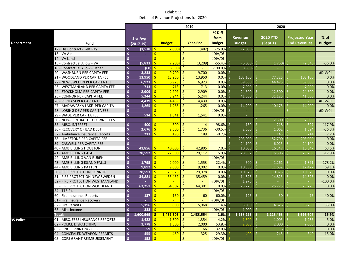|                   |                                   |                    |               |                         |                 |                    | 2019            |                  |              |                |    | 2020            |    |                       |               |
|-------------------|-----------------------------------|--------------------|---------------|-------------------------|-----------------|--------------------|-----------------|------------------|--------------|----------------|----|-----------------|----|-----------------------|---------------|
|                   |                                   |                    |               |                         |                 |                    |                 | % Diff           |              |                |    |                 |    |                       |               |
|                   |                                   |                    | 3 yr Avg      |                         |                 |                    |                 | from             |              | <b>Revenue</b> |    | <b>2020 YTD</b> |    | <b>Projected Year</b> | $%$ of        |
| <b>Department</b> | Fund                              |                    | $(2017-19)$   |                         | <b>Budget</b>   |                    | <b>Year-End</b> | <b>Budget</b>    |              | <b>Budget</b>  |    | (Sept1)         |    | <b>End Revenues</b>   | <b>Budget</b> |
|                   | 12 - Dis Contract - Self Pay      | \$                 | (1, 578)      | Š.                      | (2,000)         | -\$                | (482)           | $-75.9\%$ \$     |              | (2,000)        |    |                 |    |                       |               |
|                   | 13 - VA Air                       | Ś                  | $\sim$        | $\mathsf{S}$            | $\sim$          | \$                 | $\sim$          | #DIV/0!          |              |                |    |                 |    |                       |               |
|                   | 14 - VA Land                      | $\mathsf{\hat{S}}$ | ш.            | $\overline{\mathsf{S}}$ | $\sim$          | Ś                  |                 | #DIV/0!          |              |                |    |                 |    |                       |               |
|                   | 15 - Contractual Allow - VA       | Ś                  | (5.833)       | Ś                       | (7.200)         | Ś                  | (3,209)         | $-55.4\%$ \$     |              | (6,000)        | Ŝ. | (1,760)         | Ŝ. | (2.640)               | $-56.0%$      |
|                   | 16 - Contractual Allow - Other    | Ś                  | (60)          |                         | (500)           | '\$                |                 | $-100.0\%$ \$    |              | (500)          |    |                 |    |                       |               |
|                   | 20 - WASHBURN PER CAPITA FEE      | Ś                  | 3.233         | Ś                       | 9,700           | <sup>\$</sup>      | 9.700           | $0.0\%$ \$       |              | ÷.             |    |                 | Ś  |                       | #DIV/0!       |
|                   | 21 - WOODLAND PER CAPITA FEE      | Ś                  | 13.950        | Ś.                      | 13.950          | Ŝ                  | 13,950          | $0.0\%$ \$       |              | 103.100        |    | 77.325          | Š. | 103.100               | 0.0%          |
|                   | 22 - NEW SWEDEN PER CAPITA FEE    | Ś                  | 6,923         | Š.                      | 6,923           | -Ś                 | 6,923           | $0.0\%$ \$       |              | 59,300         | Ŝ. | 44,475          |    | 59,300                | 0.0%          |
|                   | 23 - WESTMANLAND PER CAPITA FEE   | Ś                  | 713           | $\mathsf{S}$            | 713             | -Ś                 | 713             | $0.0\%$ \$       |              | $7,900$ \$     |    |                 |    | 7,900                 | 0.0%          |
|                   | 24 - STOCKHOLM PER CAPITA FEE     | Ś                  | 2,909         | Ŝ.                      | 2,909           | '\$                | 2,909           | $0.0\%$ \$       |              | $24,600$ \$    |    | 12.300          |    | 24,600                | 0.0%          |
|                   | 25 - CONNOR PER CAPITA FEE        | Ś                  | 5,244         | Š.                      | 5,244           | -Ś                 | 5,244           | $0.0\%$ \$       |              | 41,500         | Ŝ. | 31.125          | ς  | 41.500                | 0.0%          |
|                   | 26 - PERHAM PER CAPITA FEE        | Ś                  | 4,439         | Š.                      | 4,439           | -Ś                 | 4,439           | 0.0%             |              |                |    |                 |    |                       | #DIV/0!       |
|                   | 27 - MADAWASKA LAKE PER CAPITA    | Ś                  | 1,265         | Ś.                      | 1,265           | -Ś                 | 1,265           | $0.0\%$ \$       |              | 14,200         | S. | 10,175          |    | 14,200                | 0.0%          |
|                   | 28 - LORING DEV PER CAPITA FEE    | Ś                  | ÷.            | \$                      | <b>Ca</b>       | Ŝ                  |                 | #DIV/0!   \$     |              | $\sim$         |    |                 | Ŝ  |                       | #DIV/0!       |
|                   | 29 - WADE PER CAPITA FEE          |                    | 514           | Ś.                      | 1.541           | Ŝ                  | 1.541           | $0.0\%$ \$       |              | $\sim$         |    |                 |    |                       |               |
|                   | 30 - NON-CONTRACTED TOWNS FEES    |                    |               |                         |                 |                    |                 |                  |              |                | Ŝ. | 2.500           | Š. | 2.500                 |               |
|                   | 35 - MISC. INTEREST               | $\mathsf{\hat{S}}$ | 400           | \$                      | 300             | -Ś                 | $\overline{4}$  | $-98.6\%$ \$     |              | 150            | Ŝ. | 218             | Š  | 327                   | 117.9%        |
|                   | 36 - RECOVERY OF BAD DEBT         | \$                 | 2,676         | Ś                       | 2,500           | '\$                | 1,736           | $-30.5%$ \$      |              | $2,500$ \$     |    | 1.062           |    | 1,594                 | $-36.3%$      |
|                   | 37 - Ambulance Insurance Reports  |                    | 213           | Ś                       | 190             | <b>S</b>           | 189             | $-0.7\%$ \$      |              | $200 \,$ \$    |    | 143             | Ŝ. | 214                   | 7.2%          |
|                   | 38 - LIMESTONE PER CAPITA FEE     | Ś                  | $\sim$        |                         |                 |                    |                 |                  | \$           | 203,000 \$     |    | 152.700         | Š. | 203.000               | 0.0%          |
|                   | 39 - CASWELL PER CAPITA FEE       | \$                 | $\Delta \phi$ |                         |                 |                    |                 |                  | $\mathsf{S}$ | 24,100         | Ŝ. | 6.025           | Ŝ  | 24,100                | 0.0%          |
|                   | 40 - AMB BILLING HOULTON          | \$                 | 41,856        | \$                      | 40,000          | Ŝ.                 | 42,805          | $7.0\%$ \$       |              | $10,000$ \$    |    | 16.347          | \$ | 16,347                | 63.5%         |
|                   | 41 - AMB BILLING CALAIS           | Ś                  | 28,592        | Š.                      | 27,500          | \$                 | 29,112          | $5.9%$ \$        |              | 28,332         | Ŝ. | 15,506          | Š. | 23,259                | $-17.9%$      |
|                   | 42 - AMB BILLING VAN BUREN        | Ś                  | ш.            | Ś.                      | <b>A</b>        | Ś                  |                 | #DIV/0!          |              |                |    |                 |    |                       |               |
|                   | 43 - AMB BILLING ISLAND FALLS     | Ś                  | 1.795         | Š.                      | 2.000           | $\mathsf{\hat{S}}$ | 1.553           | $-22.4\%$ \$     |              | 500            | Ŝ. | 1.261           |    | 1.891                 | 278.2%        |
|                   | 44 - AMB BILLING PATTEN           | Ś                  | 9.892         | Ś.                      | 9.000           | -Ś                 | 9,002           | $0.0\%$ \$       |              | 10.336         | Ŝ. | 11.652          |    | 17.477                | 69.1%         |
|                   | 50 - FIRE PROTECTION CONNOR       | Ś                  | 28,593        | Ŝ.                      | 29.078          | <sup>\$</sup>      | 29,078          | $0.0\%$ \$       |              | 10,375         | Ŝ. | 10.375          | Š  | 10.375                | 0.0%          |
|                   | 51 - FIRE PROTECTION NEW SWEDEN   | Ś                  | 34.881        | Š.                      | 35,459          | Ŝ.                 | 35.459          | $0.0\%$ \$       |              | 14,825         | Ŝ. | 14.825          | ς  | 14.825                | 0.0%          |
|                   | 52 - FIRE PROTECTION WESTMANLAND  | Ś                  | ÷.            | \$                      | <b>Ca</b>       | Ś.                 |                 | #DIV/0! \$       |              | 1,975          | Ŝ. |                 |    |                       | $-100.0%$     |
|                   | 53 - FIRE PROTECTION WOODLAND     | \$                 | 63,251        | Š.                      | 64,302          | -Ś                 | 64,301          | $0.0\%$ \$       |              | 25,775         | Ŝ. | 25,775          | Š  | 25,775                | 0.0%          |
|                   | 54 - T16 R4                       | Ś                  |               | Ś                       | $\mathbf{u}$    | \$                 | $\omega$        | #DIV/0! \$       |              | $\sim$         |    |                 |    |                       |               |
|                   | 60 - Fire Insurance Reports       | \$                 | 137           | $\mathsf{S}$            | 150             | Ś                  | 60              | $-60.0\%$ \$     |              | 125            | Ŝ. | 50              |    | 75                    | $-40.0%$      |
|                   | 61 - Fire Insurance Recovery      | Ś                  |               | $\overline{\mathsf{S}}$ | $\mathbf{u}$    | Ś                  |                 | #DIV/0!          |              |                |    |                 |    |                       |               |
|                   | 62 - Fire Permits                 | Ś                  | 5.196         | \$                      | 5,000           | Ś                  | 5,068           | $1.4\%$ \$       |              | 5,000          | Ŝ. | 4,626           |    | 6,750                 | 35.0%         |
|                   | 63 - Misc Income                  | \$                 | 333           | \$                      |                 | Ś                  |                 | #DIV/0!          | -\$          | $1,000$ \$     |    |                 |    |                       |               |
|                   | <b>Totals</b>                     | Ś                  | 1,600,969     | Ŝ.                      | 1,459,503       | -Ś                 | 1,483,554       | $1.6\%$ \$       |              | 1,958,293 \$   |    | 1,123,463       | S  | 1,626,607             | $-16.9%$      |
| 35 Police         | 01 - MISC. FEES INSURANCE REPORTS | \$                 | 1.422         | Ŝ.                      | 1.300           | -Ś                 | 1,354           | 4.2%             |              | 1.300          | Ŝ. | 1.005           | Š. | 1.235                 | $-5.0%$       |
|                   | 02 - POLICE DISPATCHING           | \$                 | 1,778         | Š.                      | 1,300           | '\$                | 2,000           | 53.8%            | -S           | 2,000          | \$ | 2,000           | \$ | 2,000                 | 0.0%          |
|                   | 03 - FINGERPRINTING FEES          |                    | 59            | Š.                      | 50 <sub>2</sub> | -Ś                 | 66              | 32.0%            | -S           | 60             | Ŝ. | 6 <sup>1</sup>  | Š  | 60                    | 0.0%          |
|                   | 04 - CONCEALED WEAPON PERMITS     | Ś                  | 455           | Š.                      | 460             | -Ś                 | 325             | $-29.3%$         | -S           | 400            | Š. | 245             |    | 340                   | $-15.0%$      |
|                   | 05 - COPS GRANT REIMBURSEMENT     |                    | 158           | $\overline{\mathsf{S}}$ | $\mathbf{u}$    | $\dot{\mathsf{S}}$ | ◆               | $\text{HDIV}/0!$ |              | $\sim$         |    |                 |    |                       |               |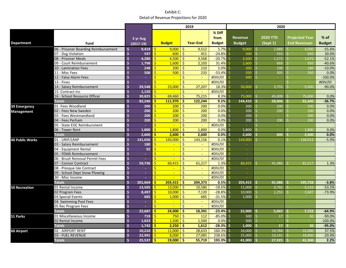| % Diff<br>$%$ of<br><b>Revenue</b><br><b>2020 YTD</b><br><b>Projected Year</b><br>from<br>3 yr Avg<br><b>End Revenues</b><br><b>Budget</b><br><b>Department</b><br><b>Budget</b><br><b>Year-End</b><br><b>Budget</b><br><b>Budget</b><br>(Sept 1)<br>Fund<br>$(2017-19)$<br>06 - Prisoner Boarding Reimbursement<br>$\mathsf{S}$<br>$\mathsf{S}$<br>$\zeta$<br>5.7%<br>$\zeta$<br>2,888<br>9,419<br>9,000<br>9,512<br>9,000<br>4,000<br>$-55.6%$<br>$\mathsf{S}$<br>$\mathsf{S}$<br>$\ddot{\mathsf{S}}$<br>Ś.<br>555<br>07 - Dog Violation<br>600<br>451<br>$-24.8%$<br>500<br>650<br>30.0%<br>597<br>\$<br>$\mathsf{S}$<br>$\ddot{\mathsf{S}}$<br>$-52.1%$<br>08 - Prisoner Meals<br>4,280<br>4,500<br>3,568<br>$-20.7%$<br>3.500<br>Ś.<br>1.272<br>1.675<br>$\mathsf{\hat{S}}$<br>$\dot{\mathsf{S}}$<br>Ś<br>1.600<br>Ś.<br>09 - Court Reimbursement<br>1.798<br>2,103<br>31.4%<br>1.600<br>868<br>950<br>$-40.6%$<br>$\mathsf{\hat{S}}$<br>Ŝ.<br>$-10.0%$<br>10 - Lamination Fees<br>248<br>Ŝ.<br>200<br>210<br>5.0%<br>Ś.<br>100<br>200<br>180<br>11 - Misc Fees<br>\$<br>Ś<br>500<br>$\ddot{\mathsf{S}}$<br>233<br>$-53.4%$<br>\$<br>0.0%<br>508<br>350<br>305<br>350<br>\$<br>Ś<br>$\ddot{\mathsf{S}}$<br>#DIV/0!<br>12 - False Alarm Fees<br>500<br>Ś.<br>$-100.0%$<br>$\sim$<br>S<br>$\sim$<br>$\sim$<br>$\sim$<br>$\sim$<br>$\mathsf{\hat{S}}$<br>Ś<br>$\ddot{\mathsf{S}}$<br>13 - Fines<br>#DIV/0!<br>#DIV/0!<br>÷<br>$\omega$<br>÷.<br>$\sim$<br>$\mathsf{\hat{S}}$<br>Ŕ<br>23,000<br>Ŝ<br>27,207<br>50.000<br>14 - Salary Reimbursement<br>29.548<br>18.3%<br>Ś<br>3.755<br>$-90.0%$<br>5.000<br>Ŝ.<br>$\ddot{\mathsf{S}}$<br>#DIV/0!<br>15 - Contract Inc<br>1.150<br>Ŝ.<br>×.<br>16 - School Resource Officer<br>$\frac{1}{2}$<br>Ś<br>69,460<br>$\frac{1}{2}$<br>75,215<br>75,000<br>\$<br>30,825<br>8.3%<br>45,009<br>0.0%<br>75,000<br>$\mathsf{\hat{S}}$<br>$\mathsf{s}$<br><b>S</b><br>9.2%<br><b>Totals</b><br>82.246<br>111.970<br>122.244<br>144,410<br>58.006<br>$-36.7%$<br>-Ś<br>-Ś.<br>91.440<br>.S<br>$\dot{\mathsf{s}}$<br>-Ś<br>0.0%<br>01 - Fees Woodland<br>200<br>Ś<br>200<br>Ś<br>200<br>0.0%<br>200<br>Ś<br>200<br>200<br>39 Emergency<br>$\mathsf{\hat{S}}$<br>$\mathsf{S}$<br>200<br>Ŝ<br>200<br>0.0%<br>0.0%<br>02 - Fees New Sweden<br>200<br>Ś.<br>200<br>Ś.<br>200<br>200<br>Management<br>03 - Fees Westmandland<br>\$<br>Ś<br>\$<br>200<br>0.0%<br>200<br>\$<br>0.0%<br>200<br>200<br>\$<br>200<br>$\sim$<br>Ś<br>$\mathsf{S}$<br>Ŝ<br>0.0%<br>Ś.<br>04 - Fees Perham<br>200<br>200<br>200<br>Ŝ.<br>200<br>200<br>0.0%<br>200<br>\$<br>$\overline{\mathsf{S}}$<br>Ŝ<br>#DIV/0!<br>Ś.<br>Ś.<br>05 - State EOC Reimbursment<br>÷<br>÷.<br>$\sim$<br>06 - Tower Rent<br>$\dot{\mathsf{s}}$<br>Ś<br>1.800<br>Ŝ<br>Ś.<br>1.800<br>1.800<br>0.0%<br>Ś<br>1.800<br>0.0%<br>1.800<br>S<br><b>Totals</b><br>\$<br>\$<br>$\ddot{\bm{\zeta}}$<br>2,600<br>0.0%<br>2,600<br>2,600<br>\$<br>2,600<br>\$<br>600<br>2,600<br>0.0%<br>01 - URIP/LRAP<br>$\mathsf{\hat{S}}$<br>141.656<br>Ś<br>Ŝ<br>$-5.9%$<br>143,000<br>143,156<br>0.1%<br>143.000<br>Š.<br>134.511<br>S.<br>\$<br>$\ddot{\mathsf{S}}$<br>#DIV/0!<br>03 - Salary Reimbursement<br>180<br>Ś<br>$\mathbf{u}$<br>$\omega$<br>$\overline{\mathsf{S}}$<br>$\mathsf{\hat{S}}$<br>92<br>$\overline{\mathsf{S}}$<br>#DIV/0!<br>04 - Equipment Rental<br>$\omega$<br>×.<br>$\omega$<br>05 - FEMA Reimbursement<br>\$<br>Ś<br>$\frac{1}{2}$<br>#DIV/0!<br>÷<br>÷.<br>$\sim$<br>\$<br>Ŕ<br>$\ddot{\mathsf{S}}$<br>06 - Brush Removal Permit Fees<br>#DIV/0!<br>$\omega$<br>÷<br>$\sim$<br>$\mathsf{S}$<br>$\mathsf{\hat{S}}$<br><sup>\$</sup><br>1.3%<br>07 - Connor Contract<br>59.736<br>60.415<br>61.217<br>1.3%<br>60.415<br>Š.<br>41.486<br>61.217<br>S.<br>\$<br>$\ddot{\mathsf{S}}$<br>#DIV/0!<br>08 - Presque Isle Contract<br>Ś<br>÷.<br>$\blacksquare$<br>$\sim$<br>$\sim$<br>$\overline{\mathsf{S}}$<br>$\mathsf{\hat{S}}$<br>$\dot{\mathsf{S}}$<br>#DIV/0!<br>09 - School Dept Snow Plowing<br>$\omega$<br>×.<br>÷.<br>$\sim$<br>30 - Misc Income<br>$\frac{1}{2}$<br>$\mathsf{S}$<br>$\frac{1}{2}$<br>#DIV/0!<br>÷<br>$\mathsf{S}$<br><b>Totals</b><br>Ŝ.<br>203.415<br>-Ś<br>204,373<br>0.5%<br>-Ś<br>$-3.8%$<br>201,664<br>$203,415$ \$<br>41,486<br>195,728<br>-S<br>$\mathsf{S}$<br>Ŝ.<br>Ŝ.<br>13,000<br>10,586<br>$-18.6%$<br>Ś.<br>11.000<br>Ŝ.<br>$-53.5%$<br>01 Rental Income<br>13.505<br>3.792<br>5.115<br>.S<br>Ŝ.<br>$\overline{\mathsf{S}}$<br>$\frac{1}{2}$<br>$-28.8%$<br>$-73.9%$<br>02 Program Fees<br>8.497<br>10,000<br>7,120<br>Ś.<br>10.000<br>Ś.<br>1.255<br>2,607<br>$\ddot{\mathsf{S}}$<br>\$<br>Ś<br>685<br>$-31.5%$<br>Ŝ.<br>Ś.<br>03 Special Events<br>685<br>1,000<br>1,000<br>$\sim$<br>\$<br>$\overline{\mathsf{S}}$<br>$\ddot{\mathsf{S}}$<br>#DIV/0!<br>04 Swimming Pool Fees<br>$\sim$<br>$\omega$<br>$\sim$<br>$\mathsf{\hat{S}}$<br>$\mathsf{S}$<br><sup>\$</sup><br>#DIV/0!<br>05 Rec Program Fees<br>÷<br>÷.<br>$\mathsf{S}$<br>$\mathsf{S}$<br><b>S</b><br><b>Totals</b><br>22.687<br>24.000<br>18,391<br>$-23.4%$<br>22,000<br>5.047<br>$-64.9%$<br>Ŝ.<br>Ŝ.<br>7,722<br>S<br>\$<br>Ś.<br>\$<br>112<br>$-85.0%$<br>500<br>$-90.0%$<br>01 Miscellaneous Income<br>719<br>750<br>\$.<br>17<br>Ŝ<br>50<br>Ś<br>1.023<br>Ŝ.<br>1.500<br>-Ś<br>1,500<br>0.0%<br>500<br>$-100.0%$<br>02 Rental Income<br>Ŝ.<br>S.<br>S<br><b>Totals</b><br>$\mathsf{S}$<br>Ŝ.<br><b>S</b><br>$-28.3%$<br>1.742<br>2.250<br>1,612<br>-Ś<br>1.000 S<br>$-95.0%$<br>17 <sup>1</sup><br>50<br>S<br>16,000 |                        |                   |               |        | 2019          |        |         |        |        | 2020 |    |        |  |        |       |
|----------------------------------------------------------------------------------------------------------------------------------------------------------------------------------------------------------------------------------------------------------------------------------------------------------------------------------------------------------------------------------------------------------------------------------------------------------------------------------------------------------------------------------------------------------------------------------------------------------------------------------------------------------------------------------------------------------------------------------------------------------------------------------------------------------------------------------------------------------------------------------------------------------------------------------------------------------------------------------------------------------------------------------------------------------------------------------------------------------------------------------------------------------------------------------------------------------------------------------------------------------------------------------------------------------------------------------------------------------------------------------------------------------------------------------------------------------------------------------------------------------------------------------------------------------------------------------------------------------------------------------------------------------------------------------------------------------------------------------------------------------------------------------------------------------------------------------------------------------------------------------------------------------------------------------------------------------------------------------------------------------------------------------------------------------------------------------------------------------------------------------------------------------------------------------------------------------------------------------------------------------------------------------------------------------------------------------------------------------------------------------------------------------------------------------------------------------------------------------------------------------------------------------------------------------------------------------------------------------------------------------------------------------------------------------------------------------------------------------------------------------------------------------------------------------------------------------------------------------------------------------------------------------------------------------------------------------------------------------------------------------------------------------------------------------------------------------------------------------------------------------------------------------------------------------------------------------------------------------------------------------------------------------------------------------------------------------------------------------------------------------------------------------------------------------------------------------------------------------------------------------------------------------------------------------------------------------------------------------------------------------------------------------------------------------------------------------------------------------------------------------------------------------------------------------------------------------------------------------------------------------------------------------------------------------------------------------------------------------------------------------------------------------------------------------------------------------------------------------------------------------------------------------------------------------------------------------------------------------------------------------------------------------------------------------------------------------------------------------------------------------------------------------------------------------------------------------------------------------------------------------------------------------------------------------------------------------------------------------------------------------------------------------------------------------------------------------------------------------------------------------------------------------------------------------------------------------------------------------------------------------------------------------------------------------------------------------------------------------------------------------------------------------------------------------------------------------------------------------------------------------------------------------------------------------------------------------------------------------------------------------------------------------------------------------------------------------------------------------------------------------------------------------------------------------------------------------------------------------------------------------------------|------------------------|-------------------|---------------|--------|---------------|--------|---------|--------|--------|------|----|--------|--|--------|-------|
|                                                                                                                                                                                                                                                                                                                                                                                                                                                                                                                                                                                                                                                                                                                                                                                                                                                                                                                                                                                                                                                                                                                                                                                                                                                                                                                                                                                                                                                                                                                                                                                                                                                                                                                                                                                                                                                                                                                                                                                                                                                                                                                                                                                                                                                                                                                                                                                                                                                                                                                                                                                                                                                                                                                                                                                                                                                                                                                                                                                                                                                                                                                                                                                                                                                                                                                                                                                                                                                                                                                                                                                                                                                                                                                                                                                                                                                                                                                                                                                                                                                                                                                                                                                                                                                                                                                                                                                                                                                                                                                                                                                                                                                                                                                                                                                                                                                                                                                                                                                                                                                                                                                                                                                                                                                                                                                                                                                                                                                                                                                      |                        |                   |               |        |               |        |         |        |        |      |    |        |  |        |       |
|                                                                                                                                                                                                                                                                                                                                                                                                                                                                                                                                                                                                                                                                                                                                                                                                                                                                                                                                                                                                                                                                                                                                                                                                                                                                                                                                                                                                                                                                                                                                                                                                                                                                                                                                                                                                                                                                                                                                                                                                                                                                                                                                                                                                                                                                                                                                                                                                                                                                                                                                                                                                                                                                                                                                                                                                                                                                                                                                                                                                                                                                                                                                                                                                                                                                                                                                                                                                                                                                                                                                                                                                                                                                                                                                                                                                                                                                                                                                                                                                                                                                                                                                                                                                                                                                                                                                                                                                                                                                                                                                                                                                                                                                                                                                                                                                                                                                                                                                                                                                                                                                                                                                                                                                                                                                                                                                                                                                                                                                                                                      |                        |                   |               |        |               |        |         |        |        |      |    |        |  |        |       |
|                                                                                                                                                                                                                                                                                                                                                                                                                                                                                                                                                                                                                                                                                                                                                                                                                                                                                                                                                                                                                                                                                                                                                                                                                                                                                                                                                                                                                                                                                                                                                                                                                                                                                                                                                                                                                                                                                                                                                                                                                                                                                                                                                                                                                                                                                                                                                                                                                                                                                                                                                                                                                                                                                                                                                                                                                                                                                                                                                                                                                                                                                                                                                                                                                                                                                                                                                                                                                                                                                                                                                                                                                                                                                                                                                                                                                                                                                                                                                                                                                                                                                                                                                                                                                                                                                                                                                                                                                                                                                                                                                                                                                                                                                                                                                                                                                                                                                                                                                                                                                                                                                                                                                                                                                                                                                                                                                                                                                                                                                                                      |                        |                   |               |        |               |        |         |        |        |      |    |        |  |        |       |
|                                                                                                                                                                                                                                                                                                                                                                                                                                                                                                                                                                                                                                                                                                                                                                                                                                                                                                                                                                                                                                                                                                                                                                                                                                                                                                                                                                                                                                                                                                                                                                                                                                                                                                                                                                                                                                                                                                                                                                                                                                                                                                                                                                                                                                                                                                                                                                                                                                                                                                                                                                                                                                                                                                                                                                                                                                                                                                                                                                                                                                                                                                                                                                                                                                                                                                                                                                                                                                                                                                                                                                                                                                                                                                                                                                                                                                                                                                                                                                                                                                                                                                                                                                                                                                                                                                                                                                                                                                                                                                                                                                                                                                                                                                                                                                                                                                                                                                                                                                                                                                                                                                                                                                                                                                                                                                                                                                                                                                                                                                                      |                        |                   |               |        |               |        |         |        |        |      |    |        |  |        |       |
|                                                                                                                                                                                                                                                                                                                                                                                                                                                                                                                                                                                                                                                                                                                                                                                                                                                                                                                                                                                                                                                                                                                                                                                                                                                                                                                                                                                                                                                                                                                                                                                                                                                                                                                                                                                                                                                                                                                                                                                                                                                                                                                                                                                                                                                                                                                                                                                                                                                                                                                                                                                                                                                                                                                                                                                                                                                                                                                                                                                                                                                                                                                                                                                                                                                                                                                                                                                                                                                                                                                                                                                                                                                                                                                                                                                                                                                                                                                                                                                                                                                                                                                                                                                                                                                                                                                                                                                                                                                                                                                                                                                                                                                                                                                                                                                                                                                                                                                                                                                                                                                                                                                                                                                                                                                                                                                                                                                                                                                                                                                      |                        |                   |               |        |               |        |         |        |        |      |    |        |  |        |       |
|                                                                                                                                                                                                                                                                                                                                                                                                                                                                                                                                                                                                                                                                                                                                                                                                                                                                                                                                                                                                                                                                                                                                                                                                                                                                                                                                                                                                                                                                                                                                                                                                                                                                                                                                                                                                                                                                                                                                                                                                                                                                                                                                                                                                                                                                                                                                                                                                                                                                                                                                                                                                                                                                                                                                                                                                                                                                                                                                                                                                                                                                                                                                                                                                                                                                                                                                                                                                                                                                                                                                                                                                                                                                                                                                                                                                                                                                                                                                                                                                                                                                                                                                                                                                                                                                                                                                                                                                                                                                                                                                                                                                                                                                                                                                                                                                                                                                                                                                                                                                                                                                                                                                                                                                                                                                                                                                                                                                                                                                                                                      |                        |                   |               |        |               |        |         |        |        |      |    |        |  |        |       |
|                                                                                                                                                                                                                                                                                                                                                                                                                                                                                                                                                                                                                                                                                                                                                                                                                                                                                                                                                                                                                                                                                                                                                                                                                                                                                                                                                                                                                                                                                                                                                                                                                                                                                                                                                                                                                                                                                                                                                                                                                                                                                                                                                                                                                                                                                                                                                                                                                                                                                                                                                                                                                                                                                                                                                                                                                                                                                                                                                                                                                                                                                                                                                                                                                                                                                                                                                                                                                                                                                                                                                                                                                                                                                                                                                                                                                                                                                                                                                                                                                                                                                                                                                                                                                                                                                                                                                                                                                                                                                                                                                                                                                                                                                                                                                                                                                                                                                                                                                                                                                                                                                                                                                                                                                                                                                                                                                                                                                                                                                                                      |                        |                   |               |        |               |        |         |        |        |      |    |        |  |        |       |
|                                                                                                                                                                                                                                                                                                                                                                                                                                                                                                                                                                                                                                                                                                                                                                                                                                                                                                                                                                                                                                                                                                                                                                                                                                                                                                                                                                                                                                                                                                                                                                                                                                                                                                                                                                                                                                                                                                                                                                                                                                                                                                                                                                                                                                                                                                                                                                                                                                                                                                                                                                                                                                                                                                                                                                                                                                                                                                                                                                                                                                                                                                                                                                                                                                                                                                                                                                                                                                                                                                                                                                                                                                                                                                                                                                                                                                                                                                                                                                                                                                                                                                                                                                                                                                                                                                                                                                                                                                                                                                                                                                                                                                                                                                                                                                                                                                                                                                                                                                                                                                                                                                                                                                                                                                                                                                                                                                                                                                                                                                                      |                        |                   |               |        |               |        |         |        |        |      |    |        |  |        |       |
|                                                                                                                                                                                                                                                                                                                                                                                                                                                                                                                                                                                                                                                                                                                                                                                                                                                                                                                                                                                                                                                                                                                                                                                                                                                                                                                                                                                                                                                                                                                                                                                                                                                                                                                                                                                                                                                                                                                                                                                                                                                                                                                                                                                                                                                                                                                                                                                                                                                                                                                                                                                                                                                                                                                                                                                                                                                                                                                                                                                                                                                                                                                                                                                                                                                                                                                                                                                                                                                                                                                                                                                                                                                                                                                                                                                                                                                                                                                                                                                                                                                                                                                                                                                                                                                                                                                                                                                                                                                                                                                                                                                                                                                                                                                                                                                                                                                                                                                                                                                                                                                                                                                                                                                                                                                                                                                                                                                                                                                                                                                      |                        |                   |               |        |               |        |         |        |        |      |    |        |  |        |       |
|                                                                                                                                                                                                                                                                                                                                                                                                                                                                                                                                                                                                                                                                                                                                                                                                                                                                                                                                                                                                                                                                                                                                                                                                                                                                                                                                                                                                                                                                                                                                                                                                                                                                                                                                                                                                                                                                                                                                                                                                                                                                                                                                                                                                                                                                                                                                                                                                                                                                                                                                                                                                                                                                                                                                                                                                                                                                                                                                                                                                                                                                                                                                                                                                                                                                                                                                                                                                                                                                                                                                                                                                                                                                                                                                                                                                                                                                                                                                                                                                                                                                                                                                                                                                                                                                                                                                                                                                                                                                                                                                                                                                                                                                                                                                                                                                                                                                                                                                                                                                                                                                                                                                                                                                                                                                                                                                                                                                                                                                                                                      |                        |                   |               |        |               |        |         |        |        |      |    |        |  |        |       |
|                                                                                                                                                                                                                                                                                                                                                                                                                                                                                                                                                                                                                                                                                                                                                                                                                                                                                                                                                                                                                                                                                                                                                                                                                                                                                                                                                                                                                                                                                                                                                                                                                                                                                                                                                                                                                                                                                                                                                                                                                                                                                                                                                                                                                                                                                                                                                                                                                                                                                                                                                                                                                                                                                                                                                                                                                                                                                                                                                                                                                                                                                                                                                                                                                                                                                                                                                                                                                                                                                                                                                                                                                                                                                                                                                                                                                                                                                                                                                                                                                                                                                                                                                                                                                                                                                                                                                                                                                                                                                                                                                                                                                                                                                                                                                                                                                                                                                                                                                                                                                                                                                                                                                                                                                                                                                                                                                                                                                                                                                                                      |                        |                   |               |        |               |        |         |        |        |      |    |        |  |        |       |
|                                                                                                                                                                                                                                                                                                                                                                                                                                                                                                                                                                                                                                                                                                                                                                                                                                                                                                                                                                                                                                                                                                                                                                                                                                                                                                                                                                                                                                                                                                                                                                                                                                                                                                                                                                                                                                                                                                                                                                                                                                                                                                                                                                                                                                                                                                                                                                                                                                                                                                                                                                                                                                                                                                                                                                                                                                                                                                                                                                                                                                                                                                                                                                                                                                                                                                                                                                                                                                                                                                                                                                                                                                                                                                                                                                                                                                                                                                                                                                                                                                                                                                                                                                                                                                                                                                                                                                                                                                                                                                                                                                                                                                                                                                                                                                                                                                                                                                                                                                                                                                                                                                                                                                                                                                                                                                                                                                                                                                                                                                                      |                        |                   |               |        |               |        |         |        |        |      |    |        |  |        |       |
|                                                                                                                                                                                                                                                                                                                                                                                                                                                                                                                                                                                                                                                                                                                                                                                                                                                                                                                                                                                                                                                                                                                                                                                                                                                                                                                                                                                                                                                                                                                                                                                                                                                                                                                                                                                                                                                                                                                                                                                                                                                                                                                                                                                                                                                                                                                                                                                                                                                                                                                                                                                                                                                                                                                                                                                                                                                                                                                                                                                                                                                                                                                                                                                                                                                                                                                                                                                                                                                                                                                                                                                                                                                                                                                                                                                                                                                                                                                                                                                                                                                                                                                                                                                                                                                                                                                                                                                                                                                                                                                                                                                                                                                                                                                                                                                                                                                                                                                                                                                                                                                                                                                                                                                                                                                                                                                                                                                                                                                                                                                      |                        |                   |               |        |               |        |         |        |        |      |    |        |  |        |       |
|                                                                                                                                                                                                                                                                                                                                                                                                                                                                                                                                                                                                                                                                                                                                                                                                                                                                                                                                                                                                                                                                                                                                                                                                                                                                                                                                                                                                                                                                                                                                                                                                                                                                                                                                                                                                                                                                                                                                                                                                                                                                                                                                                                                                                                                                                                                                                                                                                                                                                                                                                                                                                                                                                                                                                                                                                                                                                                                                                                                                                                                                                                                                                                                                                                                                                                                                                                                                                                                                                                                                                                                                                                                                                                                                                                                                                                                                                                                                                                                                                                                                                                                                                                                                                                                                                                                                                                                                                                                                                                                                                                                                                                                                                                                                                                                                                                                                                                                                                                                                                                                                                                                                                                                                                                                                                                                                                                                                                                                                                                                      |                        |                   |               |        |               |        |         |        |        |      |    |        |  |        |       |
|                                                                                                                                                                                                                                                                                                                                                                                                                                                                                                                                                                                                                                                                                                                                                                                                                                                                                                                                                                                                                                                                                                                                                                                                                                                                                                                                                                                                                                                                                                                                                                                                                                                                                                                                                                                                                                                                                                                                                                                                                                                                                                                                                                                                                                                                                                                                                                                                                                                                                                                                                                                                                                                                                                                                                                                                                                                                                                                                                                                                                                                                                                                                                                                                                                                                                                                                                                                                                                                                                                                                                                                                                                                                                                                                                                                                                                                                                                                                                                                                                                                                                                                                                                                                                                                                                                                                                                                                                                                                                                                                                                                                                                                                                                                                                                                                                                                                                                                                                                                                                                                                                                                                                                                                                                                                                                                                                                                                                                                                                                                      |                        |                   |               |        |               |        |         |        |        |      |    |        |  |        |       |
|                                                                                                                                                                                                                                                                                                                                                                                                                                                                                                                                                                                                                                                                                                                                                                                                                                                                                                                                                                                                                                                                                                                                                                                                                                                                                                                                                                                                                                                                                                                                                                                                                                                                                                                                                                                                                                                                                                                                                                                                                                                                                                                                                                                                                                                                                                                                                                                                                                                                                                                                                                                                                                                                                                                                                                                                                                                                                                                                                                                                                                                                                                                                                                                                                                                                                                                                                                                                                                                                                                                                                                                                                                                                                                                                                                                                                                                                                                                                                                                                                                                                                                                                                                                                                                                                                                                                                                                                                                                                                                                                                                                                                                                                                                                                                                                                                                                                                                                                                                                                                                                                                                                                                                                                                                                                                                                                                                                                                                                                                                                      |                        |                   |               |        |               |        |         |        |        |      |    |        |  |        |       |
|                                                                                                                                                                                                                                                                                                                                                                                                                                                                                                                                                                                                                                                                                                                                                                                                                                                                                                                                                                                                                                                                                                                                                                                                                                                                                                                                                                                                                                                                                                                                                                                                                                                                                                                                                                                                                                                                                                                                                                                                                                                                                                                                                                                                                                                                                                                                                                                                                                                                                                                                                                                                                                                                                                                                                                                                                                                                                                                                                                                                                                                                                                                                                                                                                                                                                                                                                                                                                                                                                                                                                                                                                                                                                                                                                                                                                                                                                                                                                                                                                                                                                                                                                                                                                                                                                                                                                                                                                                                                                                                                                                                                                                                                                                                                                                                                                                                                                                                                                                                                                                                                                                                                                                                                                                                                                                                                                                                                                                                                                                                      |                        |                   |               |        |               |        |         |        |        |      |    |        |  |        |       |
|                                                                                                                                                                                                                                                                                                                                                                                                                                                                                                                                                                                                                                                                                                                                                                                                                                                                                                                                                                                                                                                                                                                                                                                                                                                                                                                                                                                                                                                                                                                                                                                                                                                                                                                                                                                                                                                                                                                                                                                                                                                                                                                                                                                                                                                                                                                                                                                                                                                                                                                                                                                                                                                                                                                                                                                                                                                                                                                                                                                                                                                                                                                                                                                                                                                                                                                                                                                                                                                                                                                                                                                                                                                                                                                                                                                                                                                                                                                                                                                                                                                                                                                                                                                                                                                                                                                                                                                                                                                                                                                                                                                                                                                                                                                                                                                                                                                                                                                                                                                                                                                                                                                                                                                                                                                                                                                                                                                                                                                                                                                      |                        |                   |               |        |               |        |         |        |        |      |    |        |  |        |       |
|                                                                                                                                                                                                                                                                                                                                                                                                                                                                                                                                                                                                                                                                                                                                                                                                                                                                                                                                                                                                                                                                                                                                                                                                                                                                                                                                                                                                                                                                                                                                                                                                                                                                                                                                                                                                                                                                                                                                                                                                                                                                                                                                                                                                                                                                                                                                                                                                                                                                                                                                                                                                                                                                                                                                                                                                                                                                                                                                                                                                                                                                                                                                                                                                                                                                                                                                                                                                                                                                                                                                                                                                                                                                                                                                                                                                                                                                                                                                                                                                                                                                                                                                                                                                                                                                                                                                                                                                                                                                                                                                                                                                                                                                                                                                                                                                                                                                                                                                                                                                                                                                                                                                                                                                                                                                                                                                                                                                                                                                                                                      |                        |                   |               |        |               |        |         |        |        |      |    |        |  |        |       |
|                                                                                                                                                                                                                                                                                                                                                                                                                                                                                                                                                                                                                                                                                                                                                                                                                                                                                                                                                                                                                                                                                                                                                                                                                                                                                                                                                                                                                                                                                                                                                                                                                                                                                                                                                                                                                                                                                                                                                                                                                                                                                                                                                                                                                                                                                                                                                                                                                                                                                                                                                                                                                                                                                                                                                                                                                                                                                                                                                                                                                                                                                                                                                                                                                                                                                                                                                                                                                                                                                                                                                                                                                                                                                                                                                                                                                                                                                                                                                                                                                                                                                                                                                                                                                                                                                                                                                                                                                                                                                                                                                                                                                                                                                                                                                                                                                                                                                                                                                                                                                                                                                                                                                                                                                                                                                                                                                                                                                                                                                                                      |                        |                   |               |        |               |        |         |        |        |      |    |        |  |        |       |
|                                                                                                                                                                                                                                                                                                                                                                                                                                                                                                                                                                                                                                                                                                                                                                                                                                                                                                                                                                                                                                                                                                                                                                                                                                                                                                                                                                                                                                                                                                                                                                                                                                                                                                                                                                                                                                                                                                                                                                                                                                                                                                                                                                                                                                                                                                                                                                                                                                                                                                                                                                                                                                                                                                                                                                                                                                                                                                                                                                                                                                                                                                                                                                                                                                                                                                                                                                                                                                                                                                                                                                                                                                                                                                                                                                                                                                                                                                                                                                                                                                                                                                                                                                                                                                                                                                                                                                                                                                                                                                                                                                                                                                                                                                                                                                                                                                                                                                                                                                                                                                                                                                                                                                                                                                                                                                                                                                                                                                                                                                                      | <b>40 Public Works</b> |                   |               |        |               |        |         |        |        |      |    |        |  |        |       |
|                                                                                                                                                                                                                                                                                                                                                                                                                                                                                                                                                                                                                                                                                                                                                                                                                                                                                                                                                                                                                                                                                                                                                                                                                                                                                                                                                                                                                                                                                                                                                                                                                                                                                                                                                                                                                                                                                                                                                                                                                                                                                                                                                                                                                                                                                                                                                                                                                                                                                                                                                                                                                                                                                                                                                                                                                                                                                                                                                                                                                                                                                                                                                                                                                                                                                                                                                                                                                                                                                                                                                                                                                                                                                                                                                                                                                                                                                                                                                                                                                                                                                                                                                                                                                                                                                                                                                                                                                                                                                                                                                                                                                                                                                                                                                                                                                                                                                                                                                                                                                                                                                                                                                                                                                                                                                                                                                                                                                                                                                                                      |                        |                   |               |        |               |        |         |        |        |      |    |        |  |        |       |
|                                                                                                                                                                                                                                                                                                                                                                                                                                                                                                                                                                                                                                                                                                                                                                                                                                                                                                                                                                                                                                                                                                                                                                                                                                                                                                                                                                                                                                                                                                                                                                                                                                                                                                                                                                                                                                                                                                                                                                                                                                                                                                                                                                                                                                                                                                                                                                                                                                                                                                                                                                                                                                                                                                                                                                                                                                                                                                                                                                                                                                                                                                                                                                                                                                                                                                                                                                                                                                                                                                                                                                                                                                                                                                                                                                                                                                                                                                                                                                                                                                                                                                                                                                                                                                                                                                                                                                                                                                                                                                                                                                                                                                                                                                                                                                                                                                                                                                                                                                                                                                                                                                                                                                                                                                                                                                                                                                                                                                                                                                                      |                        |                   |               |        |               |        |         |        |        |      |    |        |  |        |       |
|                                                                                                                                                                                                                                                                                                                                                                                                                                                                                                                                                                                                                                                                                                                                                                                                                                                                                                                                                                                                                                                                                                                                                                                                                                                                                                                                                                                                                                                                                                                                                                                                                                                                                                                                                                                                                                                                                                                                                                                                                                                                                                                                                                                                                                                                                                                                                                                                                                                                                                                                                                                                                                                                                                                                                                                                                                                                                                                                                                                                                                                                                                                                                                                                                                                                                                                                                                                                                                                                                                                                                                                                                                                                                                                                                                                                                                                                                                                                                                                                                                                                                                                                                                                                                                                                                                                                                                                                                                                                                                                                                                                                                                                                                                                                                                                                                                                                                                                                                                                                                                                                                                                                                                                                                                                                                                                                                                                                                                                                                                                      |                        |                   |               |        |               |        |         |        |        |      |    |        |  |        |       |
|                                                                                                                                                                                                                                                                                                                                                                                                                                                                                                                                                                                                                                                                                                                                                                                                                                                                                                                                                                                                                                                                                                                                                                                                                                                                                                                                                                                                                                                                                                                                                                                                                                                                                                                                                                                                                                                                                                                                                                                                                                                                                                                                                                                                                                                                                                                                                                                                                                                                                                                                                                                                                                                                                                                                                                                                                                                                                                                                                                                                                                                                                                                                                                                                                                                                                                                                                                                                                                                                                                                                                                                                                                                                                                                                                                                                                                                                                                                                                                                                                                                                                                                                                                                                                                                                                                                                                                                                                                                                                                                                                                                                                                                                                                                                                                                                                                                                                                                                                                                                                                                                                                                                                                                                                                                                                                                                                                                                                                                                                                                      |                        |                   |               |        |               |        |         |        |        |      |    |        |  |        |       |
|                                                                                                                                                                                                                                                                                                                                                                                                                                                                                                                                                                                                                                                                                                                                                                                                                                                                                                                                                                                                                                                                                                                                                                                                                                                                                                                                                                                                                                                                                                                                                                                                                                                                                                                                                                                                                                                                                                                                                                                                                                                                                                                                                                                                                                                                                                                                                                                                                                                                                                                                                                                                                                                                                                                                                                                                                                                                                                                                                                                                                                                                                                                                                                                                                                                                                                                                                                                                                                                                                                                                                                                                                                                                                                                                                                                                                                                                                                                                                                                                                                                                                                                                                                                                                                                                                                                                                                                                                                                                                                                                                                                                                                                                                                                                                                                                                                                                                                                                                                                                                                                                                                                                                                                                                                                                                                                                                                                                                                                                                                                      |                        |                   |               |        |               |        |         |        |        |      |    |        |  |        |       |
|                                                                                                                                                                                                                                                                                                                                                                                                                                                                                                                                                                                                                                                                                                                                                                                                                                                                                                                                                                                                                                                                                                                                                                                                                                                                                                                                                                                                                                                                                                                                                                                                                                                                                                                                                                                                                                                                                                                                                                                                                                                                                                                                                                                                                                                                                                                                                                                                                                                                                                                                                                                                                                                                                                                                                                                                                                                                                                                                                                                                                                                                                                                                                                                                                                                                                                                                                                                                                                                                                                                                                                                                                                                                                                                                                                                                                                                                                                                                                                                                                                                                                                                                                                                                                                                                                                                                                                                                                                                                                                                                                                                                                                                                                                                                                                                                                                                                                                                                                                                                                                                                                                                                                                                                                                                                                                                                                                                                                                                                                                                      |                        |                   |               |        |               |        |         |        |        |      |    |        |  |        |       |
|                                                                                                                                                                                                                                                                                                                                                                                                                                                                                                                                                                                                                                                                                                                                                                                                                                                                                                                                                                                                                                                                                                                                                                                                                                                                                                                                                                                                                                                                                                                                                                                                                                                                                                                                                                                                                                                                                                                                                                                                                                                                                                                                                                                                                                                                                                                                                                                                                                                                                                                                                                                                                                                                                                                                                                                                                                                                                                                                                                                                                                                                                                                                                                                                                                                                                                                                                                                                                                                                                                                                                                                                                                                                                                                                                                                                                                                                                                                                                                                                                                                                                                                                                                                                                                                                                                                                                                                                                                                                                                                                                                                                                                                                                                                                                                                                                                                                                                                                                                                                                                                                                                                                                                                                                                                                                                                                                                                                                                                                                                                      |                        |                   |               |        |               |        |         |        |        |      |    |        |  |        |       |
|                                                                                                                                                                                                                                                                                                                                                                                                                                                                                                                                                                                                                                                                                                                                                                                                                                                                                                                                                                                                                                                                                                                                                                                                                                                                                                                                                                                                                                                                                                                                                                                                                                                                                                                                                                                                                                                                                                                                                                                                                                                                                                                                                                                                                                                                                                                                                                                                                                                                                                                                                                                                                                                                                                                                                                                                                                                                                                                                                                                                                                                                                                                                                                                                                                                                                                                                                                                                                                                                                                                                                                                                                                                                                                                                                                                                                                                                                                                                                                                                                                                                                                                                                                                                                                                                                                                                                                                                                                                                                                                                                                                                                                                                                                                                                                                                                                                                                                                                                                                                                                                                                                                                                                                                                                                                                                                                                                                                                                                                                                                      |                        |                   |               |        |               |        |         |        |        |      |    |        |  |        |       |
|                                                                                                                                                                                                                                                                                                                                                                                                                                                                                                                                                                                                                                                                                                                                                                                                                                                                                                                                                                                                                                                                                                                                                                                                                                                                                                                                                                                                                                                                                                                                                                                                                                                                                                                                                                                                                                                                                                                                                                                                                                                                                                                                                                                                                                                                                                                                                                                                                                                                                                                                                                                                                                                                                                                                                                                                                                                                                                                                                                                                                                                                                                                                                                                                                                                                                                                                                                                                                                                                                                                                                                                                                                                                                                                                                                                                                                                                                                                                                                                                                                                                                                                                                                                                                                                                                                                                                                                                                                                                                                                                                                                                                                                                                                                                                                                                                                                                                                                                                                                                                                                                                                                                                                                                                                                                                                                                                                                                                                                                                                                      |                        |                   |               |        |               |        |         |        |        |      |    |        |  |        |       |
|                                                                                                                                                                                                                                                                                                                                                                                                                                                                                                                                                                                                                                                                                                                                                                                                                                                                                                                                                                                                                                                                                                                                                                                                                                                                                                                                                                                                                                                                                                                                                                                                                                                                                                                                                                                                                                                                                                                                                                                                                                                                                                                                                                                                                                                                                                                                                                                                                                                                                                                                                                                                                                                                                                                                                                                                                                                                                                                                                                                                                                                                                                                                                                                                                                                                                                                                                                                                                                                                                                                                                                                                                                                                                                                                                                                                                                                                                                                                                                                                                                                                                                                                                                                                                                                                                                                                                                                                                                                                                                                                                                                                                                                                                                                                                                                                                                                                                                                                                                                                                                                                                                                                                                                                                                                                                                                                                                                                                                                                                                                      | <b>50 Recreation</b>   |                   |               |        |               |        |         |        |        |      |    |        |  |        |       |
|                                                                                                                                                                                                                                                                                                                                                                                                                                                                                                                                                                                                                                                                                                                                                                                                                                                                                                                                                                                                                                                                                                                                                                                                                                                                                                                                                                                                                                                                                                                                                                                                                                                                                                                                                                                                                                                                                                                                                                                                                                                                                                                                                                                                                                                                                                                                                                                                                                                                                                                                                                                                                                                                                                                                                                                                                                                                                                                                                                                                                                                                                                                                                                                                                                                                                                                                                                                                                                                                                                                                                                                                                                                                                                                                                                                                                                                                                                                                                                                                                                                                                                                                                                                                                                                                                                                                                                                                                                                                                                                                                                                                                                                                                                                                                                                                                                                                                                                                                                                                                                                                                                                                                                                                                                                                                                                                                                                                                                                                                                                      |                        |                   |               |        |               |        |         |        |        |      |    |        |  |        |       |
|                                                                                                                                                                                                                                                                                                                                                                                                                                                                                                                                                                                                                                                                                                                                                                                                                                                                                                                                                                                                                                                                                                                                                                                                                                                                                                                                                                                                                                                                                                                                                                                                                                                                                                                                                                                                                                                                                                                                                                                                                                                                                                                                                                                                                                                                                                                                                                                                                                                                                                                                                                                                                                                                                                                                                                                                                                                                                                                                                                                                                                                                                                                                                                                                                                                                                                                                                                                                                                                                                                                                                                                                                                                                                                                                                                                                                                                                                                                                                                                                                                                                                                                                                                                                                                                                                                                                                                                                                                                                                                                                                                                                                                                                                                                                                                                                                                                                                                                                                                                                                                                                                                                                                                                                                                                                                                                                                                                                                                                                                                                      |                        |                   |               |        |               |        |         |        |        |      |    |        |  |        |       |
|                                                                                                                                                                                                                                                                                                                                                                                                                                                                                                                                                                                                                                                                                                                                                                                                                                                                                                                                                                                                                                                                                                                                                                                                                                                                                                                                                                                                                                                                                                                                                                                                                                                                                                                                                                                                                                                                                                                                                                                                                                                                                                                                                                                                                                                                                                                                                                                                                                                                                                                                                                                                                                                                                                                                                                                                                                                                                                                                                                                                                                                                                                                                                                                                                                                                                                                                                                                                                                                                                                                                                                                                                                                                                                                                                                                                                                                                                                                                                                                                                                                                                                                                                                                                                                                                                                                                                                                                                                                                                                                                                                                                                                                                                                                                                                                                                                                                                                                                                                                                                                                                                                                                                                                                                                                                                                                                                                                                                                                                                                                      |                        |                   |               |        |               |        |         |        |        |      |    |        |  |        |       |
|                                                                                                                                                                                                                                                                                                                                                                                                                                                                                                                                                                                                                                                                                                                                                                                                                                                                                                                                                                                                                                                                                                                                                                                                                                                                                                                                                                                                                                                                                                                                                                                                                                                                                                                                                                                                                                                                                                                                                                                                                                                                                                                                                                                                                                                                                                                                                                                                                                                                                                                                                                                                                                                                                                                                                                                                                                                                                                                                                                                                                                                                                                                                                                                                                                                                                                                                                                                                                                                                                                                                                                                                                                                                                                                                                                                                                                                                                                                                                                                                                                                                                                                                                                                                                                                                                                                                                                                                                                                                                                                                                                                                                                                                                                                                                                                                                                                                                                                                                                                                                                                                                                                                                                                                                                                                                                                                                                                                                                                                                                                      |                        |                   |               |        |               |        |         |        |        |      |    |        |  |        |       |
|                                                                                                                                                                                                                                                                                                                                                                                                                                                                                                                                                                                                                                                                                                                                                                                                                                                                                                                                                                                                                                                                                                                                                                                                                                                                                                                                                                                                                                                                                                                                                                                                                                                                                                                                                                                                                                                                                                                                                                                                                                                                                                                                                                                                                                                                                                                                                                                                                                                                                                                                                                                                                                                                                                                                                                                                                                                                                                                                                                                                                                                                                                                                                                                                                                                                                                                                                                                                                                                                                                                                                                                                                                                                                                                                                                                                                                                                                                                                                                                                                                                                                                                                                                                                                                                                                                                                                                                                                                                                                                                                                                                                                                                                                                                                                                                                                                                                                                                                                                                                                                                                                                                                                                                                                                                                                                                                                                                                                                                                                                                      |                        |                   |               |        |               |        |         |        |        |      |    |        |  |        |       |
|                                                                                                                                                                                                                                                                                                                                                                                                                                                                                                                                                                                                                                                                                                                                                                                                                                                                                                                                                                                                                                                                                                                                                                                                                                                                                                                                                                                                                                                                                                                                                                                                                                                                                                                                                                                                                                                                                                                                                                                                                                                                                                                                                                                                                                                                                                                                                                                                                                                                                                                                                                                                                                                                                                                                                                                                                                                                                                                                                                                                                                                                                                                                                                                                                                                                                                                                                                                                                                                                                                                                                                                                                                                                                                                                                                                                                                                                                                                                                                                                                                                                                                                                                                                                                                                                                                                                                                                                                                                                                                                                                                                                                                                                                                                                                                                                                                                                                                                                                                                                                                                                                                                                                                                                                                                                                                                                                                                                                                                                                                                      | <b>51 Parks</b>        |                   |               |        |               |        |         |        |        |      |    |        |  |        |       |
|                                                                                                                                                                                                                                                                                                                                                                                                                                                                                                                                                                                                                                                                                                                                                                                                                                                                                                                                                                                                                                                                                                                                                                                                                                                                                                                                                                                                                                                                                                                                                                                                                                                                                                                                                                                                                                                                                                                                                                                                                                                                                                                                                                                                                                                                                                                                                                                                                                                                                                                                                                                                                                                                                                                                                                                                                                                                                                                                                                                                                                                                                                                                                                                                                                                                                                                                                                                                                                                                                                                                                                                                                                                                                                                                                                                                                                                                                                                                                                                                                                                                                                                                                                                                                                                                                                                                                                                                                                                                                                                                                                                                                                                                                                                                                                                                                                                                                                                                                                                                                                                                                                                                                                                                                                                                                                                                                                                                                                                                                                                      |                        |                   |               |        |               |        |         |        |        |      |    |        |  |        |       |
|                                                                                                                                                                                                                                                                                                                                                                                                                                                                                                                                                                                                                                                                                                                                                                                                                                                                                                                                                                                                                                                                                                                                                                                                                                                                                                                                                                                                                                                                                                                                                                                                                                                                                                                                                                                                                                                                                                                                                                                                                                                                                                                                                                                                                                                                                                                                                                                                                                                                                                                                                                                                                                                                                                                                                                                                                                                                                                                                                                                                                                                                                                                                                                                                                                                                                                                                                                                                                                                                                                                                                                                                                                                                                                                                                                                                                                                                                                                                                                                                                                                                                                                                                                                                                                                                                                                                                                                                                                                                                                                                                                                                                                                                                                                                                                                                                                                                                                                                                                                                                                                                                                                                                                                                                                                                                                                                                                                                                                                                                                                      |                        |                   |               |        |               |        |         |        |        |      |    |        |  |        |       |
|                                                                                                                                                                                                                                                                                                                                                                                                                                                                                                                                                                                                                                                                                                                                                                                                                                                                                                                                                                                                                                                                                                                                                                                                                                                                                                                                                                                                                                                                                                                                                                                                                                                                                                                                                                                                                                                                                                                                                                                                                                                                                                                                                                                                                                                                                                                                                                                                                                                                                                                                                                                                                                                                                                                                                                                                                                                                                                                                                                                                                                                                                                                                                                                                                                                                                                                                                                                                                                                                                                                                                                                                                                                                                                                                                                                                                                                                                                                                                                                                                                                                                                                                                                                                                                                                                                                                                                                                                                                                                                                                                                                                                                                                                                                                                                                                                                                                                                                                                                                                                                                                                                                                                                                                                                                                                                                                                                                                                                                                                                                      | 60 Airport             | 02 - AIRPORT RENT | $\frac{1}{2}$ | 10,210 | $\frac{1}{2}$ | 11,000 | $\zeta$ | 28,633 | 160.3% | \$   | Ŝ. | 14,784 |  | 22,000 | 37.5% |
| $\mathsf{S}$<br>Ŝ.<br>8,000<br>Ŝ<br>27,085<br>$\blacklozenge$<br>03 - FUEL REVENUE<br>22,991<br>238.6%<br>Ŝ.<br>25,000<br>13.141<br>19.900<br>$-20.4%$<br>-                                                                                                                                                                                                                                                                                                                                                                                                                                                                                                                                                                                                                                                                                                                                                                                                                                                                                                                                                                                                                                                                                                                                                                                                                                                                                                                                                                                                                                                                                                                                                                                                                                                                                                                                                                                                                                                                                                                                                                                                                                                                                                                                                                                                                                                                                                                                                                                                                                                                                                                                                                                                                                                                                                                                                                                                                                                                                                                                                                                                                                                                                                                                                                                                                                                                                                                                                                                                                                                                                                                                                                                                                                                                                                                                                                                                                                                                                                                                                                                                                                                                                                                                                                                                                                                                                                                                                                                                                                                                                                                                                                                                                                                                                                                                                                                                                                                                                                                                                                                                                                                                                                                                                                                                                                                                                                                                                          |                        |                   |               |        |               |        |         |        |        |      |    |        |  |        |       |
| $\mathsf{\hat{S}}$<br>Ŝ<br><b>Totals</b><br>Ŝ.<br>25,537<br>19,000<br>55,719<br>193.3%<br>Ŝ.<br>41,000<br>-Ś.<br>2.2%<br>27,925<br>41,900                                                                                                                                                                                                                                                                                                                                                                                                                                                                                                                                                                                                                                                                                                                                                                                                                                                                                                                                                                                                                                                                                                                                                                                                                                                                                                                                                                                                                                                                                                                                                                                                                                                                                                                                                                                                                                                                                                                                                                                                                                                                                                                                                                                                                                                                                                                                                                                                                                                                                                                                                                                                                                                                                                                                                                                                                                                                                                                                                                                                                                                                                                                                                                                                                                                                                                                                                                                                                                                                                                                                                                                                                                                                                                                                                                                                                                                                                                                                                                                                                                                                                                                                                                                                                                                                                                                                                                                                                                                                                                                                                                                                                                                                                                                                                                                                                                                                                                                                                                                                                                                                                                                                                                                                                                                                                                                                                                            |                        |                   |               |        |               |        |         |        |        |      |    |        |  |        |       |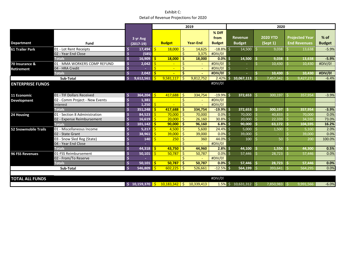|                             |                                |    |             | 2019         |                                                                            |                     |                 |                                                             |    | 2020                     |    |                 |    |                       |               |  |
|-----------------------------|--------------------------------|----|-------------|--------------|----------------------------------------------------------------------------|---------------------|-----------------|-------------------------------------------------------------|----|--------------------------|----|-----------------|----|-----------------------|---------------|--|
|                             |                                |    |             |              |                                                                            |                     |                 | % Diff                                                      |    |                          |    |                 |    |                       |               |  |
|                             |                                |    | 3 yr Avg    |              |                                                                            |                     |                 | from                                                        |    | <b>Revenue</b>           |    | <b>2020 YTD</b> |    | <b>Projected Year</b> | $%$ of        |  |
| <b>Department</b>           | Fund                           |    | $(2017-19)$ |              | <b>Budget</b>                                                              |                     | <b>Year-End</b> | <b>Budget</b>                                               |    | <b>Budget</b>            |    | (Sept1)         |    | <b>End Revenues</b>   | <b>Budget</b> |  |
| 61 Trailer Park             | 01 - Lot Rent Receipts         | Ś  | 17,494      | Ś            | 18,000                                                                     | -\$                 | 14,625          | $-18.8%$                                                    | Ś. | 14,500                   |    | 9,038           |    | 13,638                | $-5.9%$       |  |
|                             | 02 - Year End Close            | \$ | (585)       |              |                                                                            | \$                  | 3,375           | #DIV/0!                                                     |    |                          |    |                 |    |                       |               |  |
|                             | <b>Totals</b>                  | \$ | 16,909      | <b>S</b>     | 18,000                                                                     | -Ŝ                  | 18.000          | $0.0%$ \$                                                   |    | 14,500                   |    | 9,038           |    | 13,638                | $-5.9%$       |  |
| 70 Insurance &              | 01 - MMA WORKERS COMP REFUND   | \$ | 2,042       | -\$          |                                                                            | \$                  |                 | #DIV/0! \$                                                  |    |                          | Ś  | 10,430          |    | 10,430                | #DIV/0!       |  |
| <b>Retirement</b>           | 04 - HRA Credit                | \$ |             | $\mathsf{S}$ |                                                                            | $\ddot{\mathsf{S}}$ |                 | #DIV/0! \$                                                  |    |                          |    |                 |    |                       |               |  |
|                             | <b>Totals</b>                  | \$ | 2,042       | -Ś           |                                                                            | S                   |                 | $\frac{H}{10}$ $\frac{H}{10}$ $\frac{H}{10}$ $\frac{H}{10}$ |    |                          |    | 10,430          |    | 10,430                | #DIV/0!       |  |
|                             | Sub-Total                      | Ś  | 9,612,561   | -Ś           | 9,581,117                                                                  | -Ś                  | 9,812,752       | $2.42\%$ \$                                                 |    | 10,067,113               |    | 7,457,342       |    | 9,427,271             | $-6.4%$       |  |
| <b>ENTERPRISE FUNDS</b>     |                                |    |             |              |                                                                            |                     |                 | #DIV/0!                                                     |    |                          |    |                 |    |                       |               |  |
|                             |                                |    |             |              |                                                                            |                     |                 |                                                             |    |                          |    |                 |    |                       |               |  |
| 11 Economic                 | 01 - TIF Dollars Received      | \$ | 364,204     | $\mathsf{S}$ | 417,688                                                                    | -\$                 | 334,754         | $-19.9\%$ \$                                                |    | $372,653$ \$             |    | 300,197         | -Ś | 357,954               | $-3.9%$       |  |
| <b>Development</b>          | 02 - Comm Project - New Events | \$ | 1,381       |              |                                                                            | Ŝ.                  |                 | #DIV/0!                                                     |    |                          |    |                 |    |                       |               |  |
|                             | Interest                       | Ś  | 1,250       | I\$          |                                                                            | \$                  | $\sim$          | #DIV/0!                                                     |    |                          |    |                 |    |                       |               |  |
|                             | <b>Totals</b>                  | Ś  | 351,248     | <b>S</b>     | 417,688                                                                    | -Ś                  | 334,754         | $-19.9%$ \$                                                 |    | 372,653                  | Ŝ. | 300,197         |    | 357,954               | $-3.9%$       |  |
| 24 Housing                  | 01 - Section 8 Administration  | Ś  | 84,523      | -Ś           | 70,000                                                                     | - \$                | 70,000          | 0.0%                                                        | -Ś | 70,000 \$                |    | 40,833          |    | 70,000                | 0.0%          |  |
|                             | 02 - Expense Reimbursement     | \$ | 16,619      | -\$          | 20,000                                                                     | -\$                 | 26,160          | $30.8\%$ \$                                                 |    | 20,000                   | \$ | 22,339          |    | 34,595                | 73.0%         |  |
|                             | <b>Totals</b>                  | \$ | 101,142     | -Ś           | $90,000$ \$                                                                |                     | 96,160          | $6.8\%$ \$                                                  |    | 90,000                   | 'S | 63,172          |    | 104,595               | 16.2%         |  |
| <b>52 Snowmobile Trails</b> | 01 - Miscellaneous Income      | \$ | 5,217       | -\$          | $4,500$ \$                                                                 |                     | 5,600           | $24.4\%$ \$                                                 |    | 5,000                    | \$ | 1,500           |    | 5,100                 | 2.0%          |  |
|                             | 02 - State Grant               | Ś  | 38,961      | -Ś           | $39,000$ \$                                                                |                     | 39,000          | 0.0%                                                        | -Ś | 39,000                   | Ś  |                 |    | 39,000                | 0.0%          |  |
|                             | 03 - Snow Sled Reg (State)     | Ś  | 140         | Ś            | 250                                                                        | -S                  | 360             | 44.0%                                                       | -Ś | 100                      |    | 50              |    | 200                   | 100.0%        |  |
|                             | 04 - Year End Close            | \$ |             |              |                                                                            |                     |                 | #DIV/0!                                                     |    |                          |    |                 |    |                       |               |  |
|                             | <b>Totals</b>                  | \$ | 44,318      | -Ś           | 43.750                                                                     | -Ś                  | 44,960          | $2.8\%$ \$                                                  |    | 44,100                   | -S | 1,550           |    | 44,300                | 0.5%          |  |
| <b>96 FSS Revenues</b>      | 01-FSS Reimbursement           | \$ | 50,101      | -Ś           | 50,787                                                                     | -S                  | 50,787          | $0.0\%$ \$                                                  |    | 57,446                   | Ŝ. | 28,723          |    | 57,446                | 0.0%          |  |
|                             | 02 - From/To Reserve           | Ś  |             |              |                                                                            | Ŝ.                  |                 | #DIV/0!                                                     |    |                          |    |                 |    |                       |               |  |
|                             | <b>Totals</b>                  | \$ | 50.101      | -Ś           | 50.787                                                                     | -Ŝ                  | 50.787          | $0.0\%$ \$                                                  |    | $57,446$ \$              |    | 28,723          |    | 57,446                | 0.0%          |  |
|                             | Sub-Total                      | Ś  | 546.809     | -Ś           | 602,225                                                                    | - \$                | 526.661         | $-12.5%$                                                    | Ŝ  | $564,199$ \$             |    | 393,641         |    | 564,295               | 0.0%          |  |
|                             |                                |    |             |              |                                                                            |                     |                 |                                                             |    |                          |    |                 |    |                       |               |  |
| <b>TOTAL ALL FUNDS</b>      |                                |    |             |              |                                                                            |                     |                 | #DIV/0!                                                     |    |                          |    |                 |    |                       |               |  |
|                             |                                |    |             |              | $\frac{1}{2}$ 10,159,370 $\frac{1}{2}$ 10,183,342 $\frac{1}{2}$ 10,339,413 |                     |                 |                                                             |    | $1.5\%$ \$ 10,631,312 \$ |    | 7,850,983       |    | 9,991,566             | $-6.0%$       |  |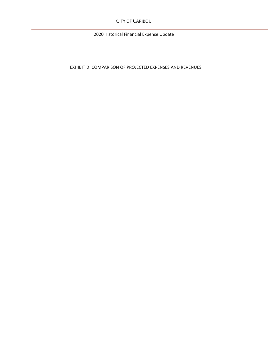CITY OF CARIBOU

2020 Historical Financial Expense Update

EXHIBIT D: COMPARISON OF PROJECTED EXPENSES AND REVENUES